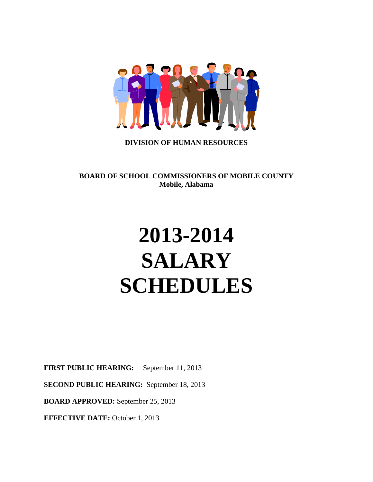

## **DIVISION OF HUMAN RESOURCES**

**BOARD OF SCHOOL COMMISSIONERS OF MOBILE COUNTY Mobile, Alabama**

# **2013-2014 SALARY SCHEDULES**

**FIRST PUBLIC HEARING:** September 11, 2013

**SECOND PUBLIC HEARING:** September 18, 2013

**BOARD APPROVED:** September 25, 2013

**EFFECTIVE DATE:** October 1, 2013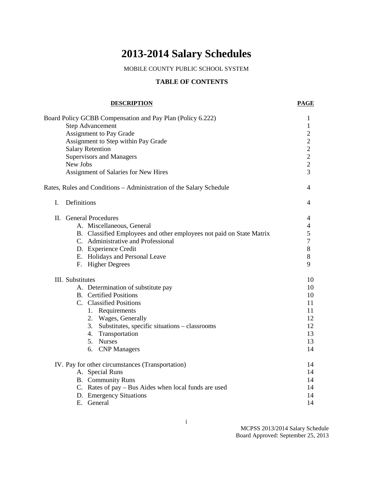## **2013-2014 Salary Schedules**

MOBILE COUNTY PUBLIC SCHOOL SYSTEM

## **TABLE OF CONTENTS**

#### **DESCRIPTION PAGE**

|                  | Board Policy GCBB Compensation and Pay Plan (Policy 6.222)<br><b>Step Advancement</b><br><b>Assignment to Pay Grade</b><br>Assignment to Step within Pay Grade<br><b>Salary Retention</b><br><b>Supervisors and Managers</b><br>New Jobs<br>Assignment of Salaries for New Hires | 1<br>1<br>$\mathfrak{2}$<br>$\overline{c}$<br>$\overline{2}$<br>$\overline{2}$<br>$\overline{2}$<br>3 |
|------------------|----------------------------------------------------------------------------------------------------------------------------------------------------------------------------------------------------------------------------------------------------------------------------------|-------------------------------------------------------------------------------------------------------|
|                  | Rates, Rules and Conditions - Administration of the Salary Schedule                                                                                                                                                                                                              | 4                                                                                                     |
| L.               | Definitions                                                                                                                                                                                                                                                                      | 4                                                                                                     |
|                  | II. General Procedures<br>A. Miscellaneous, General<br>B. Classified Employees and other employees not paid on State Matrix<br>C. Administrative and Professional<br>D. Experience Credit<br>E. Holidays and Personal Leave<br>F. Higher Degrees                                 | 4<br>$\overline{4}$<br>5<br>7<br>8<br>8<br>9                                                          |
| III. Substitutes | A. Determination of substitute pay<br><b>B.</b> Certified Positions<br>C. Classified Positions<br>1. Requirements<br>2. Wages, Generally<br>3. Substitutes, specific situations – classrooms<br>4. Transportation<br>5. Nurses<br>6. CNP Managers                                | 10<br>10<br>10<br>11<br>11<br>12<br>12<br>13<br>13<br>14                                              |
|                  | IV. Pay for other circumstances (Transportation)<br>A. Special Runs<br><b>B.</b> Community Runs<br>C. Rates of pay – Bus Aides when local funds are used<br>D. Emergency Situations<br>E. General                                                                                | 14<br>14<br>14<br>14<br>14<br>14                                                                      |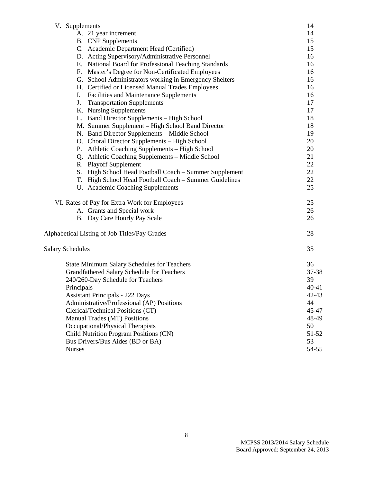| V. Supplements                                         | 14        |
|--------------------------------------------------------|-----------|
| A. 21 year increment                                   | 14        |
| <b>B.</b> CNP Supplements                              | 15        |
| C. Academic Department Head (Certified)                | 15        |
| D. Acting Supervisory/Administrative Personnel         | 16        |
| E. National Board for Professional Teaching Standards  | 16        |
| F. Master's Degree for Non-Certificated Employees      | 16        |
| G. School Administrators working in Emergency Shelters | 16        |
| H. Certified or Licensed Manual Trades Employees       | 16        |
| Facilities and Maintenance Supplements<br>I.           | 16        |
| J.<br><b>Transportation Supplements</b>                | 17        |
| K. Nursing Supplements                                 | 17        |
| L. Band Director Supplements - High School             | 18        |
| M. Summer Supplement - High School Band Director       | 18        |
| N. Band Director Supplements - Middle School           | 19        |
| O. Choral Director Supplements - High School           | 20        |
| P. Athletic Coaching Supplements - High School         | 20        |
| Q. Athletic Coaching Supplements - Middle School       | 21        |
| R. Playoff Supplement                                  | 22        |
| S. High School Head Football Coach - Summer Supplement | 22        |
| T. High School Head Football Coach - Summer Guidelines | 22        |
| U. Academic Coaching Supplements                       | 25        |
| VI. Rates of Pay for Extra Work for Employees          | 25        |
| A. Grants and Special work                             | 26        |
| B. Day Care Hourly Pay Scale                           | 26        |
| Alphabetical Listing of Job Titles/Pay Grades          | 28        |
| <b>Salary Schedules</b>                                | 35        |
| <b>State Minimum Salary Schedules for Teachers</b>     | 36        |
| Grandfathered Salary Schedule for Teachers             | 37-38     |
| 240/260-Day Schedule for Teachers                      | 39        |
| Principals                                             | $40 - 41$ |
| <b>Assistant Principals - 222 Days</b>                 | 42-43     |
| Administrative/Professional (AP) Positions             | 44        |
| Clerical/Technical Positions (CT)                      | 45-47     |
| Manual Trades (MT) Positions                           | 48-49     |
| Occupational/Physical Therapists                       | 50        |
| Child Nutrition Program Positions (CN)                 | 51-52     |
| Bus Drivers/Bus Aides (BD or BA)                       | 53        |
| <b>Nurses</b>                                          | 54-55     |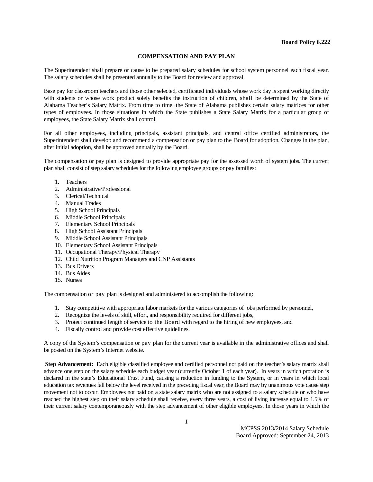#### **COMPENSATION AND PAY PLAN**

The Superintendent shall prepare or cause to be prepared salary schedules for school system personnel each fiscal year. The salary schedules shall be presented annually to the Board for review and approval.

Base pay for classroom teachers and those other selected, certificated individuals whose work day is spent working directly with students or whose work product solely benefits the instruction of children, shall be determined by the State of Alabama Teacher's Salary Matrix. From time to time, the State of Alabama publishes certain salary matrices for other types of employees. In those situations in which the State publishes a State Salary Matrix for a particular group of employees, the State Salary Matrix shall control.

For all other employees, including principals, assistant principals, and central office certified administrators, the Superintendent shall develop and recommend a compensation or pay plan to the Board for adoption. Changes in the plan, after initial adoption, shall be approved annually by the Board.

The compensation or pay plan is designed to provide appropriate pay for the assessed worth of system jobs. The current plan shall consist of step salary schedules for the following employee groups or pay families:

- 1. Teachers
- 2. Administrative/Professional
- 3. Clerical/Technical
- 4. Manual Trades
- 5. High School Principals
- 6. Middle School Principals
- 7. Elementary School Principals
- 8. High School Assistant Principals
- 9. Middle School Assistant Principals
- 10. Elementary School Assistant Principals
- 11. Occupational Therapy/Physical Therapy
- 12. Child Nutrition Program Managers and CNP Assistants
- 13. Bus Drivers
- 14. Bus Aides
- 15. Nurses

The compensation or pay plan is designed and administered to accomplish the following:

- 1. Stay competitive with appropriate labor markets for the various categories of jobs performed by personnel,
- 2. Recognize the levels of skill, effort, and responsibility required for different jobs,
- 3. Protect continued length of service to the Board with regard to the hiring of new employees, and
- 4. Fiscally control and provide cost effective guidelines.

A copy of the System's compensation or pay plan for the current year is available in the administrative offices and shall be posted on the System's Internet website.

**Step Advancement:** Each eligible classified employee and certified personnel not paid on the teacher's salary matrix shall advance one step on the salary schedule each budget year (currently October 1 of each year). In years in which proration is declared in the state's Educational Trust Fund, causing a reduction in funding to the System, or in years in which local education tax revenues fall below the level received in the preceding fiscal year, the Board may by unanimous vote cause step movement not to occur. Employees not paid on a state salary matrix who are not assigned to a salary schedule or who have reached the highest step on their salary schedule shall receive, every three years, a cost of living increase equal to 1.5% of their current salary contemporaneously with the step advancement of other eligible employees. In those years in which the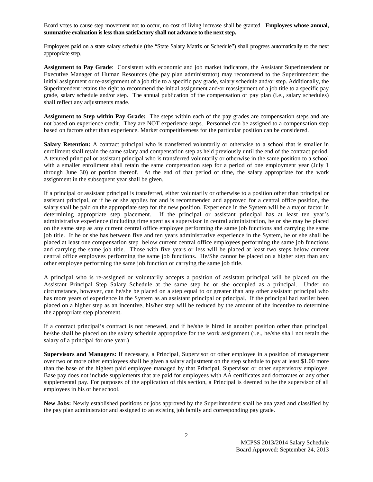Board votes to cause step movement not to occur, no cost of living increase shall be granted. **Employees whose annual, summative evaluation is less than satisfactory shall not advance to the next step.**

Employees paid on a state salary schedule (the "State Salary Matrix or Schedule") shall progress automatically to the next appropriate step.

**Assignment to Pay Grade**: Consistent with economic and job market indicators, the Assistant Superintendent or Executive Manager of Human Resources (the pay plan administrator) may recommend to the Superintendent the initial assignment or re-assignment of a job title to a specific pay grade, salary schedule and/or step. Additionally, the Superintendent retains the right to recommend the initial assignment and/or reassignment of a job title to a specific pay grade, salary schedule and/or step. The annual publication of the compensation or pay plan (i.e., salary schedules) shall reflect any adjustments made.

**Assignment to Step within Pay Grade:** The steps within each of the pay grades are compensation steps and are not based on experience credit. They are NOT experience steps. Personnel can be assigned to a compensation step based on factors other than experience. Market competitiveness for the particular position can be considered.

**Salary Retention:** A contract principal who is transferred voluntarily or otherwise to a school that is smaller in enrollment shall retain the same salary and compensation step as held previously until the end of the contract period. A tenured principal or assistant principal who is transferred voluntarily or otherwise in the same position to a school with a smaller enrollment shall retain the same compensation step for a period of one employment year (July 1 through June 30) or portion thereof. At the end of that period of time, the salary appropriate for the work assignment in the subsequent year shall be given.

If a principal or assistant principal is transferred, either voluntarily or otherwise to a position other than principal or assistant principal, or if he or she applies for and is recommended and approved for a central office position, the salary shall be paid on the appropriate step for the new position. Experience in the System will be a major factor in determining appropriate step placement. If the principal or assistant principal has at least ten year's administrative experience (including time spent as a supervisor in central administration, he or she may be placed on the same step as any current central office employee performing the same job functions and carrying the same job title. If he or she has between five and ten years administrative experience in the System, he or she shall be placed at least one compensation step below current central office employees performing the same job functions and carrying the same job title. Those with five years or less will be placed at least two steps below current central office employees performing the same job functions. He/She cannot be placed on a higher step than any other employee performing the same job function or carrying the same job title.

A principal who is re-assigned or voluntarily accepts a position of assistant principal will be placed on the Assistant Principal Step Salary Schedule at the same step he or she occupied as a principal. Under no circumstance, however, can he/she be placed on a step equal to or greater than any other assistant principal who has more years of experience in the System as an assistant principal or principal. If the principal had earlier been placed on a higher step as an incentive, his/her step will be reduced by the amount of the incentive to determine the appropriate step placement.

If a contract principal's contract is not renewed, and if he/she is hired in another position other than principal, he/she shall be placed on the salary schedule appropriate for the work assignment (i.e., he/she shall not retain the salary of a principal for one year.)

**Supervisors and Managers:** If necessary, a Principal, Supervisor or other employee in a position of management over two or more other employees shall be given a salary adjustment on the step schedule to pay at least \$1.00 more than the base of the highest paid employee managed by that Principal, Supervisor or other supervisory employee. Base pay does not include supplements that are paid for employees with AA certificates and doctorates or any other supplemental pay. For purposes of the application of this section, a Principal is deemed to be the supervisor of all employees in his or her school.

**New Jobs:** Newly established positions or jobs approved by the Superintendent shall be analyzed and classified by the pay plan administrator and assigned to an existing job family and corresponding pay grade.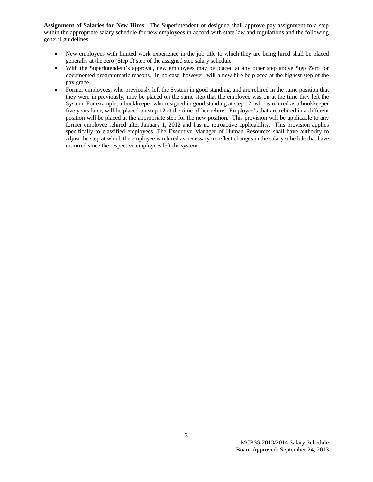**Assignment of Salaries for New Hires**: The Superintendent or designee shall approve pay assignment to a step within the appropriate salary schedule for new employees in accord with state law and regulations and the following general guidelines:

- New employees with limited work experience in the job title to which they are being hired shall be placed generally at the zero (Step 0) step of the assigned step salary schedule.
- With the Superintendent's approval, new employees may be placed at any other step above Step Zero for documented programmatic reasons. In no case, however, will a new hire be placed at the highest step of the pay grade.
- Former employees, who previously left the System in good standing, and are rehired in the same position that they were in previously, may be placed on the same step that the employee was on at the time they left the System. For example, a bookkeeper who resigned in good standing at step 12, who is rehired as a bookkeeper five years later, will be placed on step 12 at the time of her rehire. Employee's that are rehired in a different position will be placed at the appropriate step for the new position. This provision will be applicable to any former employee rehired after January 1, 2012 and has no retroactive applicability. This provision applies specifically to classified employees. The Executive Manager of Human Resources shall have authority to adjust the step at which the employee is rehired as necessary to reflect changes in the salary schedule that have occurred since the respective employees left the system.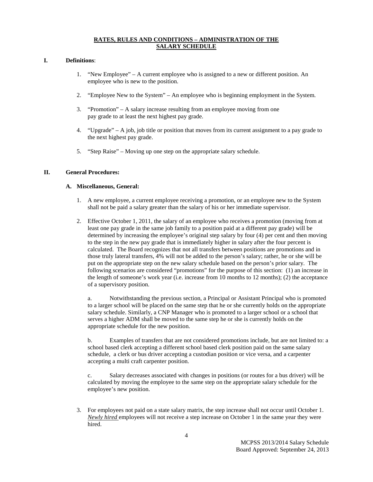#### **RATES, RULES AND CONDITIONS – ADMINISTRATION OF THE SALARY SCHEDULE**

#### **I. Definitions**:

- 1. "New Employee" A current employee who is assigned to a new or different position. An employee who is new to the position.
- 2. "Employee New to the System" An employee who is beginning employment in the System.
- 3. "Promotion" A salary increase resulting from an employee moving from one pay grade to at least the next highest pay grade.
- 4. "Upgrade" A job, job title or position that moves from its current assignment to a pay grade to the next highest pay grade.
- 5. "Step Raise" Moving up one step on the appropriate salary schedule.

#### **II. General Procedures:**

#### **A. Miscellaneous, General:**

- 1. A new employee, a current employee receiving a promotion, or an employee new to the System shall not be paid a salary greater than the salary of his or her immediate supervisor.
- 2. Effective October 1, 2011, the salary of an employee who receives a promotion (moving from at least one pay grade in the same job family to a position paid at a different pay grade) will be determined by increasing the employee's original step salary by four (4) per cent and then moving to the step in the new pay grade that is immediately higher in salary after the four percent is calculated. The Board recognizes that not all transfers between positions are promotions and in those truly lateral transfers, 4% will not be added to the person's salary; rather, he or she will be put on the appropriate step on the new salary schedule based on the person's prior salary. The following scenarios are considered "promotions" for the purpose of this section: (1) an increase in the length of someone's work year (i.e. increase from 10 months to 12 months); (2) the acceptance of a supervisory position.

a. Notwithstanding the previous section, a Principal or Assistant Principal who is promoted to a larger school will be placed on the same step that he or she currently holds on the appropriate salary schedule. Similarly, a CNP Manager who is promoted to a larger school or a school that serves a higher ADM shall be moved to the same step he or she is currently holds on the appropriate schedule for the new position.

b. Examples of transfers that are not considered promotions include, but are not limited to: a school based clerk accepting a different school based clerk position paid on the same salary schedule, a clerk or bus driver accepting a custodian position or vice versa, and a carpenter accepting a multi craft carpenter position.

c. Salary decreases associated with changes in positions (or routes for a bus driver) will be calculated by moving the employee to the same step on the appropriate salary schedule for the employee's new position.

3. For employees not paid on a state salary matrix, the step increase shall not occur until October 1. *Newly hired* employees will not receive a step increase on October 1 in the same year they were hired.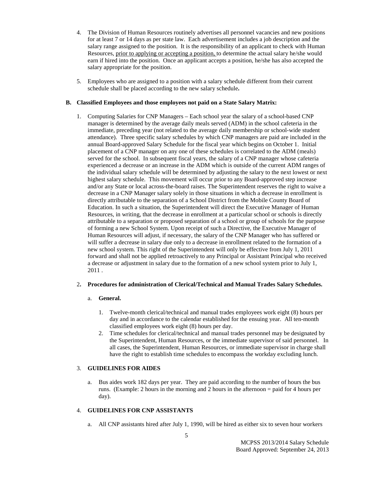- 4. The Division of Human Resources routinely advertises all personnel vacancies and new positions for at least 7 or 14 days as per state law. Each advertisement includes a job description and the salary range assigned to the position. It is the responsibility of an applicant to check with Human Resources, prior to applying or accepting a position, to determine the actual salary he/she would earn if hired into the position. Once an applicant accepts a position, he/she has also accepted the salary appropriate for the position.
- 5. Employees who are assigned to a position with a salary schedule different from their current schedule shall be placed according to the new salary schedule**.**

#### **B. Classified Employees and those employees not paid on a State Salary Matrix:**

1. Computing Salaries for CNP Managers – Each school year the salary of a school-based CNP manager is determined by the average daily meals served (ADM) in the school cafeteria in the immediate, preceding year (not related to the average daily membership or school-wide student attendance). Three specific salary schedules by which CNP managers are paid are included in the annual Board-approved Salary Schedule for the fiscal year which begins on October 1. Initial placement of a CNP manager on any one of these schedules is correlated to the ADM (meals) served for the school. In subsequent fiscal years, the salary of a CNP manager whose cafeteria experienced a decrease or an increase in the ADM which is outside of the current ADM ranges of the individual salary schedule will be determined by adjusting the salary to the next lowest or next highest salary schedule. This movement will occur prior to any Board-approved step increase and/or any State or local across-the-board raises. The Superintendent reserves the right to waive a decrease in a CNP Manager salary solely in those situations in which a decrease in enrollment is directly attributable to the separation of a School District from the Mobile County Board of Education. In such a situation, the Superintendent will direct the Executive Manager of Human Resources, in writing, that the decrease in enrollment at a particular school or schools is directly attributable to a separation or proposed separation of a school or group of schools for the purpose of forming a new School System. Upon receipt of such a Directive, the Executive Manager of Human Resources will adjust, if necessary, the salary of the CNP Manager who has suffered or will suffer a decrease in salary due only to a decrease in enrollment related to the formation of a new school system. This right of the Superintendent will only be effective from July 1, 2011 forward and shall not be applied retroactively to any Principal or Assistant Principal who received a decrease or adjustment in salary due to the formation of a new school system prior to July 1, 2011 .

#### 2**. Procedures for administration of Clerical/Technical and Manual Trades Salary Schedules.**

#### a. **General.**

- 1. Twelve-month clerical/technical and manual trades employees work eight (8) hours per day and in accordance to the calendar established for the ensuing year. All ten-month classified employees work eight (8) hours per day.
- 2. Time schedules for clerical/technical and manual trades personnel may be designated by the Superintendent, Human Resources, or the immediate supervisor of said personnel. In all cases, the Superintendent, Human Resources, or immediate supervisor in charge shall have the right to establish time schedules to encompass the workday excluding lunch.

#### 3. **GUIDELINES FOR AIDES**

a. Bus aides work 182 days per year. They are paid according to the number of hours the bus runs. (Example: 2 hours in the morning and 2 hours in the afternoon = paid for 4 hours per day).

#### 4. **GUIDELINES FOR CNP ASSISTANTS**

a. All CNP assistants hired after July 1, 1990, will be hired as either six to seven hour workers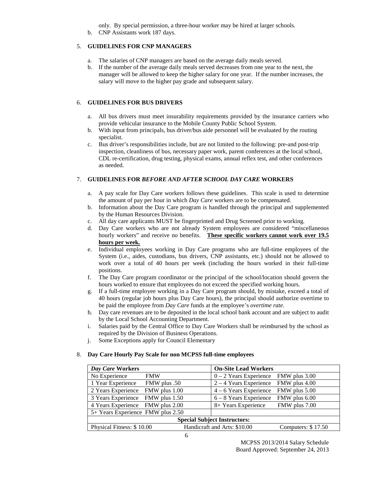only. By special permission, a three-hour worker may be hired at larger schools.

b. CNP Assistants work 187 days.

#### 5. **GUIDELINES FOR CNP MANAGERS**

- a. The salaries of CNP managers are based on the average daily meals served.
- b. If the number of the average daily meals served decreases from one year to the next, the manager will be allowed to keep the higher salary for one year. If the number increases, the salary will move to the higher pay grade and subsequent salary.

#### 6. **GUIDELINES FOR BUS DRIVERS**

- a. All bus drivers must meet insurability requirements provided by the insurance carriers who provide vehicular insurance to the Mobile County Public School System.
- b. With input from principals, bus driver/bus aide personnel will be evaluated by the routing specialist.
- c. Bus driver's responsibilities include, but are not limited to the following: pre-and post-trip inspection, cleanliness of bus, necessary paper work, parent conferences at the local school, CDL re-certification, drug testing, physical exams, annual reflex test, and other conferences as needed.

## 7. **GUIDELINES FOR** *BEFORE AND AFTER SCHOOL DAY CARE* **WORKERS**

- a. A pay scale for Day Care workers follows these guidelines. This scale is used to determine the amount of pay per hour in which *Day Care* workers are to be compensated.
- b. Information about the Day Care program is handled through the principal and supplemented by the Human Resources Division.
- c. All day care applicants MUST be fingerprinted and Drug Screened prior to working.
- d. Day Care workers who are not already System employees are considered "miscellaneous hourly workers" and receive no benefits. **These specific workers cannot work over 19.5 hours per week.**
- e. Individual employees working in Day Care programs who are full-time employees of the System (i.e., aides, custodians, bus drivers, CNP assistants, etc.) should not be allowed to work over a total of 40 hours per week (including the hours worked in their full-time positions.
- f. The Day Care program coordinator or the principal of the school/location should govern the hours worked to ensure that employees do not exceed the specified working hours.
- g. If a full-time employee working in a Day Care program should, by mistake, exceed a total of 40 hours (regular job hours plus Day Care hours), the principal should authorize overtime to be paid the employee from *Day Care* funds at the employee's *overtime rate.*
- h. Day care revenues are to be deposited in the local school bank account and are subject to audit by the Local School Accounting Department.
- i. Salaries paid by the Central Office to Day Care Workers shall be reimbursed by the school as required by the Division of Business Operations.
- j. Some Exceptions apply for Council Elementary

#### 8. **Day Care Hourly Pay Scale for non MCPSS full-time employees**

| Day Care Workers                    | <b>On-Site Lead Workers</b>                        |  |  |
|-------------------------------------|----------------------------------------------------|--|--|
| No Experience<br><b>FMW</b>         | $0 - 2$ Years Experience FMW plus 3.00             |  |  |
| 1 Year Experience<br>50. FMW plus   | $2 - 4$ Years Experience FMW plus 4.00             |  |  |
| 2 Years Experience FMW plus 1.00    | FMW plus 5.00<br>$4 - 6$ Years Experience          |  |  |
| 3 Years Experience FMW plus 1.50    | FMW plus 6.00<br>$6 - 8$ Years Experience          |  |  |
| 4 Years Experience FMW plus 2.00    | FMW plus 7.00<br>8+ Years Experience               |  |  |
| 5+ Years Experience FMW plus 2.50   |                                                    |  |  |
| <b>Special Subject Instructors:</b> |                                                    |  |  |
| Physical Fitness: \$10.00           | Handicraft and Arts: \$10.00<br>Computers: \$17.50 |  |  |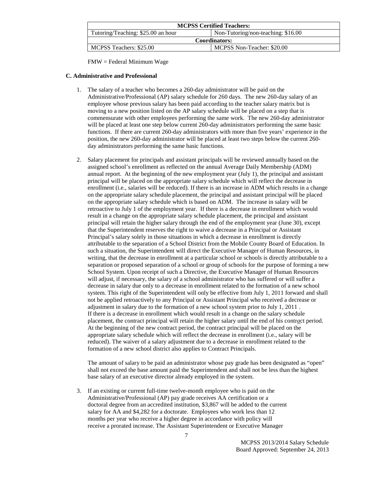| <b>MCPSS Certified Teachers:</b>                                          |  |  |  |
|---------------------------------------------------------------------------|--|--|--|
| Tutoring/Teaching: \$25.00 an hour<br>Non-Tutoring/non-teaching: $$16.00$ |  |  |  |
| <b>Coordinators:</b>                                                      |  |  |  |
| MCPSS Teachers: \$25.00<br>MCPSS Non-Teacher: \$20.00                     |  |  |  |

FMW = Federal Minimum Wage

#### **C. Administrative and Professional**

- 1. The salary of a teacher who becomes a 260-day administrator will be paid on the Administrative/Professional (AP) salary schedule for 260 days. The new 260-day salary of an employee whose previous salary has been paid according to the teacher salary matrix but is moving to a new position listed on the AP salary schedule will be placed on a step that is commensurate with other employees performing the same work. The new 260-day administrator will be placed at least one step below current 260-day administrators performing the same basic functions. If there are current 260-day administrators with more than five years' experience in the position, the new 260-day administrator will be placed at least two steps below the current 260 day administrators performing the same basic functions.
- 2. Salary placement for principals and assistant principals will be reviewed annually based on the assigned school's enrollment as reflected on the annual Average Daily Membership (ADM) annual report. At the beginning of the new employment year (July 1), the principal and assistant principal will be placed on the appropriate salary schedule which will reflect the decrease in enrollment (i.e., salaries will be reduced). If there is an increase in ADM which results in a change on the appropriate salary schedule placement, the principal and assistant principal will be placed on the appropriate salary schedule which is based on ADM. The increase in salary will be retroactive to July 1 of the employment year. If there is a decrease in enrollment which would result in a change on the appropriate salary schedule placement, the principal and assistant principal will retain the higher salary through the end of the employment year (June 30), except that the Superintendent reserves the right to waive a decrease in a Principal or Assistant Principal's salary solely in those situations in which a decrease in enrollment is directly attributable to the separation of a School District from the Mobile County Board of Education. In such a situation, the Superintendent will direct the Executive Manager of Human Resources, in writing, that the decrease in enrollment at a particular school or schools is directly attributable to a separation or proposed separation of a school or group of schools for the purpose of forming a new School System. Upon receipt of such a Directive, the Executive Manager of Human Resources will adjust, if necessary, the salary of a school administrator who has suffered or will suffer a decrease in salary due only to a decrease in enrollment related to the formation of a new school system. This right of the Superintendent will only be effective from July 1, 2011 forward and shall not be applied retroactively to any Principal or Assistant Principal who received a decrease or adjustment in salary due to the formation of a new school system prior to July 1, 2011 . If there is a decrease in enrollment which would result in a change on the salary schedule placement, the contract principal will retain the higher salary until the end of his contr*a*ct period. At the beginning of the new contract period, the contract principal will be placed on the appropriate salary schedule which will reflect the decrease in enrollment (i.e., salary will be reduced). The waiver of a salary adjustment due to a decrease in enrollment related to the formation of a new school district also applies to Contract Principals.

The amount of salary to be paid an administrator whose pay grade has been designated as "open" shall not exceed the base amount paid the Superintendent and shall not be less than the highest base salary of an executive director already employed in the system.

3. If an existing or current full-time twelve-month employee who is paid on the Administrative/Professional (AP) pay grade receives AA certification or a doctoral degree from an accredited institution, \$3,867 will be added to the current salary for AA and \$4,282 for a doctorate. Employees who work less than 12 months per year who receive a higher degree in accordance with policy will receive a prorated increase. The Assistant Superintendent or Executive Manager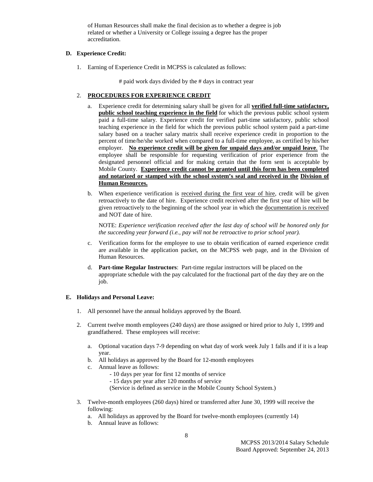of Human Resources shall make the final decision as to whether a degree is job related or whether a University or College issuing a degree has the proper accreditation.

#### **D. Experience Credit:**

1. Earning of Experience Credit in MCPSS is calculated as follows:

# paid work days divided by the # days in contract year

#### 2. **PROCEDURES FOR EXPERIENCE CREDIT**

- a. Experience credit for determining salary shall be given for all **verified full-time satisfactory, public school teaching experience in the field** for which the previous public school system paid a full-time salary. Experience credit for verified part-time satisfactory, public school teaching experience in the field for which the previous public school system paid a part-time salary based on a teacher salary matrix shall receive experience credit in proportion to the percent of time/he/she worked when compared to a full-time employee, as certified by his/her employer. **No experience credit will be given for unpaid days and/or unpaid leave**. The employee shall be responsible for requesting verification of prior experience from the designated personnel official and for making certain that the form sent is acceptable by Mobile County. **Experience credit cannot be granted until this form has been completed and notarized or stamped with the school system's seal and received in the Division of Human Resources.**
- b. When experience verification is received during the first year of hire, credit will be given retroactively to the date of hire. Experience credit received after the first year of hire will be given retroactively to the beginning of the school year in which the documentation is received and NOT date of hire.

NOTE: *Experience verification received after the last day of school will be honored only for the succeeding year forward (i.e., pay will not be retroactive to prior school year).*

- c. Verification forms for the employee to use to obtain verification of earned experience credit are available in the application packet, on the MCPSS web page, and in the Division of Human Resources.
- d. **Part-time Regular Instructors**: Part-time regular instructors will be placed on the appropriate schedule with the pay calculated for the fractional part of the day they are on the job.

#### **E. Holidays and Personal Leave:**

- 1. All personnel have the annual holidays approved by the Board.
- 2. Current twelve month employees (240 days) are those assigned or hired prior to July 1, 1999 and grandfathered. These employees will receive:
	- a. Optional vacation days 7-9 depending on what day of work week July 1 falls and if it is a leap year.
	- b. All holidays as approved by the Board for 12-month employees
	- c. Annual leave as follows:
		- 10 days per year for first 12 months of service
		- 15 days per year after 120 months of service

(Service is defined as service in the Mobile County School System.)

- 3. Twelve-month employees (260 days) hired or transferred after June 30, 1999 will receive the following:
	- a. All holidays as approved by the Board for twelve-month employees (currently 14)
	- b. Annual leave as follows: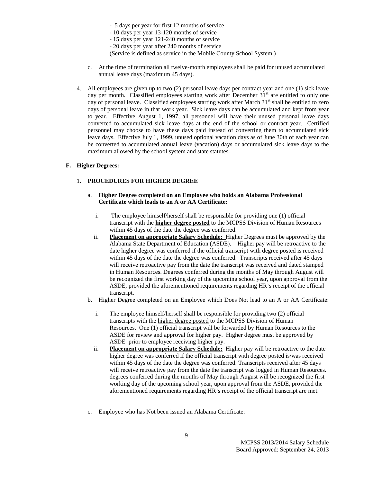- 5 days per year for first 12 months of service
- 10 days per year 13-120 months of service
- 15 days per year 121-240 months of service
- 20 days per year after 240 months of service

(Service is defined as service in the Mobile County School System.)

- c. At the time of termination all twelve-month employees shall be paid for unused accumulated annual leave days (maximum 45 days).
- 4. All employees are given up to two (2) personal leave days per contract year and one (1) sick leave day per month. Classified employees starting work after December  $31<sup>st</sup>$  are entitled to only one day of personal leave. Classified employees starting work after March  $31<sup>st</sup>$  shall be entitled to zero days of personal leave in that work year. Sick leave days can be accumulated and kept from year to year. Effective August 1, 1997, all personnel will have their unused personal leave days converted to accumulated sick leave days at the end of the school or contract year. Certified personnel may choose to have these days paid instead of converting them to accumulated sick leave days. Effective July 1, 1999, unused optional vacation days as of June 30th of each year can be converted to accumulated annual leave (vacation) days or accumulated sick leave days to the maximum allowed by the school system and state statutes.

#### **F. Higher Degrees:**

#### 1. **PROCEDURES FOR HIGHER DEGREE**

#### a. **Higher Degree completed on an Employee who holds an Alabama Professional Certificate which leads to an A or AA Certificate:**

- i. The employee himself/herself shall be responsible for providing one (1) official transcript with the **higher degree posted** to the MCPSS Division of Human Resources within 45 days of the date the degree was conferred.
- ii. **Placement on appropriate Salary Schedule:** Higher Degrees must be approved by the Alabama State Department of Education (ASDE). Higher pay will be retroactive to the date higher degree was conferred if the official transcript with degree posted is received within 45 days of the date the degree was conferred. Transcripts received after 45 days will receive retroactive pay from the date the transcript was received and dated stamped in Human Resources. Degrees conferred during the months of May through August will be recognized the first working day of the upcoming school year, upon approval from the ASDE, provided the aforementioned requirements regarding HR's receipt of the official transcript.
- b. Higher Degree completed on an Employee which Does Not lead to an A or AA Certificate:
	- i. The employee himself/herself shall be responsible for providing two (2) official transcripts with the higher degree posted to the MCPSS Division of Human Resources. One (1) official transcript will be forwarded by Human Resources to the ASDE for review and approval for higher pay. Higher degree must be approved by ASDE prior to employee receiving higher pay.
	- ii. **Placement on appropriate Salary Schedule:** Higher pay will be retroactive to the date higher degree was conferred if the official transcript with degree posted is/was received within 45 days of the date the degree was conferred. Transcripts received after 45 days will receive retroactive pay from the date the transcript was logged in Human Resources. degrees conferred during the months of May through August will be recognized the first working day of the upcoming school year, upon approval from the ASDE, provided the aforementioned requirements regarding HR's receipt of the official transcript are met.
- c. Employee who has Not been issued an Alabama Certificate: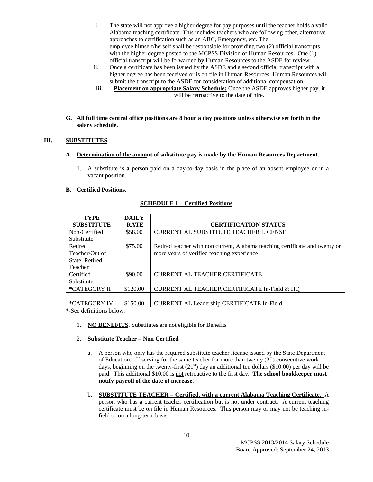- i. The state will not approve a higher degree for pay purposes until the teacher holds a valid Alabama teaching certificate. This includes teachers who are following other, alternative approaches to certification such as an ABC, Emergency, etc. The employee himself/herself shall be responsible for providing two (2) official transcripts with the higher degree posted to the MCPSS Division of Human Resources. One (1) official transcript will be forwarded by Human Resources to the ASDE for review.
- ii. Once a certificate has been issued by the ASDE and a second official transcript with a higher degree has been received or is on file in Human Resources, Human Resources will submit the transcript to the ASDE for consideration of additional compensation.
- **iii. Placement on appropriate Salary Schedule:** Once the ASDE approves higher pay, it will be retroactive to the date of hire.

#### **G. All full time central office positions are 8 hour a day positions unless otherwise set forth in the salary schedule.**

## **III. SUBSTITUTES**

#### **A. Determination of the amount of substitute pay is made by the Human Resources Department.**

1. A substitute i**s a** person paid on a day-to-day basis in the place of an absent employee or in a vacant position.

#### **B. Certified Positions.**

| <b>TYPE</b>          | <b>DAILY</b> |                                                                              |
|----------------------|--------------|------------------------------------------------------------------------------|
| <b>SUBSTITUTE</b>    | <b>RATE</b>  | <b>CERTIFICATION STATUS</b>                                                  |
| Non-Certified        | \$58.00      | CURRENT AL SUBSTITUTE TEACHER LICENSE                                        |
| Substitute           |              |                                                                              |
| Retired              | \$75.00      | Retired teacher with non current, Alabama teaching certificate and twenty or |
| Teacher/Out of       |              | more years of verified teaching experience                                   |
| <b>State Retired</b> |              |                                                                              |
| Teacher              |              |                                                                              |
| Certified            | \$90.00      | <b>CURRENT AL TEACHER CERTIFICATE</b>                                        |
| Substitute           |              |                                                                              |
| *CATEGORY II         | \$120.00     | CURRENT AL TEACHER CERTIFICATE In-Field & HQ                                 |
|                      |              |                                                                              |
| *CATEGORY IV         | \$150.00     | <b>CURRENT AL Leadership CERTIFICATE In-Field</b>                            |

#### **SCHEDULE 1 – Certified Positions**

\*-See definitions below.

- 1. **NO BENEFITS**. Substitutes are not eligible for Benefits
- 2. **Substitute Teacher – Non Certified**
	- a. A person who only has the required substitute teacher license issued by the State Department of Education. If serving for the same teacher for more than twenty (20) consecutive work days, beginning on the twenty-first  $(21<sup>st</sup>)$  day an additional ten dollars (\$10.00) per day will be paid. This additional \$10.00 is not retroactive to the first day. **The school bookkeeper must notify payroll of the date of increase.**
	- b. **SUBSTITUTE TEACHER – Certified, with a current Alabama Teaching Certificate.** A person who has a current teacher certification but is not under contract. A current teaching certificate must be on file in Human Resources. This person may or may not be teaching infield or on a long-term basis.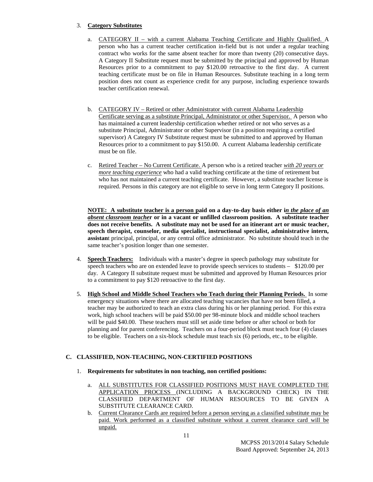## 3. **Category Substitutes**

- a. CATEGORY II with a current Alabama Teaching Certificate and Highly Qualified. A person who has a current teacher certification in-field but is not under a regular teaching contract who works for the same absent teacher for more than twenty (20) consecutive days. A Category II Substitute request must be submitted by the principal and approved by Human Resources prior to a commitment to pay \$120.00 retroactive to the first day. A current teaching certificate must be on file in Human Resources. Substitute teaching in a long term position does not count as experience credit for any purpose, including experience towards teacher certification renewal.
- b. CATEGORY IV Retired or other Administrator with current Alabama Leadership Certificate serving as a substitute Principal, Administrator or other Supervisor. A person who has maintained a current leadership certification whether retired or not who serves as a substitute Principal, Administrator or other Supervisor (in a position requiring a certified supervisor) A Category IV Substitute request must be submitted to and approved by Human Resources prior to a commitment to pay \$150.00. A current Alabama leadership certificate must be on file.
- c. Retired Teacher No Current Certificate. A person who is a retired teacher *with 20 years or more teaching experience* who had a valid teaching certificate at the time of retirement but who has not maintained a current teaching certificate. However, a substitute teacher license is required. Persons in this category are not eligible to serve in long term Category II positions.

**NOTE: A substitute teacher is a person paid on a day-to-day basis either i***n the place of an absent classroom teache***r or in a vacant or unfilled classroom position. A substitute teacher does not receive benefits. A substitute may not be used for an itinerant art or music teacher, speech therapist, counselor, media specialist, instructional specialist, administrative intern, assistan**t principal, principal, or any central office administrator. No substitute should teach in the same teacher's position longer than one semester.

- 4. **Speech Teachers:** Individuals with a master's degree in speech pathology may substitute for speech teachers who are on extended leave to provide speech services to students – \$120.00 per day. A Category II substitute request must be submitted and approved by Human Resources prior to a commitment to pay \$120 retroactive to the first day.
- 5. **High School and Middle School Teachers who Teach during their Planning Periods.** In some emergency situations where there are allocated teaching vacancies that have not been filled, a teacher may be authorized to teach an extra class during his or her planning period. For this extra work, high school teachers will be paid \$50.00 per 98-minute block and middle school teachers will be paid \$40.00. These teachers must still set aside time before or after school or both for planning and for parent conferencing. Teachers on a four-period block must teach four (4) classes to be eligible. Teachers on a six-block schedule must teach six (6) periods, etc., to be eligible.

## **C. CLASSIFIED, NON-TEACHING, NON-CERTIFIED POSITIONS**

- 1. **Requirements for substitutes in non teaching, non certified positions:**
	- a. ALL SUBSTITUTES FOR CLASSIFIED POSITIONS MUST HAVE COMPLETED THE APPLICATION PROCESS (INCLUDING A BACKGROUND CHECK) IN THE CLASSIFIED DEPARTMENT OF HUMAN RESOURCES TO BE GIVEN A SUBSTITUTE CLEARANCE CARD.
	- b. Current Clearance Cards are required before a person serving as a classified substitute may be paid. Work performed as a classified substitute without a current clearance card will be unpaid.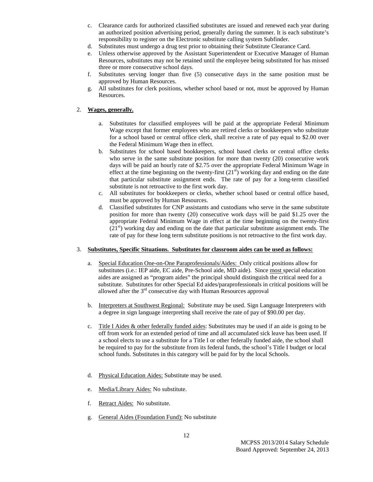- c. Clearance cards for authorized classified substitutes are issued and renewed each year during an authorized position advertising period, generally during the summer. It is each substitute's responsibility to register on the Electronic substitute calling system Subfinder.
- d. Substitutes must undergo a drug test prior to obtaining their Substitute Clearance Card.
- e. Unless otherwise approved by the Assistant Superintendent or Executive Manager of Human Resources, substitutes may not be retained until the employee being substituted for has missed three or more consecutive school days.
- f. Substitutes serving longer than five (5) consecutive days in the same position must be approved by Human Resources.
- g. All substitutes for clerk positions, whether school based or not, must be approved by Human Resources.

#### 2. **Wages, generally.**

- a. Substitutes for classified employees will be paid at the appropriate Federal Minimum Wage except that former employees who are retired clerks or bookkeepers who substitute for a school based or central office clerk, shall receive a rate of pay equal to \$2.00 over the Federal Minimum Wage then in effect.
- b. Substitutes for school based bookkeepers, school based clerks or central office clerks who serve in the same substitute position for more than twenty (20) consecutive work days will be paid an hourly rate of \$2.75 over the appropriate Federal Minimum Wage in effect at the time beginning on the twenty-first  $(21<sup>st</sup>)$  working day and ending on the date that particular substitute assignment ends. The rate of pay for a long-term classified substitute is not retroactive to the first work day.
- c. All substitutes for bookkeepers or clerks, whether school based or central office based, must be approved by Human Resources.
- d. Classified substitutes for CNP assistants and custodians who serve in the same substitute position for more than twenty (20) consecutive work days will be paid \$1.25 over the appropriate Federal Minimum Wage in effect at the time beginning on the twenty-first  $(21<sup>st</sup>)$  working day and ending on the date that particular substitute assignment ends. The rate of pay for these long term substitute positions is not retroactive to the first work day.

#### 3. **Substitutes, Specific Situations. Substitutes for classroom aides can be used as follows:**

- a. Special Education One-on-One Paraprofessionals/Aides: Only critical positions allow for substitutes (i.e.: IEP aide, EC aide, Pre-School aide, MD aide). Since most special education aides are assigned as "program aides" the principal should distinguish the critical need for a substitute. Substitutes for other Special Ed aides/paraprofessionals in critical positions will be allowed after the  $3<sup>rd</sup>$  consecutive day with Human Resources approval
- b. Interpreters at Southwest Regional: Substitute may be used. Sign Language Interpreters with a degree in sign language interpreting shall receive the rate of pay of \$90.00 per day.
- c. Title I Aides & other federally funded aides: Substitutes may be used if an aide is going to be off from work for an extended period of time and all accumulated sick leave has been used. If a school elects to use a substitute for a Title I or other federally funded aide, the school shall be required to pay for the substitute from its federal funds, the school's Title I budget or local school funds. Substitutes in this category will be paid for by the local Schools.
- d. Physical Education Aides: Substitute may be used.
- e. Media/Library Aides: No substitute.
- f. Retract Aides: No substitute.
- g. General Aides (Foundation Fund): No substitute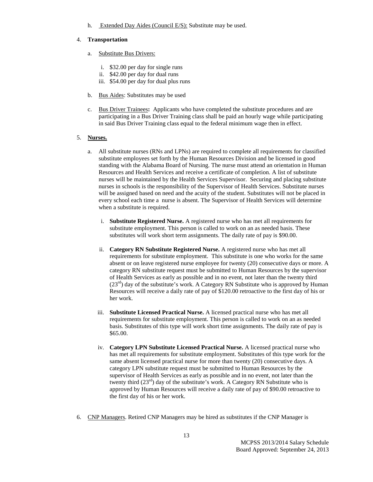h. Extended Day Aides (Council E/S): Substitute may be used.

#### 4. **Transportation**

- a. Substitute Bus Drivers:
	- i. \$32.00 per day for single runs
	- ii. \$42.00 per day for dual runs
	- iii. \$54.00 per day for dual plus runs
- b. Bus Aides: Substitutes may be used
- c. Bus Driver Trainees**:** Applicants who have completed the substitute procedures and are participating in a Bus Driver Training class shall be paid an hourly wage while participating in said Bus Driver Training class equal to the federal minimum wage then in effect.

#### 5. **Nurses.**

- a. All substitute nurses (RNs and LPNs) are required to complete all requirements for classified substitute employees set forth by the Human Resources Division and be licensed in good standing with the Alabama Board of Nursing. The nurse must attend an orientation in Human Resources and Health Services and receive a certificate of completion. A list of substitute nurses will be maintained by the Health Services Supervisor. Securing and placing substitute nurses in schools is the responsibility of the Supervisor of Health Services. Substitute nurses will be assigned based on need and the acuity of the student. Substitutes will not be placed in every school each time a nurse is absent. The Supervisor of Health Services will determine when a substitute is required.
	- i. **Substitute Registered Nurse.** A registered nurse who has met all requirements for substitute employment. This person is called to work on an as needed basis. These substitutes will work short term assignments. The daily rate of pay is \$90.00.
	- ii. **Category RN Substitute Registered Nurse.** A registered nurse who has met all requirements for substitute employment. This substitute is one who works for the same absent or on leave registered nurse employee for twenty (20) consecutive days or more. A category RN substitute request must be submitted to Human Resources by the supervisor of Health Services as early as possible and in no event, not later than the twenty third  $(23<sup>rd</sup>)$  day of the substitute's work. A Category RN Substitute who is approved by Human Resources will receive a daily rate of pay of \$120.00 retroactive to the first day of his or her work.
	- iii. **Substitute Licensed Practical Nurse.** A licensed practical nurse who has met all requirements for substitute employment. This person is called to work on an as needed basis. Substitutes of this type will work short time assignments. The daily rate of pay is \$65.00.
	- iv. **Category LPN Substitute Licensed Practical Nurse.** A licensed practical nurse who has met all requirements for substitute employment. Substitutes of this type work for the same absent licensed practical nurse for more than twenty (20) consecutive days. A category LPN substitute request must be submitted to Human Resources by the supervisor of Health Services as early as possible and in no event, not later than the twenty third  $(23<sup>rd</sup>)$  day of the substitute's work. A Category RN Substitute who is approved by Human Resources will receive a daily rate of pay of \$90.00 retroactive to the first day of his or her work.
- 6. CNP Managers. Retired CNP Managers may be hired as substitutes if the CNP Manager is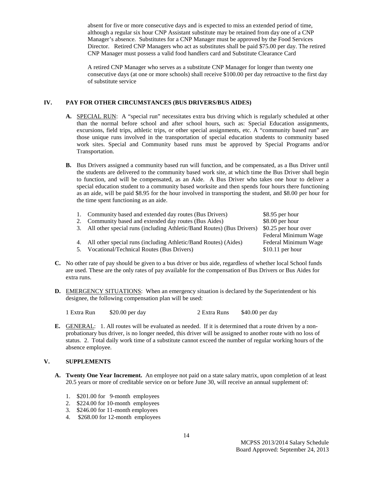absent for five or more consecutive days and is expected to miss an extended period of time, although a regular six hour CNP Assistant substitute may be retained from day one of a CNP Manager's absence. Substitutes for a CNP Manager must be approved by the Food Services Director. Retired CNP Managers who act as substitutes shall be paid \$75.00 per day. The retired CNP Manager must possess a valid food handlers card and Substitute Clearance Card

A retired CNP Manager who serves as a substitute CNP Manager for longer than twenty one consecutive days (at one or more schools) shall receive \$100.00 per day retroactive to the first day of substitute service

#### **IV. PAY FOR OTHER CIRCUMSTANCES (BUS DRIVERS/BUS AIDES)**

- **A.** SPECIAL RUN: A "special run" necessitates extra bus driving which is regularly scheduled at other than the normal before school and after school hours, such as: Special Education assignments, excursions, field trips, athletic trips, or other special assignments, etc. A "community based run" are those unique runs involved in the transportation of special education students to community based work sites. Special and Community based runs must be approved by Special Programs and/or Transportation.
- **B.** Bus Drivers assigned a community based run will function, and be compensated, as a Bus Driver until the students are delivered to the community based work site, at which time the Bus Driver shall begin to function, and will be compensated, as an Aide. A Bus Driver who takes one hour to deliver a special education student to a community based worksite and then spends four hours there functioning as an aide, will be paid \$8.95 for the hour involved in transporting the student, and \$8.00 per hour for the time spent functioning as an aide.

|    | 1. Community based and extended day routes (Bus Drivers)                 | \$8.95 per hour      |
|----|--------------------------------------------------------------------------|----------------------|
|    | 2. Community based and extended day routes (Bus Aides)                   | \$8.00 per hour      |
|    | 3. All other special runs (including Athletic/Band Routes) (Bus Drivers) | \$0.25 per hour over |
|    |                                                                          | Federal Minimum Wage |
|    | 4. All other special runs (including Athletic/Band Routes) (Aides)       | Federal Minimum Wage |
| 5. | Vocational/Technical Routes (Bus Drivers)                                | $$10.11$ per hour    |
|    |                                                                          |                      |

- **C.** No other rate of pay should be given to a bus driver or bus aide, regardless of whether local School funds are used. These are the only rates of pay available for the compensation of Bus Drivers or Bus Aides for extra runs.
- **D.** EMERGENCY SITUATIONS: When an emergency situation is declared by the Superintendent or his designee, the following compensation plan will be used:

1 Extra Run \$20.00 per day 2 Extra Runs \$40.00 per day

**E.** GENERAL: 1. All routes will be evaluated as needed. If it is determined that a route driven by a nonprobationary bus driver, is no longer needed, this driver will be assigned to another route with no loss of status. 2. Total daily work time of a substitute cannot exceed the number of regular working hours of the absence employee.

#### **V. SUPPLEMENTS**

- **A. Twenty One Year Increment.** An employee not paid on a state salary matrix, upon completion of at least 20.5 years or more of creditable service on or before June 30, will receive an annual supplement of:
	- 1. \$201.00 for 9-month employees
	- 2. \$224.00 for 10-month employees
	- 3. \$246.00 for 11-month employees
	- 4. \$268.00 for 12-month employees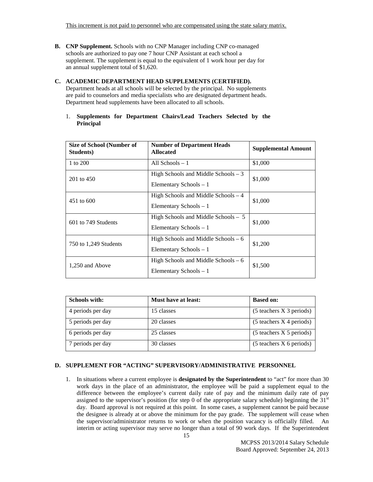This increment is not paid to personnel who are compensated using the state salary matrix.

- **B. CNP Supplement.** Schools with no CNP Manager including CNP co-managed schools are authorized to pay one 7 hour CNP Assistant at each school a supplement. The supplement is equal to the equivalent of 1 work hour per day for an annual supplement total of \$1,620.
- **C. ACADEMIC DEPARTMENT HEAD SUPPLEMENTS (CERTIFIED).**  Department heads at all schools will be selected by the principal. No supplements are paid to counselors and media specialists who are designated department heads. Department head supplements have been allocated to all schools.
	- 1. **Supplements for Department Chairs/Lead Teachers Selected by the Principal**

| <b>Size of School (Number of</b><br>Students) | <b>Number of Department Heads</b><br><b>Allocated</b>           | <b>Supplemental Amount</b> |
|-----------------------------------------------|-----------------------------------------------------------------|----------------------------|
| 1 to 200                                      | All Schools $-1$                                                | \$1,000                    |
| 201 to 450                                    | High Schools and Middle Schools $-3$<br>Elementary Schools $-1$ | \$1,000                    |
| 451 to 600                                    | High Schools and Middle Schools - 4<br>Elementary Schools $-1$  | \$1,000                    |
| 601 to 749 Students                           | High Schools and Middle Schools - 5<br>Elementary Schools $-1$  | \$1,000                    |
| 750 to 1,249 Students                         | High Schools and Middle Schools $-6$<br>Elementary Schools $-1$ | \$1,200                    |
| 1,250 and Above                               | High Schools and Middle Schools $-6$<br>Elementary Schools - 1  | \$1,500                    |

| <b>Schools with:</b> | <b>Must have at least:</b> | <b>Based on:</b>             |
|----------------------|----------------------------|------------------------------|
| 4 periods per day    | 15 classes                 | $(5$ teachers $X$ 3 periods) |
| 5 periods per day    | 20 classes                 | $(5$ teachers $X$ 4 periods) |
| 6 periods per day    | 25 classes                 | $(5$ teachers $X$ 5 periods) |
| 7 periods per day    | 30 classes                 | $(5$ teachers X 6 periods)   |

#### **D. SUPPLEMENT FOR "ACTING" SUPERVISORY/ADMINISTRATIVE PERSONNEL**

1. In situations where a current employee is **designated by the Superintendent** to "act" for more than 30 work days in the place of an administrator, the employee will be paid a supplement equal to the difference between the employee's current daily rate of pay and the minimum daily rate of pay assigned to the supervisor's position (for step 0 of the appropriate salary schedule) beginning the  $31<sup>st</sup>$ day. Board approval is not required at this point. In some cases, a supplement cannot be paid because the designee is already at or above the minimum for the pay grade. The supplement will cease when the supervisor/administrator returns to work or when the position vacancy is officially filled. An interim or acting supervisor may serve no longer than a total of 90 work days. If the Superintendent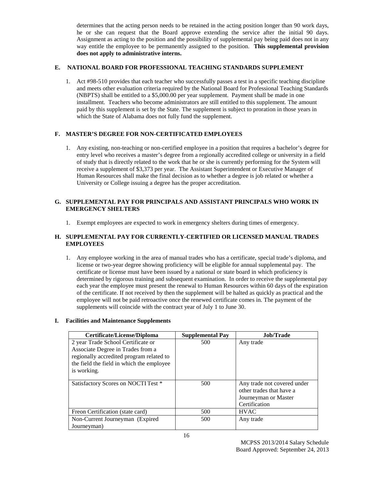determines that the acting person needs to be retained in the acting position longer than 90 work days, he or she can request that the Board approve extending the service after the initial 90 days. Assignment as acting to the position and the possibility of supplemental pay being paid does not in any way entitle the employee to be permanently assigned to the position. **This supplemental provision does not apply to administrative interns.**

#### **E. NATIONAL BOARD FOR PROFESSIONAL TEACHING STANDARDS SUPPLEMENT**

1. Act #98-510 provides that each teacher who successfully passes a test in a specific teaching discipline and meets other evaluation criteria required by the National Board for Professional Teaching Standards (NBPTS) shall be entitled to a \$5,000.00 per year supplement. Payment shall be made in one installment. Teachers who become administrators are still entitled to this supplement. The amount paid by this supplement is set by the State. The supplement is subject to proration in those years in which the State of Alabama does not fully fund the supplement.

## **F. MASTER'S DEGREE FOR NON-CERTIFICATED EMPLOYEES**

1. Any existing, non-teaching or non-certified employee in a position that requires a bachelor's degree for entry level who receives a master's degree from a regionally accredited college or university in a field of study that is directly related to the work that he or she is currently performing for the System will receive a supplement of \$3,373 per year. The Assistant Superintendent or Executive Manager of Human Resources shall make the final decision as to whether a degree is job related or whether a University or College issuing a degree has the proper accreditation.

#### **G. SUPPLEMENTAL PAY FOR PRINCIPALS AND ASSISTANT PRINCIPALS WHO WORK IN EMERGENCY SHELTERS**

1. Exempt employees are expected to work in emergency shelters during times of emergency.

#### **H. SUPPLEMENTAL PAY FOR CURRENTLY-CERTIFIED OR LICENSED MANUAL TRADES EMPLOYEES**

1. Any employee working in the area of manual trades who has a certificate, special trade's diploma, and license or two-year degree showing proficiency will be eligible for annual supplemental pay. The certificate or license must have been issued by a national or state board in which proficiency is determined by rigorous training and subsequent examination. In order to receive the supplemental pay each year the employee must present the renewal to Human Resources within 60 days of the expiration of the certificate. If not received by then the supplement will be halted as quickly as practical and the employee will not be paid retroactive once the renewed certificate comes in. The payment of the supplements will coincide with the contract year of July 1 to June 30.

#### **I. Facilities and Maintenance Supplements**

| <b>Certificate/License/Diploma</b>        | <b>Supplemental Pay</b> | Job/Trade                   |
|-------------------------------------------|-------------------------|-----------------------------|
| 2 year Trade School Certificate or        | 500                     | Any trade                   |
| Associate Degree in Trades from a         |                         |                             |
| regionally accredited program related to  |                         |                             |
| the field the field in which the employee |                         |                             |
| is working.                               |                         |                             |
|                                           |                         |                             |
| Satisfactory Scores on NOCTI Test *       | 500                     | Any trade not covered under |
|                                           |                         | other trades that have a    |
|                                           |                         | Journeyman or Master        |
|                                           |                         | Certification               |
| Freon Certification (state card)          | 500                     | <b>HVAC</b>                 |
| Non-Current Journeyman (Expired)          | 500                     | Any trade                   |
| Journeyman)                               |                         |                             |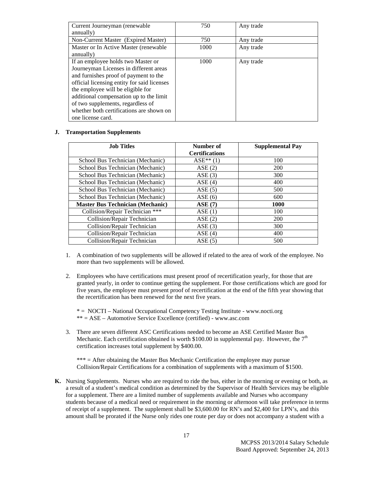| Current Journeyman (renewable)              | 750  | Any trade |
|---------------------------------------------|------|-----------|
| annually)                                   |      |           |
| Non-Current Master (Expired Master)         | 750  | Any trade |
| Master or In Active Master (renewable       | 1000 | Any trade |
| annually)                                   |      |           |
| If an employee holds two Master or          | 1000 | Any trade |
| Journeyman Licenses in different areas      |      |           |
| and furnishes proof of payment to the       |      |           |
| official licensing entity for said licenses |      |           |
| the employee will be eligible for           |      |           |
| additional compensation up to the limit     |      |           |
| of two supplements, regardless of           |      |           |
| whether both certifications are shown on    |      |           |
| one license card.                           |      |           |

#### **J. Transportation Supplements**

| <b>Job Titles</b>                       | Number of             | <b>Supplemental Pay</b> |
|-----------------------------------------|-----------------------|-------------------------|
|                                         | <b>Certifications</b> |                         |
| School Bus Technician (Mechanic)        | $ASE**(1)$            | 100                     |
| School Bus Technician (Mechanic)        | ASE(2)                | <b>200</b>              |
| School Bus Technician (Mechanic)        | ASE(3)                | 300                     |
| School Bus Technician (Mechanic)        | ASE(4)                | 400                     |
| School Bus Technician (Mechanic)        | ASE(5)                | 500                     |
| School Bus Technician (Mechanic)        | ASE(6)                | 600                     |
| <b>Master Bus Technician (Mechanic)</b> | ASE(7)                | <b>1000</b>             |
| Collision/Repair Technician ***         | ASE(1)                | 100                     |
| Collision/Repair Technician             | ASE(2)                | <b>200</b>              |
| Collision/Repair Technician             | ASE(3)                | 300                     |
| Collision/Repair Technician             | ASE(4)                | 400                     |
| Collision/Repair Technician             | ASE(5)                | 500                     |

- 1. A combination of two supplements will be allowed if related to the area of work of the employee. No more than two supplements will be allowed.
- 2. Employees who have certifications must present proof of recertification yearly, for those that are granted yearly, in order to continue getting the supplement. For those certifications which are good for five years, the employee must present proof of recertification at the end of the fifth year showing that the recertification has been renewed for the next five years.

\* = NOCTI – National Occupational Competency Testing Institute - www.nocti.org \*\* = ASE – Automotive Service Excellence (certified) - www.asc.com

3. There are seven different ASC Certifications needed to become an ASE Certified Master Bus Mechanic. Each certification obtained is worth \$100.00 in supplemental pay. However, the  $7<sup>th</sup>$ certification increases total supplement by \$400.00.

\*\*\* = After obtaining the Master Bus Mechanic Certification the employee may pursue Collision/Repair Certifications for a combination of supplements with a maximum of \$1500.

**K.** Nursing Supplements. Nurses who are required to ride the bus, either in the morning or evening or both, as a result of a student's medical condition as determined by the Supervisor of Health Services may be eligible for a supplement. There are a limited number of supplements available and Nurses who accompany students because of a medical need or requirement in the morning or afternoon will take preference in terms of receipt of a supplement. The supplement shall be \$3,600.00 for RN's and \$2,400 for LPN's, and this amount shall be prorated if the Nurse only rides one route per day or does not accompany a student with a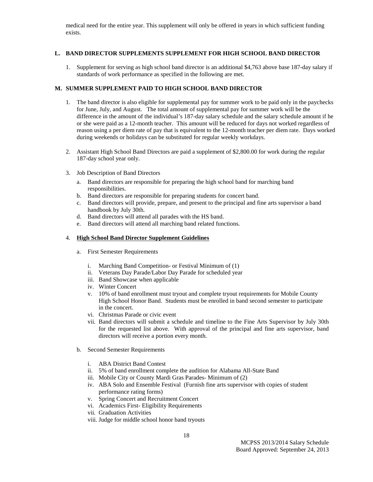medical need for the entire year. This supplement will only be offered in years in which sufficient funding exists.

#### **L. BAND DIRECTOR SUPPLEMENTS SUPPLEMENT FOR HIGH SCHOOL BAND DIRECTOR**

1. Supplement for serving as high school band director is an additional \$4,763 above base 187-day salary if standards of work performance as specified in the following are met.

#### **M. SUMMER SUPPLEMENT PAID TO HIGH SCHOOL BAND DIRECTOR**

- 1. The band director is also eligible for supplemental pay for summer work to be paid only in the paychecks for June, July, and August. The total amount of supplemental pay for summer work will be the difference in the amount of the individual's 187-day salary schedule and the salary schedule amount if he or she were paid as a 12-month teacher. This amount will be reduced for days not worked regardless of reason using a per diem rate of pay that is equivalent to the 12-month teacher per diem rate. Days worked during weekends or holidays can be substituted for regular weekly workdays.
- 2. Assistant High School Band Directors are paid a supplement of \$2,800.00 for work during the regular 187-day school year only.
- 3. Job Description of Band Directors
	- a. Band directors are responsible for preparing the high school band for marching band responsibilities.
	- b. Band directors are responsible for preparing students for concert band.
	- c. Band directors will provide, prepare, and present to the principal and fine arts supervisor a band handbook by July 30th.
	- d. Band directors will attend all parades with the HS band.
	- e. Band directors will attend all marching band related functions.

#### 4. **High School Band Director Supplement Guidelines**

- a. First Semester Requirements
	- i. Marching Band Competition- or Festival Minimum of (1)
	- ii. Veterans Day Parade/Labor Day Parade for scheduled year
	- iii. Band Showcase when applicable
	- iv. Winter Concert
	- v. 10% of band enrollment must tryout and complete tryout requirements for Mobile County High School Honor Band. Students must be enrolled in band second semester to participate in the concert.
	- vi. Christmas Parade or civic event
	- vii. Band directors will submit a schedule and timeline to the Fine Arts Supervisor by July 30th for the requested list above. With approval of the principal and fine arts supervisor, band directors will receive a portion every month.
- b. Second Semester Requirements
	- i. ABA District Band Contest
	- ii. 5% of band enrollment complete the audition for Alabama All-State Band
	- iii. Mobile City or County Mardi Gras Parades- Minimum of (2)
	- iv. ABA Solo and Ensemble Festival (Furnish fine arts supervisor with copies of student performance rating forms)
	- v. Spring Concert and Recruitment Concert
	- vi. Academics First- Eligibility Requirements
	- vii. Graduation Activities
	- viii. Judge for middle school honor band tryouts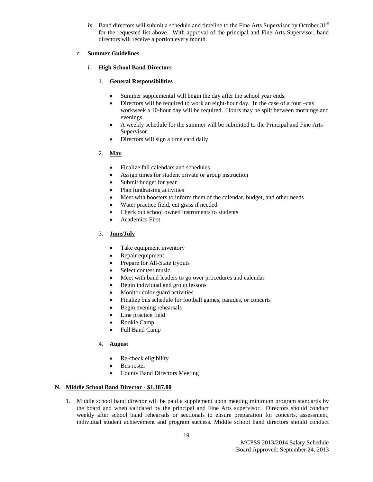ix. Band directors will submit a schedule and timeline to the Fine Arts Supervisor by October  $31<sup>st</sup>$ for the requested list above. With approval of the principal and Fine Arts Supervisor, band directors will receive a portion every month.

#### c. **Summer Guidelines**

## i. **High School Band Directors**

## 1. **General Responsibilities**

- Summer supplemental will begin the day after the school year ends.
- Directors will be required to work an eight-hour day. In the case of a four –day workweek a 10-hour day will be required. Hours may be split between mornings and evenings.
- A weekly schedule for the summer will be submitted to the Principal and Fine Arts Supervisor.
- Directors will sign a time card daily

## 2. **May**

- Finalize fall calendars and schedules
- Assign times for student private or group instruction
- Submit budget for year
- Plan fundraising activities
- Meet with boosters to inform them of the calendar, budget, and other needs
- Water practice field, cut grass if needed
- Check out school owned instruments to students
- Academics First

## 3. **June/July**

- Take equipment inventory
- Repair equipment
- Prepare for All-State tryouts
- Select contest music
- Meet with band leaders to go over procedures and calendar
- Begin individual and group lessons
- Monitor color guard activities
- Finalize bus schedule for football games, parades, or concerts
- Begin evening rehearsals
- Line practice field
- Rookie Camp
- Full Band Camp

## 4. **August**

- Re-check eligibility
- Bus roster
- County Band Directors Meeting

#### **N. Middle School Band Director - \$1,187.00**

1. Middle school band director will be paid a supplement upon meeting minimum program standards by the board and when validated by the principal and Fine Arts supervisor. Directors should conduct weekly after school band rehearsals or sectionals to ensure preparation for concerts, assessment, individual student achievement and program success. Middle school band directors should conduct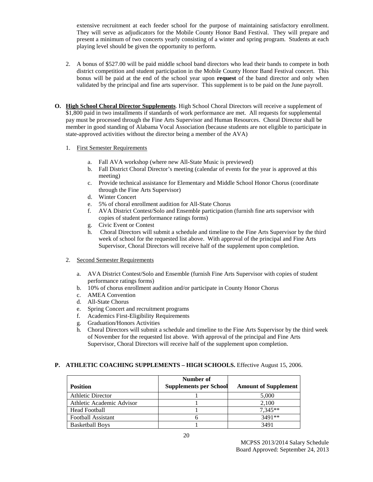extensive recruitment at each feeder school for the purpose of maintaining satisfactory enrollment. They will serve as adjudicators for the Mobile County Honor Band Festival. They will prepare and present a minimum of two concerts yearly consisting of a winter and spring program. Students at each playing level should be given the opportunity to perform.

- 2. A bonus of \$527.00 will be paid middle school band directors who lead their bands to compete in both district competition and student participation in the Mobile County Honor Band Festival concert. This bonus will be paid at the end of the school year upon **request** of the band director and only when validated by the principal and fine arts supervisor. This supplement is to be paid on the June payroll.
- **O. High School Choral Director Supplements**. High School Choral Directors will receive a supplement of \$1,800 paid in two installments if standards of work performance are met. All requests for supplemental pay must be processed through the Fine Arts Supervisor and Human Resources. Choral Director shall be member in good standing of Alabama Vocal Association (because students are not eligible to participate in state-approved activities without the director being a member of the AVA)

#### 1. First Semester Requirements

- a. Fall AVA workshop (where new All-State Music is previewed)
- b. Fall District Choral Director's meeting (calendar of events for the year is approved at this meeting)
- c. Provide technical assistance for Elementary and Middle School Honor Chorus (coordinate through the Fine Arts Supervisor)
- d. Winter Concert
- e. 5% of choral enrollment audition for All-State Chorus
- f. AVA District Contest/Solo and Ensemble participation (furnish fine arts supervisor with copies of student performance ratings forms)
- g. Civic Event or Contest
- h. Choral Directors will submit a schedule and timeline to the Fine Arts Supervisor by the third week of school for the requested list above. With approval of the principal and Fine Arts Supervisor, Choral Directors will receive half of the supplement upon completion.
- 2. Second Semester Requirements
	- a. AVA District Contest/Solo and Ensemble (furnish Fine Arts Supervisor with copies of student performance ratings forms)
	- b. 10% of chorus enrollment audition and/or participate in County Honor Chorus
	- c. AMEA Convention
	- d. All-State Chorus
	- e. Spring Concert and recruitment programs
	- f. Academics First-Eligibility Requirements
	- g. Graduation/Honors Activities
	- h. Choral Directors will submit a schedule and timeline to the Fine Arts Supervisor by the third week of November for the requested list above. With approval of the principal and Fine Arts Supervisor, Choral Directors will receive half of the supplement upon completion.

#### **P. ATHLETIC COACHING SUPPLEMENTS – HIGH SCHOOLS.** Effective August 15, 2006.

| <b>Position</b>           | Number of<br><b>Supplements per School</b> | <b>Amount of Supplement</b> |
|---------------------------|--------------------------------------------|-----------------------------|
| <b>Athletic Director</b>  |                                            | 5,000                       |
| Athletic Academic Advisor |                                            | 2.100                       |
| <b>Head Football</b>      |                                            | $7.345**$                   |
| Football Assistant        |                                            | $3491**$                    |
| <b>Basketball Boys</b>    |                                            | 3491                        |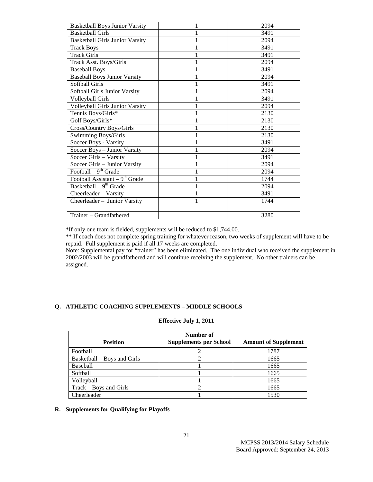| <b>Basketball Boys Junior Varsity</b>  |   | 2094 |
|----------------------------------------|---|------|
| <b>Basketball Girls</b>                |   | 3491 |
| <b>Basketball Girls Junior Varsity</b> |   | 2094 |
| <b>Track Boys</b>                      |   | 3491 |
| <b>Track Girls</b>                     |   | 3491 |
| Track Asst. Boys/Girls                 |   | 2094 |
| <b>Baseball Boys</b>                   |   | 3491 |
| <b>Baseball Boys Junior Varsity</b>    |   | 2094 |
| Softball Girls                         |   | 3491 |
| Softball Girls Junior Varsity          |   | 2094 |
| <b>Volleyball Girls</b>                |   | 3491 |
| <b>Volleyball Girls Junior Varsity</b> |   | 2094 |
| Tennis Boys/Girls*                     |   | 2130 |
| Golf Boys/Girls*                       |   | 2130 |
| Cross/Country Boys/Girls               |   | 2130 |
| <b>Swimming Boys/Girls</b>             |   | 2130 |
| Soccer Boys - Varsity                  |   | 3491 |
| Soccer Boys - Junior Varsity           |   | 2094 |
| Soccer Girls - Varsity                 |   | 3491 |
| Soccer Girls - Junior Varsity          |   | 2094 |
| Football – $9th$ Grade                 |   | 2094 |
| Football Assistant – $9th$ Grade       |   | 1744 |
| Basketball $-9^{th}$ Grade             |   | 2094 |
| Cheerleader - Varsity                  |   | 3491 |
| Cheerleader - Junior Varsity           | 1 | 1744 |
|                                        |   |      |
| Trainer – Grandfathered                |   | 3280 |

\*If only one team is fielded, supplements will be reduced to \$1,744.00.

\*\* If coach does not complete spring training for whatever reason, two weeks of supplement will have to be repaid. Full supplement is paid if all 17 weeks are completed.

Note: Supplemental pay for "trainer" has been eliminated. The one individual who received the supplement in 2002/2003 will be grandfathered and will continue receiving the supplement. No other trainers can be assigned.

## **Q. ATHLETIC COACHING SUPPLEMENTS – MIDDLE SCHOOLS**

### **Effective July 1, 2011**

| <b>Position</b>             | Number of<br><b>Supplements per School</b> | <b>Amount of Supplement</b> |
|-----------------------------|--------------------------------------------|-----------------------------|
| Football                    |                                            | 1787                        |
| Basketball – Boys and Girls |                                            | 1665                        |
| <b>Baseball</b>             |                                            | 1665                        |
| Softball                    |                                            | 1665                        |
| Volleyball                  |                                            | 1665                        |
| Track – Boys and Girls      |                                            | 1665                        |
| Cheerleader                 |                                            | 1530                        |

#### **R. Supplements for Qualifying for Playoffs**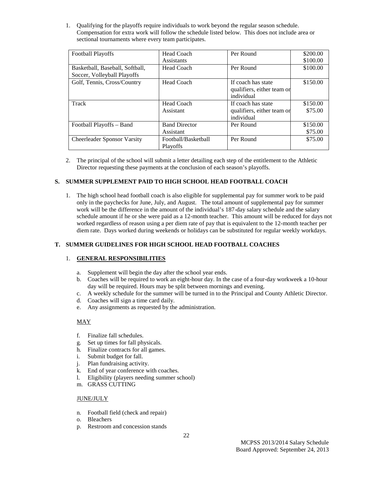1. Qualifying for the playoffs require individuals to work beyond the regular season schedule. Compensation for extra work will follow the schedule listed below. This does not include area or sectional tournaments where every team participates.

| <b>Football Playoffs</b>                                       | Head Coach                        | Per Round                                                      | \$200.00            |
|----------------------------------------------------------------|-----------------------------------|----------------------------------------------------------------|---------------------|
|                                                                | Assistants                        |                                                                | \$100.00            |
| Basketball, Baseball, Softball,<br>Soccer, Volleyball Playoffs | Head Coach                        | Per Round                                                      | \$100.00            |
| Golf, Tennis, Cross/Country                                    | Head Coach                        | If coach has state<br>qualifiers, either team or<br>individual | \$150.00            |
| Track                                                          | Head Coach<br>Assistant           | If coach has state<br>qualifiers, either team or<br>individual | \$150.00<br>\$75.00 |
| Football Playoffs – Band                                       | <b>Band Director</b><br>Assistant | Per Round                                                      | \$150.00<br>\$75.00 |
| <b>Cheerleader Sponsor Varsity</b>                             | Football/Basketball<br>Playoffs   | Per Round                                                      | \$75.00             |

2. The principal of the school will submit a letter detailing each step of the entitlement to the Athletic Director requesting these payments at the conclusion of each season's playoffs.

#### **S. SUMMER SUPPLEMENT PAID TO HIGH SCHOOL HEAD FOOTBALL COACH**

1. The high school head football coach is also eligible for supplemental pay for summer work to be paid only in the paychecks for June, July, and August. The total amount of supplemental pay for summer work will be the difference in the amount of the individual's 187-day salary schedule and the salary schedule amount if he or she were paid as a 12-month teacher. This amount will be reduced for days not worked regardless of reason using a per diem rate of pay that is equivalent to the 12-month teacher per diem rate. Days worked during weekends or holidays can be substituted for regular weekly workdays.

## **T. SUMMER GUIDELINES FOR HIGH SCHOOL HEAD FOOTBALL COACHES**

#### 1. **GENERAL RESPONSIBILITIES**

- a. Supplement will begin the day after the school year ends.
- b. Coaches will be required to work an eight-hour day. In the case of a four-day workweek a 10-hour day will be required. Hours may be split between mornings and evening.
- c. A weekly schedule for the summer will be turned in to the Principal and County Athletic Director.
- d. Coaches will sign a time card daily.
- e. Any assignments as requested by the administration.

#### MAY

- f. Finalize fall schedules.
- g. Set up times for fall physicals.
- h. Finalize contracts for all games.
- i. Submit budget for fall.
- j. Plan fundraising activity.
- k. End of year conference with coaches.
- l. Eligibility (players needing summer school)
- m. GRASS CUTTING

#### JUNE/JULY

- n. Football field (check and repair)
- o. Bleachers
- p. Restroom and concession stands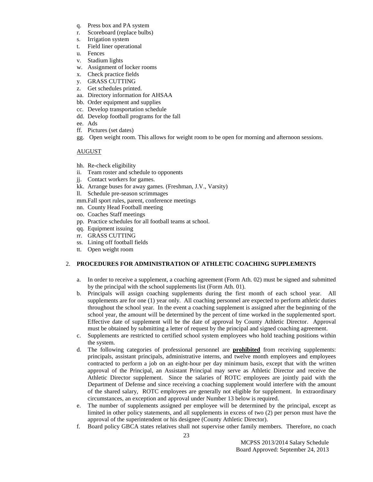- q. Press box and PA system
- r. Scoreboard (replace bulbs)
- s. Irrigation system
- t. Field liner operational
- u. Fences
- v. Stadium lights
- w. Assignment of locker rooms
- x. Check practice fields
- y. GRASS CUTTING
- z. Get schedules printed.
- aa. Directory information for AHSAA
- bb. Order equipment and supplies
- cc. Develop transportation schedule
- dd. Develop football programs for the fall
- ee. Ads
- ff. Pictures (set dates)
- gg. Open weight room. This allows for weight room to be open for morning and afternoon sessions.

## AUGUST

- hh. Re-check eligibility
- ii. Team roster and schedule to opponents
- jj. Contact workers for games.
- kk. Arrange buses for away games. (Freshman, J.V., Varsity)
- ll. Schedule pre-season scrimmages
- mm.Fall sport rules, parent, conference meetings
- nn. County Head Football meeting
- oo. Coaches Staff meetings
- pp. Practice schedules for all football teams at school.
- qq. Equipment issuing
- rr. GRASS CUTTING
- ss. Lining off football fields
- tt. Open weight room

## 2. **PROCEDURES FOR ADMINISTRATION OF ATHLETIC COACHING SUPPLEMENTS**

- a. In order to receive a supplement, a coaching agreement (Form Ath. 02) must be signed and submitted by the principal with the school supplements list (Form Ath. 01).
- b. Principals will assign coaching supplements during the first month of each school year. All supplements are for one (1) year only. All coaching personnel are expected to perform athletic duties throughout the school year. In the event a coaching supplement is assigned after the beginning of the school year, the amount will be determined by the percent of time worked in the supplemented sport. Effective date of supplement will be the date of approval by County Athletic Director. Approval must be obtained by submitting a letter of request by the principal and signed coaching agreement.
- c. Supplements are restricted to certified school system employees who hold teaching positions within the system.
- d. The following categories of professional personnel are **prohibited** from receiving supplements: principals, assistant principals, administrative interns, and twelve month employees and employees contracted to perform a job on an eight-hour per day minimum basis, except that with the written approval of the Principal, an Assistant Principal may serve as Athletic Director and receive the Athletic Director supplement. Since the salaries of ROTC employees are jointly paid with the Department of Defense and since receiving a coaching supplement would interfere with the amount of the shared salary, ROTC employees are generally not eligible for supplement. In extraordinary circumstances, an exception and approval under Number 13 below is required.
- e. The number of supplements assigned per employee will be determined by the principal, except as limited in other policy statements, and all supplements in excess of two (2) per person must have the approval of the superintendent or his designee (County Athletic Director).
- f. Board policy GBCA states relatives shall not supervise other family members. Therefore, no coach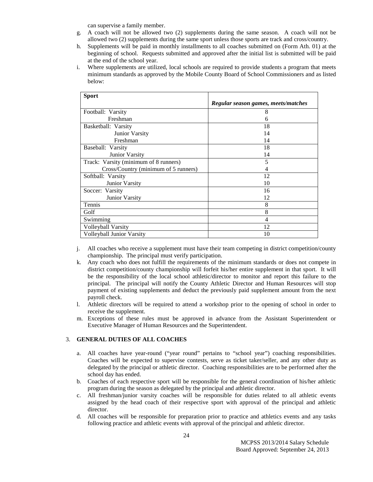can supervise a family member.

- g. A coach will not be allowed two (2) supplements during the same season. A coach will not be allowed two (2) supplements during the same sport unless those sports are track and cross/country.
- h. Supplements will be paid in monthly installments to all coaches submitted on (Form Ath. 01) at the beginning of school. Requests submitted and approved after the initial list is submitted will be paid at the end of the school year.
- i. Where supplements are utilized, local schools are required to provide students a program that meets minimum standards as approved by the Mobile County Board of School Commissioners and as listed below:

| <b>Sport</b>                          |                                     |
|---------------------------------------|-------------------------------------|
|                                       | Regular season games, meets/matches |
| Football: Varsity                     | 8                                   |
| Freshman                              | 6                                   |
| Basketball: Varsity                   | 18                                  |
| Junior Varsity                        | 14                                  |
| Freshman                              | 14                                  |
| Baseball: Varsity                     | 18                                  |
| Junior Varsity                        | 14                                  |
| Track: Varsity (minimum of 8 runners) | 5                                   |
| Cross/Country (minimum of 5 runners)  |                                     |
| Softball: Varsity                     | 12                                  |
| Junior Varsity                        | 10                                  |
| Soccer: Varsity                       | 16                                  |
| Junior Varsity                        | 12                                  |
| Tennis                                | 8                                   |
| Golf                                  | 8                                   |
| Swimming                              | 4                                   |
| Volleyball Varsity                    | 12                                  |
| Volleyball Junior Varsity             | 10                                  |

- j. All coaches who receive a supplement must have their team competing in district competition/county championship. The principal must verify participation.
- k. Any coach who does not fulfill the requirements of the minimum standards or does not compete in district competition/county championship will forfeit his/her entire supplement in that sport. It will be the responsibility of the local school athletic/director to monitor and report this failure to the principal. The principal will notify the County Athletic Director and Human Resources will stop payment of existing supplements and deduct the previously paid supplement amount from the next payroll check.
- l. Athletic directors will be required to attend a workshop prior to the opening of school in order to receive the supplement.
- m. Exceptions of these rules must be approved in advance from the Assistant Superintendent or Executive Manager of Human Resources and the Superintendent.

#### 3. **GENERAL DUTIES OF ALL COACHES**

- a. All coaches have year-round ("year round" pertains to "school year") coaching responsibilities. Coaches will be expected to supervise contests, serve as ticket taker/seller, and any other duty as delegated by the principal or athletic director. Coaching responsibilities are to be performed after the school day has ended.
- b. Coaches of each respective sport will be responsible for the general coordination of his/her athletic program during the season as delegated by the principal and athletic director.
- c. All freshman/junior varsity coaches will be responsible for duties related to all athletic events assigned by the head coach of their respective sport with approval of the principal and athletic director.
- d. All coaches will be responsible for preparation prior to practice and athletics events and any tasks following practice and athletic events with approval of the principal and athletic director.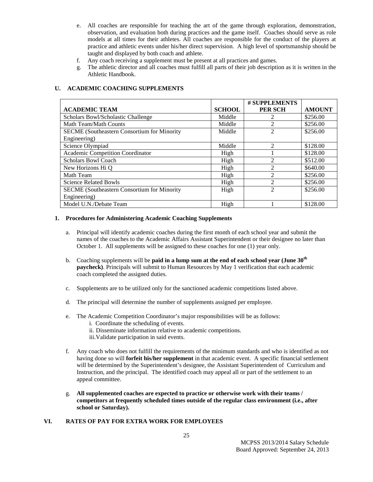- e. All coaches are responsible for teaching the art of the game through exploration, demonstration, observation, and evaluation both during practices and the game itself. Coaches should serve as role models at all times for their athletes. All coaches are responsible for the conduct of the players at practice and athletic events under his/her direct supervision. A high level of sportsmanship should be taught and displayed by both coach and athlete.
- f. Any coach receiving a supplement must be present at all practices and games.
- g. The athletic director and all coaches must fulfill all parts of their job description as it is written in the Athletic Handbook.

## **U. ACADEMIC COACHING SUPPLEMENTS**

|                                                    |               | # SUPPLEMENTS  |               |
|----------------------------------------------------|---------------|----------------|---------------|
| <b>ACADEMIC TEAM</b>                               | <b>SCHOOL</b> | <b>PER SCH</b> | <b>AMOUNT</b> |
| Scholars Bowl/Scholastic Challenge                 | Middle        |                | \$256.00      |
| Math Team/Math Counts                              | Middle        | 2              | \$256.00      |
| <b>SECME</b> (Southeastern Consortium for Minority | Middle        | $\mathfrak{D}$ | \$256.00      |
| Engineering)                                       |               |                |               |
| Science Olympiad                                   | Middle        | $\mathfrak{D}$ | \$128.00      |
| Academic Competition Coordinator                   | High          |                | \$128.00      |
| <b>Scholars Bowl Coach</b>                         | High          |                | \$512.00      |
| New Horizons Hi Q                                  | High          | 2              | \$640.00      |
| Math Team                                          | High          | 2              | \$256.00      |
| <b>Science Related Bowls</b>                       | High          | $\mathfrak{D}$ | \$256.00      |
| <b>SECME</b> (Southeastern Consortium for Minority | High          | $\mathfrak{D}$ | \$256.00      |
| Engineering)                                       |               |                |               |
| Model U.N./Debate Team                             | High          |                | \$128.00      |

#### **1. Procedures for Administering Academic Coaching Supplements**

- a. Principal will identify academic coaches during the first month of each school year and submit the names of the coaches to the Academic Affairs Assistant Superintendent or their designee no later than October 1. All supplements will be assigned to these coaches for one (1) year only.
- b. Coaching supplements will be **paid in a lump sum at the end of each school year (June 30th paycheck)**. Principals will submit to Human Resources by May 1 verification that each academic coach completed the assigned duties.
- c. Supplements are to be utilized only for the sanctioned academic competitions listed above.
- d. The principal will determine the number of supplements assigned per employee.
- e. The Academic Competition Coordinator's major responsibilities will be as follows:
	- i. Coordinate the scheduling of events.
	- ii. Disseminate information relative to academic competitions.
	- iii.Validate participation in said events.
- f. Any coach who does not fulfill the requirements of the minimum standards and who is identified as not having done so will **forfeit his/her supplement** in that academic event. A specific financial settlement will be determined by the Superintendent's designee, the Assistant Superintendent of Curriculum and Instruction, and the principal. The identified coach may appeal all or part of the settlement to an appeal committee.
- g. **All supplemented coaches are expected to practice or otherwise work with their teams / competitors at frequently scheduled times outside of the regular class environment (i.e., after school or Saturday).**

## **VI. RATES OF PAY FOR EXTRA WORK FOR EMPLOYEES**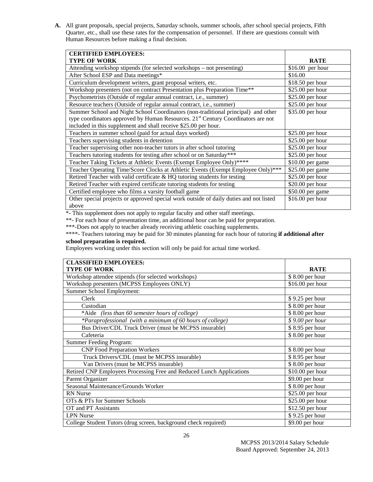**A.** All grant proposals, special projects, Saturday schools, summer schools, after school special projects, Fifth Quarter, etc., shall use these rates for the compensation of personnel. If there are questions consult with Human Resources before making a final decision.

| <b>CERTIFIED EMPLOYEES:</b>                                                                  |                   |
|----------------------------------------------------------------------------------------------|-------------------|
| <b>TYPE OF WORK</b>                                                                          | <b>RATE</b>       |
| Attending workshop stipends (for selected workshops – not presenting)                        | $$16.00$ per hour |
| After School ESP and Data meetings*                                                          | \$16.00           |
| Curriculum development writers, grant proposal writers, etc.                                 | $$18.50$ per hour |
| Workshop presenters (not on contract Presentation plus Preparation Time**                    | \$25.00 per hour  |
| Psychometrists (Outside of regular annual contract, i.e., summer)                            | \$25.00 per hour  |
| Resource teachers (Outside of regular annual contract, i.e., summer)                         | \$25.00 per hour  |
| Summer School and Night School Coordinators (non-traditional principal) and other            | \$35.00 per hour  |
| type coordinators approved by Human Resources. 21 <sup>st</sup> Century Coordinators are not |                   |
| included in this supplement and shall receive \$25.00 per hour.                              |                   |
| Teachers in summer school (paid for actual days worked)                                      | \$25.00 per hour  |
| Teachers supervising students in detention                                                   | \$25.00 per hour  |
| Teacher supervising other non-teacher tutors in after school tutoring                        | $$25.00$ per hour |
| Teachers tutoring students for testing after school or on Saturday***                        | \$25.00 per hour  |
| Teacher Taking Tickets at Athletic Events (Exempt Employee Only)****                         | $$10.00$ per game |
| Teacher Operating Time/Score Clocks at Athletic Events (Exempt Employee Only)***             | \$25.00 per game  |
| Retired Teacher with valid certificate & HQ tutoring students for testing                    | \$25.00 per hour  |
| Retired Teacher with expired certificate tutoring students for testing                       | \$20.00 per hour  |
| Certified employee who films a varsity football game                                         | \$50.00 per game  |
| Other special projects or approved special work outside of daily duties and not listed       | \$16.00 per hour  |
| above                                                                                        |                   |

\*- This supplement does not apply to regular faculty and other staff meetings.

\*\*- For each hour of presentation time, an additional hour can be paid for preparation.

\*\*\*-Does not apply to teacher already receiving athletic coaching supplements.

\*\*\*\*- Teachers tutoring may be paid for 30 minutes planning for each hour of tutoring **if additional after** 

## **school preparation is required.**

Employees working under this section will only be paid for actual time worked.

| <b>CLASSIFIED EMPLOYEES:</b>                                         |                  |
|----------------------------------------------------------------------|------------------|
| <b>TYPE OF WORK</b>                                                  | <b>RATE</b>      |
| Workshop attendee stipends (for selected workshops)                  | \$8.00 per hour  |
| Workshop presenters (MCPSS Employees ONLY)                           | \$16.00 per hour |
| Summer School Employment:                                            |                  |
| Clerk                                                                | \$9.25 per hour  |
| Custodian                                                            | \$8.00 per hour  |
| *Aide (less than 60 semester hours of college)                       | $$8.00$ per hour |
| *Paraprofessional (with a minimum of 60 hours of college)            | $$9.00$ per hour |
| Bus Driver/CDL Truck Driver (must be MCPSS insurable)                | \$8.95 per hour  |
| Cafeteria                                                            | \$8.00 per hour  |
| <b>Summer Feeding Program:</b>                                       |                  |
| <b>CNP Food Preparation Workers</b>                                  | \$8.00 per hour  |
| Truck Drivers/CDL (must be MCPSS insurable)                          | \$8.95 per hour  |
| Van Drivers (must be MCPSS insurable)                                | \$8.00 per hour  |
| Retired CNP Employees Processing Free and Reduced Lunch Applications | \$10.00 per hour |
| Parent Organizer                                                     | \$9.00 per hour  |
| Seasonal Maintenance/Grounds Worker                                  | \$8.00 per hour  |
| <b>RN</b> Nurse                                                      | \$25.00 per hour |
| OTs & PTs for Summer Schools                                         | \$25.00 per hour |
| OT and PT Assistants                                                 | \$12.50 per hour |
| <b>LPN Nurse</b>                                                     | \$9.25 per hour  |
| College Student Tutors (drug screen, background check required)      | \$9.00 per hour  |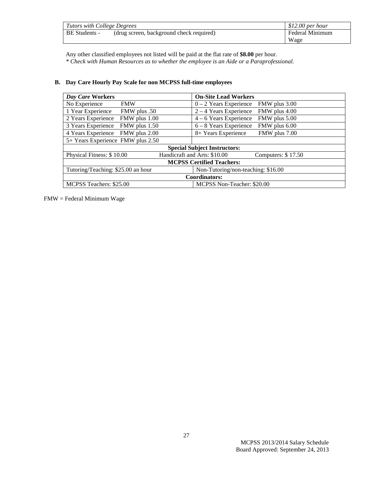| Tutors with College Degrees |                                          | $$12.00$ per hour |
|-----------------------------|------------------------------------------|-------------------|
| BE Students -               | (drug screen, background check required) | Federal Minimum   |
|                             |                                          | Wage              |

Any other classified employees not listed will be paid at the flat rate of **\$8.00** per hour. *\* Check with Human Resources as to whether the employee is an Aide or a Paraprofessional.* 

| Day Care Workers                                                         | <b>On-Site Lead Workers</b>                         |  |  |
|--------------------------------------------------------------------------|-----------------------------------------------------|--|--|
| No Experience<br><b>FMW</b>                                              | $0 - 2$ Years Experience<br>FMW plus 3.00           |  |  |
| 1 Year Experience<br>FMW plus .50                                        | $2 - 4$ Years Experience<br>FMW plus 4.00           |  |  |
| 2 Years Experience<br>FMW plus 1.00                                      | $4 - 6$ Years Experience<br>FMW plus 5.00           |  |  |
| 3 Years Experience<br>FMW plus 1.50                                      | $6 - 8$ Years Experience<br>FMW plus 6.00           |  |  |
| 4 Years Experience<br>FMW plus 2.00                                      | 8+ Years Experience<br>FMW plus 7.00                |  |  |
| 5+ Years Experience FMW plus 2.50                                        |                                                     |  |  |
| <b>Special Subject Instructors:</b>                                      |                                                     |  |  |
| Physical Fitness: \$10.00                                                | Handicraft and Arts: \$10.00<br>Computers: $$17.50$ |  |  |
| <b>MCPSS Certified Teachers:</b>                                         |                                                     |  |  |
| Tutoring/Teaching: \$25.00 an hour<br>Non-Tutoring/non-teaching: \$16.00 |                                                     |  |  |
| Coordinators:                                                            |                                                     |  |  |
| MCPSS Teachers: \$25.00<br>MCPSS Non-Teacher: \$20.00                    |                                                     |  |  |

## **B. Day Care Hourly Pay Scale for non MCPSS full-time employees**

FMW = Federal Minimum Wage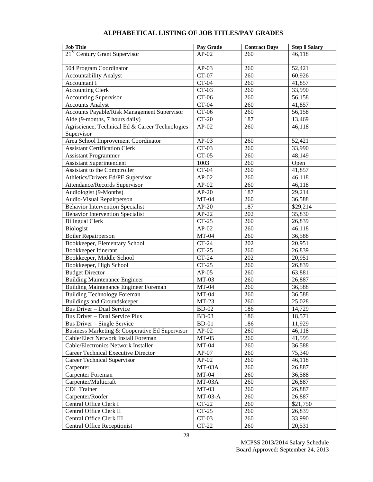| <b>Job Title</b>                                | Pay Grade    | <b>Contract Days</b> | <b>Step 0 Salary</b> |
|-------------------------------------------------|--------------|----------------------|----------------------|
| $21St$ Century Grant Supervisor                 | $AP-02$      | 260                  | 46,118               |
|                                                 |              |                      |                      |
| 504 Program Coordinator                         | $AP-03$      | 260                  | 52,421               |
| <b>Accountability Analyst</b>                   | CT-07        | 260                  | 60,926               |
| <b>Accountant I</b>                             | $CT-04$      | 260                  | 41,857               |
| Accounting Clerk                                | $CT-03$      | 260                  | 33,990               |
| <b>Accounting Supervisor</b>                    | $CT-06$      | 260                  | 56,158               |
| <b>Accounts Analyst</b>                         | $CT-04$      | 260                  | 41,857               |
| Accounts Payable/Risk Management Supervisor     | $CT-06$      | 260                  | 56,158               |
| Aide (9-months, 7 hours daily)                  | $CT-20$      | 187                  | 13,469               |
| Agriscience, Technical Ed & Career Technologies | $AP-02$      | 260                  | 46,118               |
| Supervisor                                      |              |                      |                      |
| Area School Improvement Coordinator             | $AP-03$      | 260                  | 52,421               |
| <b>Assistant Certification Clerk</b>            | $CT-03$      | 260                  | 33,990               |
| <b>Assistant Programmer</b>                     | $CT-05$      | 260                  | 48,149               |
| <b>Assistant Superintendent</b>                 | 1003         | 260                  | Open                 |
| Assistant to the Comptroller                    | $CT-04$      | 260                  | 41,857               |
| Athletics/Drivers Ed/PE Supervisor              | $AP-02$      | 260                  | 46,118               |
| Attendance/Records Supervisor                   | $AP-02$      | 260                  | 46,118               |
| Audiologist (9-Months)                          | $AP-20$      | 187                  | 29,214               |
| Audio-Visual Repairperson                       | $MT-04$      | 260                  | 36,588               |
| <b>Behavior Intervention Specialist</b>         | $AP-20$      | 187                  | \$29,214             |
| <b>Behavior Intervention Specialist</b>         | $AP-22$      | 202                  | 35,830               |
| <b>Bilingual Clerk</b>                          | $CT-25$      | 260                  | 26,839               |
| Biologist                                       | $AP-02$      | 260                  | 46,118               |
| <b>Boiler Repairperson</b>                      | $MT-04$      | 260                  | 36,588               |
| Bookkeeper, Elementary School                   | $CT-24$      | 202                  | 20,951               |
| Bookkeeper Itinerant                            | $CT-25$      | 260                  | 26,839               |
| Bookkeeper, Middle School                       | $CT-24$      | 202                  | 20,951               |
| Bookkeeper, High School                         | $CT-25$      | 260                  | 26,839               |
| <b>Budget Director</b>                          | $AP-05$      | 260                  | 63,881               |
| <b>Building Maintenance Engineer</b>            | $MT-03$      | 260                  | 26,887               |
| <b>Building Maintenance Engineer Foreman</b>    | $MT-04$      | 260                  | 36,588               |
| <b>Building Technology Foreman</b>              | $MT-04$      | 260                  | 36,588               |
| <b>Buildings and Groundskeeper</b>              | $MT-23$      | 260                  | 25,028               |
| <b>Bus Driver - Dual Service</b>                | <b>BD-02</b> | 186                  | 14,729               |
| <b>Bus Driver - Dual Service Plus</b>           | <b>BD-03</b> | 186                  | 18,571               |
| Bus Driver - Single Service                     | $BD-01$      | 186                  | 11,929               |
| Business Marketing & Cooperative Ed Supervisor  | $AP-02$      | 260                  | 46,118               |
| Cable/Elect Network Install Foreman             | $MT-05$      | 260                  | 41,595               |
| Cable/Electronics Network Installer             | $MT-04$      | 260                  | 36,588               |
| Career Technical Executive Director             | $AP-07$      | 260                  | 75,340               |
| <b>Career Technical Supervisor</b>              | $AP-02$      | 260                  | 46,118               |
|                                                 | MT-03A       | 260                  | 26,887               |
| Carpenter<br>Carpenter Foreman                  |              |                      |                      |
|                                                 | $MT-04$      | 260                  | 36,588               |
| Carpenter/Multicraft                            | MT-03A       | 260                  | 26,887               |
| <b>CDL</b> Trainer                              | $MT-03$      | 260                  | 26,887               |
| Carpenter/Roofer                                | $MT-03-A$    | 260                  | 26,887               |
| Central Office Clerk I                          | $CT-22$      | 260                  | \$21,750             |
| Central Office Clerk II                         | $CT-25$      | 260                  | 26,839               |
| Central Office Clerk III                        | $CT-03$      | 260                  | 33,990               |
| <b>Central Office Receptionist</b>              | $CT-22$      | 260                  | 20,531               |

## **ALPHABETICAL LISTING OF JOB TITLES/PAY GRADES**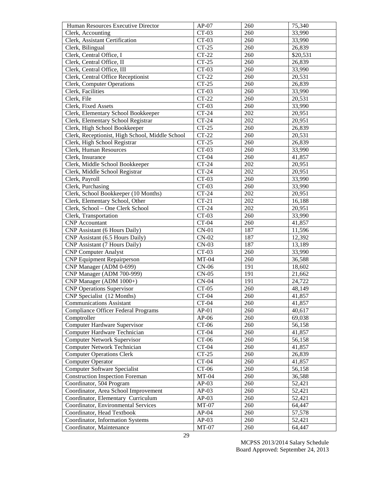| Human Resources Executive Director              | $AP-07$ | 260 | 75,340   |
|-------------------------------------------------|---------|-----|----------|
| Clerk, Accounting                               | $CT-03$ | 260 | 33,990   |
| Clerk, Assistant Certification                  | $CT-03$ | 260 | 33,990   |
| Clerk, Bilingual                                | $CT-25$ | 260 | 26,839   |
| Clerk, Central Office, I                        | $CT-22$ | 260 | \$20,531 |
| Clerk, Central Office, II                       | $CT-25$ | 260 | 26,839   |
| Clerk, Central Office, III                      | $CT-03$ | 260 | 33,990   |
| Clerk, Central Office Receptionist              | $CT-22$ | 260 | 20,531   |
| Clerk, Computer Operations                      | $CT-25$ | 260 | 26,839   |
| Clerk, Facilities                               | $CT-03$ | 260 | 33,990   |
| Clerk, File                                     | $CT-22$ | 260 | 20,531   |
| Clerk, Fixed Assets                             | $CT-03$ | 260 | 33,990   |
| Clerk, Elementary School Bookkeeper             | $CT-24$ | 202 | 20,951   |
| Clerk, Elementary School Registrar              | $CT-24$ | 202 | 20,951   |
| Clerk, High School Bookkeeper                   | $CT-25$ | 260 | 26,839   |
| Clerk, Receptionist, High School, Middle School | $CT-22$ | 260 | 20,531   |
| Clerk, High School Registrar                    | $CT-25$ | 260 | 26,839   |
| Clerk, Human Resources                          | $CT-03$ | 260 | 33,990   |
| Clerk, Insurance                                | $CT-04$ | 260 | 41,857   |
| Clerk, Middle School Bookkeeper                 | $CT-24$ | 202 | 20,951   |
| Clerk, Middle School Registrar                  | $CT-24$ | 202 | 20,951   |
| Clerk, Payroll                                  | $CT-03$ | 260 | 33,990   |
| Clerk, Purchasing                               | $CT-03$ | 260 | 33,990   |
| Clerk, School Bookkeeper (10 Months)            | $CT-24$ | 202 | 20,951   |
| Clerk, Elementary School, Other                 | $CT-21$ | 202 | 16,188   |
| Clerk, School - One Clerk School                | $CT-24$ | 202 | 20,951   |
| Clerk, Transportation                           | $CT-03$ | 260 | 33,990   |
| <b>CNP</b> Accountant                           | $CT-04$ | 260 | 41,857   |
| CNP Assistant (6 Hours Daily)                   | $CN-01$ | 187 | 11,596   |
| CNP Assistant (6.5 Hours Daily)                 | $CN-02$ | 187 | 12,392   |
| CNP Assistant (7 Hours Daily)                   | $CN-03$ | 187 | 13,189   |
| <b>CNP Computer Analyst</b>                     | $CT-03$ | 260 | 33,990   |
| <b>CNP Equipment Repairperson</b>               | $MT-04$ | 260 | 36,588   |
| CNP Manager (ADM 0-699)                         | $CN-06$ | 191 | 18,602   |
| CNP Manager (ADM 700-999)                       | $CN-05$ | 191 | 21,662   |
| CNP Manager (ADM 1000+)                         | $CN-04$ | 191 | 24,722   |
| <b>CNP Operations Supervisor</b>                | $CT-05$ | 260 | 48,149   |
| CNP Specialist (12 Months)                      | $CT-04$ | 260 | 41,857   |
| <b>Communications Assistant</b>                 | $CT-04$ | 260 | 41,857   |
| <b>Compliance Officer Federal Programs</b>      | $AP-01$ | 260 | 40,617   |
| Comptroller                                     | $AP-06$ | 260 | 69,038   |
| Computer Hardware Supervisor                    | $CT-06$ | 260 | 56,158   |
| Computer Hardware Technician                    | $CT-04$ | 260 | 41,857   |
| <b>Computer Network Supervisor</b>              | $CT-06$ | 260 | 56,158   |
| Computer Network Technician                     | $CT-04$ | 260 | 41,857   |
| <b>Computer Operations Clerk</b>                | $CT-25$ | 260 | 26,839   |
| <b>Computer Operator</b>                        | $CT-04$ | 260 | 41,857   |
| Computer Software Specialist                    | $CT-06$ | 260 | 56,158   |
| <b>Construction Inspection Foreman</b>          | $MT-04$ | 260 | 36,588   |
| Coordinator, 504 Program                        | $AP-03$ | 260 | 52,421   |
| Coordinator, Area School Improvement            | $AP-03$ | 260 | 52,421   |
| Coordinator, Elementary Curriculum              | $AP-03$ | 260 | 52,421   |
| Coordinator, Environmental Services             | $MT-07$ | 260 | 64,447   |
| Coordinator, Head Textbook                      | $AP-04$ | 260 | 57,578   |
| Coordinator, Information Systems                | $AP-03$ | 260 | 52,421   |
| Coordinator, Maintenance                        | $MT-07$ | 260 | 64,447   |
|                                                 |         |     |          |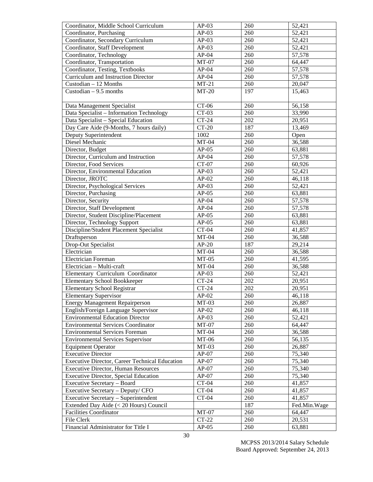| Coordinator, Middle School Curriculum          | $AP-03$ | 260 | 52,421              |
|------------------------------------------------|---------|-----|---------------------|
| Coordinator, Purchasing                        | $AP-03$ | 260 | $\overline{52,421}$ |
| Coordinator, Secondary Curriculum              | $AP-03$ | 260 | 52,421              |
| Coordinator, Staff Development                 | $AP-03$ | 260 | $\overline{52,421}$ |
| Coordinator, Technology                        | $AP-04$ | 260 | 57,578              |
| Coordinator, Transportation                    | $MT-07$ | 260 | 64,447              |
| Coordinator, Testing, Textbooks                | $AP-04$ | 260 | 57,578              |
| Curriculum and Instruction Director            | $AP-04$ | 260 | 57,578              |
| Custodian - 12 Months                          | $MT-21$ | 260 | 20,047              |
| Custodian $-9.5$ months                        | $MT-20$ | 197 | 15,463              |
|                                                |         |     |                     |
| Data Management Specialist                     | $CT-06$ | 260 | 56,158              |
| Data Specialist - Information Technology       | $CT-03$ | 260 | 33,990              |
| Data Specialist - Special Education            | $CT-24$ | 202 | 20,951              |
| Day Care Aide (9-Months, 7 hours daily)        | $CT-20$ | 187 | 13,469              |
| Deputy Superintendent                          | 1002    | 260 | Open                |
| Diesel Mechanic                                | $MT-04$ | 260 | 36,588              |
| Director, Budget                               | $AP-05$ | 260 | 63,881              |
| Director, Curriculum and Instruction           | $AP-04$ | 260 | 57,578              |
| Director, Food Services                        | $CT-07$ | 260 | 60,926              |
| Director, Environmental Education              | $AP-03$ | 260 | 52,421              |
| Director, JROTC                                | $AP-02$ | 260 | 46,118              |
| Director, Psychological Services               | $AP-03$ | 260 | 52,421              |
| Director, Purchasing                           | $AP-05$ | 260 | 63,881              |
| Director, Security                             | $AP-04$ | 260 | 57,578              |
| Director, Staff Development                    | $AP-04$ | 260 | 57,578              |
| Director, Student Discipline/Placement         | $AP-05$ | 260 | 63,881              |
| Director, Technology Support                   | $AP-05$ | 260 | 63,881              |
| Discipline/Student Placement Specialist        | $CT-04$ | 260 | 41,857              |
| Draftsperson                                   | $MT-04$ | 260 | 36,588              |
| Drop-Out Specialist                            | $AP-20$ | 187 | 29,214              |
| Electrician                                    | $MT-04$ | 260 | 36,588              |
| Electrician Foreman                            | $MT-05$ | 260 | 41,595              |
| Electrician - Multi-craft                      | $MT-04$ | 260 | 36,588              |
| Elementary Curriculum Coordinator              | $AP-03$ | 260 | 52,421              |
| <b>Elementary School Bookkeeper</b>            | $CT-24$ | 202 | 20,951              |
| <b>Elementary School Registrar</b>             | $CT-24$ | 202 | 20,951              |
| <b>Elementary Supervisor</b>                   | $AP-02$ | 260 | 46,118              |
| <b>Energy Management Repairperson</b>          | $MT-03$ | 260 | 26,887              |
| English/Foreign Language Supervisor            | $AP-02$ | 260 | 46,118              |
| <b>Environmental Education Director</b>        | $AP-03$ | 260 | 52,421              |
| <b>Environmental Services Coordinator</b>      | $MT-07$ | 260 | 64,447              |
| <b>Environmental Services Foreman</b>          | $MT-04$ | 260 | 36,588              |
| <b>Environmental Services Supervisor</b>       | $MT-06$ | 260 | 56,135              |
| <b>Equipment Operator</b>                      | $MT-03$ | 260 | 26,887              |
| <b>Executive Director</b>                      | $AP-07$ | 260 | 75,340              |
| Executive Director, Career Technical Education | $AP-07$ | 260 | 75,340              |
| <b>Executive Director, Human Resources</b>     | $AP-07$ | 260 | 75,340              |
| <b>Executive Director, Special Education</b>   | $AP-07$ | 260 | 75,340              |
| Executive Secretary - Board                    | $CT-04$ | 260 | 41,857              |
| Executive Secretary - Deputy/ CFO              | $CT-04$ | 260 | 41,857              |
| Executive Secretary - Superintendent           | $CT-04$ | 260 | 41,857              |
| Extended Day Aide (< 20 Hours) Council         |         | 187 | Fed.Min.Wage        |
| <b>Facilities Coordinator</b>                  | $MT-07$ | 260 | 64,447              |
| File Clerk                                     | $CT-22$ | 260 | 20,531              |
| Financial Administrator for Title I            | $AP-05$ | 260 | 63,881              |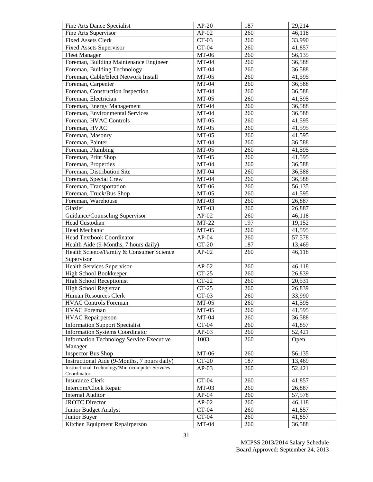| Fine Arts Dance Specialist                             | $AP-20$ | 187 | 29,214 |
|--------------------------------------------------------|---------|-----|--------|
| Fine Arts Supervisor                                   | $AP-02$ | 260 | 46,118 |
| <b>Fixed Assets Clerk</b>                              | $CT-03$ | 260 | 33,990 |
| <b>Fixed Assets Supervisor</b>                         | $CT-04$ | 260 | 41,857 |
| <b>Fleet Manager</b>                                   | $MT-06$ | 260 | 56,135 |
| Foreman, Building Maintenance Engineer                 | $MT-04$ | 260 | 36,588 |
| Foreman, Building Technology                           | $MT-04$ | 260 | 36,588 |
| Foreman, Cable/Elect Network Install                   | $MT-05$ | 260 | 41,595 |
| Foreman, Carpenter                                     | $MT-04$ | 260 | 36,588 |
| Foreman, Construction Inspection                       | $MT-04$ | 260 | 36,588 |
| Foreman, Electrician                                   | $MT-05$ | 260 | 41,595 |
| Foreman, Energy Management                             | $MT-04$ | 260 | 36,588 |
| Foreman, Environmental Services                        | $MT-04$ | 260 | 36,588 |
| Foreman, HVAC Controls                                 | $MT-05$ | 260 | 41,595 |
| Foreman, HVAC                                          | $MT-05$ | 260 | 41,595 |
| Foreman, Masonry                                       | $MT-05$ | 260 | 41,595 |
| Foreman, Painter                                       | $MT-04$ | 260 | 36,588 |
| Foreman, Plumbing                                      | $MT-05$ | 260 | 41,595 |
| Foreman, Print Shop                                    | $MT-05$ | 260 | 41,595 |
| Foreman, Properties                                    | $MT-04$ | 260 | 36,588 |
| Foreman, Distribution Site                             | $MT-04$ | 260 | 36,588 |
| Foreman, Special Crew                                  | $MT-04$ | 260 | 36,588 |
| Foreman, Transportation                                | $MT-06$ | 260 | 56,135 |
| Foreman, Truck/Bus Shop                                | $MT-05$ | 260 | 41,595 |
| Foreman, Warehouse                                     | $MT-03$ | 260 | 26,887 |
| Glazier                                                | $MT-03$ | 260 | 26,887 |
| Guidance/Counseling Supervisor                         | $AP-02$ | 260 | 46,118 |
| Head Custodian                                         | $MT-22$ | 197 | 19,152 |
| Head Mechanic                                          | $MT-05$ | 260 | 41,595 |
| Head Textbook Coordinator                              | $AP-04$ | 260 | 57,578 |
| Health Aide (9-Months, 7 hours daily)                  | $CT-20$ | 187 | 13,469 |
| Health Science/Family & Consumer Science               | $AP-02$ | 260 | 46,118 |
| Supervisor                                             |         |     |        |
| <b>Health Services Supervisor</b>                      | $AP-02$ | 260 | 46,118 |
| High School Bookkeeper                                 | $CT-25$ | 260 | 26,839 |
| <b>High School Receptionist</b>                        | $CT-22$ | 260 | 20,531 |
| High School Registrar                                  | $CT-25$ | 260 | 26,839 |
| Human Resources Clerk                                  | $CT-03$ | 260 | 33,990 |
| <b>HVAC Controls Foreman</b>                           | $MT-05$ | 260 | 41,595 |
| <b>HVAC</b> Foreman                                    | $MT-05$ | 260 | 41,595 |
| <b>HVAC</b> Repairperson                               | $MT-04$ | 260 | 36,588 |
| <b>Information Support Specialist</b>                  | $CT-04$ | 260 | 41,857 |
| <b>Information Systems Coordinator</b>                 | $AP-03$ | 260 | 52,421 |
| <b>Information Technology Service Executive</b>        | 1003    | 260 | Open   |
| Manager                                                |         |     |        |
| <b>Inspector Bus Shop</b>                              | $MT-06$ | 260 | 56,135 |
| Instructional Aide (9-Months, 7 hours daily)           | $CT-20$ | 187 | 13,469 |
| <b>Instructional Technology/Microcomputer Services</b> |         |     |        |
| Coordinator                                            | $AP-03$ | 260 | 52,421 |
| <b>Insurance Clerk</b>                                 | $CT-04$ | 260 | 41,857 |
| Intercom/Clock Repair                                  | $MT-03$ | 260 | 26,887 |
| <b>Internal Auditor</b>                                | $AP-04$ | 260 | 57,578 |
| <b>JROTC</b> Director                                  | $AP-02$ | 260 | 46,118 |
| Junior Budget Analyst                                  | $CT-04$ | 260 | 41,857 |
| Junior Buyer                                           | $CT-04$ | 260 | 41,857 |
| Kitchen Equipment Repairperson                         | $MT-04$ | 260 | 36,588 |
|                                                        |         |     |        |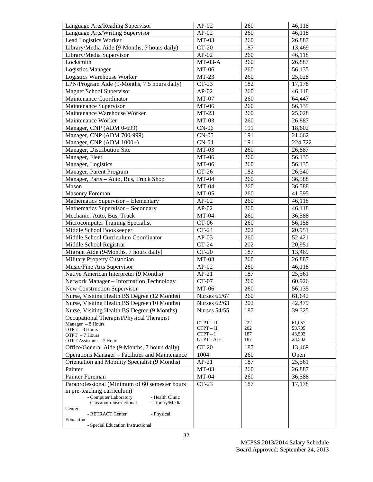| Language Arts/Reading Supervisor                                                         | $AP-02$             | 260 | 46,118              |
|------------------------------------------------------------------------------------------|---------------------|-----|---------------------|
| Language Arts/Writing Supervisor                                                         | $AP-02$             | 260 | 46,118              |
| Lead Logistics Worker                                                                    | $MT-03$             | 260 | 26,887              |
| Library/Media Aide (9-Months, 7 hours daily)                                             | $CT-20$             | 187 | 13,469              |
| Library/Media Supervisor                                                                 | $AP-02$             | 260 | 46,118              |
| Locksmith                                                                                | $MT-03-A$           | 260 | 26,887              |
| <b>Logistics Manager</b>                                                                 | $MT-06$             | 260 | 56,135              |
| Logistics Warehouse Worker                                                               | $MT-23$             | 260 | 25,028              |
| LPN/Program Aide (9-Months, 7.5 hours daily)                                             | $CT-23$             | 182 | 17,178              |
| <b>Magnet School Supervisor</b>                                                          | $AP-02$             | 260 | 46,118              |
| Maintenance Coordinator                                                                  | $MT-07$             | 260 | 64,447              |
| Maintenance Supervisor                                                                   | $MT-06$             | 260 | 56,135              |
| Maintenance Warehouse Worker                                                             | $MT-23$             | 260 | $\overline{2}5,028$ |
| Maintenance Worker                                                                       | $MT-03$             | 260 | 26,887              |
| Manager, CNP (ADM 0-699)                                                                 | $CN-06$             | 191 | 18,602              |
| Manager, CNP (ADM 700-999)                                                               | $CN-05$             | 191 | 21,662              |
| Manager, CNP (ADM 1000+)                                                                 | $CN-04$             | 191 | 224,722             |
| Manager, Distribution Site                                                               | $MT-03$             | 260 | 26,887              |
| Manager, Fleet                                                                           | $MT-06$             | 260 | 56,135              |
| Manager, Logistics                                                                       | $MT-06$             | 260 | 56,135              |
| Manager, Parent Program                                                                  | $CT-26$             | 182 | 26,340              |
| Manager, Parts - Auto, Bus, Truck Shop                                                   | $MT-04$             | 260 | 36,588              |
| Mason                                                                                    | $MT-04$             | 260 | 36,588              |
| <b>Masonry Foreman</b>                                                                   | $MT-05$             | 260 | 41,595              |
| Mathematics Supervisor - Elementary                                                      | $AP-02$             | 260 | 46,118              |
| Mathematics Supervisor - Secondary                                                       | $AP-02$             | 260 | 46,118              |
| Mechanic: Auto, Bus, Truck                                                               | $MT-04$             | 260 | 36,588              |
| Microcomputer Training Specialist                                                        | $CT-06$             | 260 | 56,158              |
| Middle School Bookkeeper                                                                 | $CT-24$             | 202 | 20,951              |
| Middle School Curriculum Coordinator                                                     | $AP-03$             | 260 | 52,421              |
| Middle School Registrar                                                                  | $CT-24$             | 202 | 20,951              |
| Migrant Aide (9-Months, 7 hours daily)                                                   | $CT-20$             | 187 | 13,469              |
| Military Property Custodian                                                              | $MT-03$             | 260 | 26,887              |
| Music/Fine Arts Supervisor                                                               | $AP-02$             | 260 | 46,118              |
| Native American Interpreter (9 Months)                                                   | $AP-21$             | 187 | 25,561              |
| Network Manager - Information Technology                                                 | $CT-07$             | 260 | 60,926              |
| New Construction Supervisor                                                              | $MT-06$             | 260 | 56,135              |
| Nurse, Visiting Health BS Degree (12 Months)                                             | <b>Nurses 66/67</b> | 260 | 61,642              |
| Nurse, Visiting Health BS Degree (10 Months)                                             | Nurses 62/63        | 202 | 42,479              |
| Nurse, Visiting Health BS Degree (9 Months)                                              | <b>Nurses 54/55</b> |     | 39,325              |
|                                                                                          |                     | 187 |                     |
| Occupational Therapist/Physical Therapist<br>Manager $-8$ Hours                          | $OTPT - III$        | 222 | 61,057              |
| OTPT - 8 Hours                                                                           | OTPT – II           | 202 | 53,705              |
| OTPT - 7 Hours                                                                           | $OTPT - I$          | 187 | 43,502              |
| OTPT Assistant - 7 Hours                                                                 | OTPT - Asst         | 187 | 28,502              |
| Office/General Aide (9-Months, 7 hours daily)                                            | $CT-20$             | 187 | 13,469              |
| <b>Operations Manager - Facilities and Maintenance</b>                                   | 1004                | 260 | Open                |
| Orientation and Mobility Specialist (9 Months)                                           | $AP-21$             | 187 | 25,561              |
| Painter                                                                                  | $MT-03$             | 260 | 26,887              |
| Painter Foreman                                                                          | $MT-04$             | 260 | 36,588              |
| Paraprofessional (Minimum of 60 semester hours                                           | $CT-23$             | 187 | 17,178              |
| in pre-teaching curriculum)                                                              |                     |     |                     |
| - Computer Laboratory<br>- Health Clinic<br>- Classroom Instructional<br>- Library/Media |                     |     |                     |
| Center                                                                                   |                     |     |                     |
| - RETRACT Center<br>- Physical                                                           |                     |     |                     |
| Education<br>- Special Education Instructional                                           |                     |     |                     |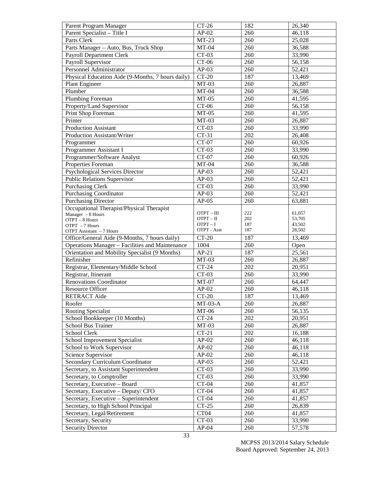| Parent Program Manager                                       | $CT-26$               | 182        | 26,340           |
|--------------------------------------------------------------|-----------------------|------------|------------------|
| Parent Specialist - Title I                                  | $AP-02$               | 260        | 46,118           |
| Parts Clerk                                                  | $MT-23$               | 260        | 25,028           |
| Parts Manager - Auto, Bus, Truck Shop                        | $MT-04$               | 260        | 36,588           |
| Payroll Department Clerk                                     | $CT-03$               | 260        | 33,990           |
| Payroll Supervisor                                           | $CT-06$               | 260        | 56,158           |
| Personnel Administrator                                      | $AP-03$               | 260        | 52,421           |
| Physical Education Aide (9-Months, 7 hours daily)            | $CT-20$               | 187        | 13,469           |
| <b>Plant Engineer</b>                                        | $MT-03$               | 260        | 26,887           |
| Plumber                                                      | $MT-04$               | 260        | 36,588           |
| Plumbing Foreman                                             | $MT-05$               | 260        | 41,595           |
| Property/Land Supervisor                                     | $CT-06$               | 260        | 56,158           |
| Print Shop Foreman                                           | $MT-05$               | 260        | 41,595           |
| Printer                                                      | $MT-03$               | 260        | 26,887           |
| Production Assistant                                         | $CT-03$               | 260        | 33,990           |
| Production Assistant/Writer                                  | $CT-31$               | 202        | 26,408           |
| Programmer                                                   | $CT-07$               | 260        | 60,926           |
| Programmer Assistant I                                       | $CT-03$               | 260        | 33,990           |
| Programmer/Software Analyst                                  | $CT-07$               | 260        | 60,926           |
| Properties Foreman                                           | $MT-04$               | 260        | 36,588           |
| <b>Psychological Services Director</b>                       | $\overline{AP}$ -03   | 260        | 52,421           |
| <b>Public Relations Supervisor</b>                           | $AP-03$               | 260        | 52,421           |
| <b>Purchasing Clerk</b>                                      | $CT-03$               | 260        | 33,990           |
| <b>Purchasing Coordinator</b>                                | $AP-03$               | 260        | 52,421           |
| <b>Purchasing Director</b>                                   | $AP-05$               | 260        | 63,881           |
| Occupational Therapist/Physical Therapist                    |                       |            |                  |
| Manager $-8$ Hours                                           | OTPT-III              | 222        | 61,057           |
| OTPT - 8 Hours                                               | OTPT-II               | 202        | 53,705           |
| OTPT - 7 Hours                                               | OTPT-I<br>OTPT - Asst | 187<br>187 | 43,502<br>28,502 |
| OTPT Assistant - 7 Hours                                     |                       | 187        |                  |
| Office/General Aide (9-Months, 7 hours daily)                | $CT-20$<br>1004       |            | 13,469           |
| Operations Manager - Facilities and Maintenance              | $AP-21$               | 260<br>187 | Open<br>25,561   |
| Orientation and Mobility Specialist (9 Months)<br>Refinisher | $MT-03$               | 260        |                  |
| Registrar, Elementary/Middle School                          | $CT-24$               | 202        | 26,887<br>20,951 |
|                                                              | $CT-03$               | 260        | 33,990           |
| Registrar, Itinerant<br><b>Renovations Coordinator</b>       | $MT-07$               |            |                  |
|                                                              | $AP-02$               | 260        | 64,447           |
| Resource Officer                                             | $CT-20$               | 260<br>187 | 46,118           |
| RETRACT Aide                                                 |                       |            | 13,469           |
| Roofer                                                       | $MT-03-A$             | 260        | 26,887           |
| <b>Routing Specialist</b>                                    | $MT-06$               | 260        | 56,135           |
| School Bookkeeper (10 Months)                                | $CT-24$               | 202        | 20,951           |
| School Bus Trainer                                           | $MT-03$               | 260        | 26,887           |
| School Clerk                                                 | $CT-21$               | 202        | 16,188           |
| School Improvement Specialist                                | $AP-02$               | 260        | 46,118           |
| School to Work Supervisor                                    | $AP-02$               | 260        | 46,118           |
| Science Supervisor                                           | $AP-02$               | 260        | 46,118           |
| <b>Secondary Curriculum Coordinator</b>                      | $AP-03$               | 260        | 52,421           |
| Secretary, to Assistant Superintendent                       | $CT-03$               | 260        | 33,990           |
| Secretary, to Comptroller                                    | $CT-03$               | 260        | 33,990           |
| Secretary, Executive - Board                                 | $CT-04$               | 260        | 41,857           |
| Secretary, Executive - Deputy/ CFO                           | $CT-04$               | 260        | 41,857           |
| Secretary, Executive - Superintendent                        | $CT-04$               | 260        | 41,857           |
| Secretary, to High School Principal                          | $CT-25$               | 260        | 26,839           |
| Secretary, Legal/Retirement                                  | CT04                  | 260        | 41,857           |
| Secretary, Security<br><b>Security Director</b>              | $CT-03$<br>$AP-04$    | 260<br>260 | 33,990<br>57,578 |
|                                                              |                       |            |                  |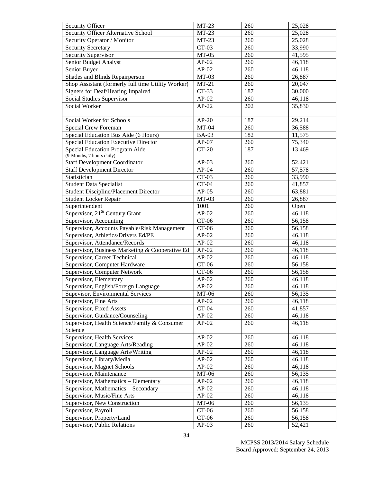| Security Officer                                   | $MT-23$      | 260 | 25,028 |
|----------------------------------------------------|--------------|-----|--------|
| Security Officer Alternative School                | $MT-23$      | 260 | 25,028 |
| Security Operator / Monitor                        | $MT-23$      | 260 | 25,028 |
| <b>Security Secretary</b>                          | $CT-03$      | 260 | 33,990 |
| Security Supervisor                                | $MT-05$      | 260 | 41,595 |
| Senior Budget Analyst                              | $AP-02$      | 260 | 46,118 |
| Senior Buyer                                       | $AP-02$      | 260 | 46,118 |
| Shades and Blinds Repairperson                     | $MT-03$      | 260 | 26,887 |
| Shop Assistant (formerly full time Utility Worker) | $MT-21$      | 260 | 20,047 |
| <b>Signers for Deaf/Hearing Impaired</b>           | $CT-33$      | 187 | 30,000 |
| Social Studies Supervisor                          | $AP-02$      | 260 | 46,118 |
| Social Worker                                      | $AP-22$      | 202 | 35,830 |
| Social Worker for Schools                          | $AP-20$      | 187 | 29,214 |
| Special Crew Foreman                               | $MT-04$      | 260 | 36,588 |
| Special Education Bus Aide (6 Hours)               | <b>BA-03</b> | 182 | 11,575 |
| Special Education Executive Director               | $AP-07$      | 260 | 75,340 |
| Special Education Program Aide                     | $CT-20$      | 187 | 13,469 |
| (9-Months, 7 hours daily)                          |              |     |        |
| <b>Staff Development Coordinator</b>               | $AP-03$      | 260 | 52,421 |
| <b>Staff Development Director</b>                  | $AP-04$      | 260 | 57,578 |
| Statistician                                       | $CT-03$      | 260 | 33,990 |
| <b>Student Data Specialist</b>                     | $CT-04$      | 260 | 41,857 |
| <b>Student Discipline/Placement Director</b>       | $AP-05$      | 260 | 63,881 |
| <b>Student Locker Repair</b>                       | $MT-03$      | 260 | 26,887 |
| Superintendent                                     | 1001         | 260 | Open   |
| Supervisor, 21 <sup>St</sup> Century Grant         | $AP-02$      | 260 | 46,118 |
| Supervisor, Accounting                             | $CT-06$      | 260 | 56,158 |
| Supervisor, Accounts Payable/Risk Management       | $CT-06$      | 260 | 56,158 |
| Supervisor, Athletics/Drivers Ed/PE                | $AP-02$      | 260 | 46,118 |
| Supervisor, Attendance/Records                     | $AP-02$      | 260 | 46,118 |
| Supervisor, Business Marketing & Cooperative Ed    | $AP-02$      | 260 | 46,118 |
| Supervisor, Career Technical                       | $AP-02$      | 260 | 46,118 |
| Supervisor, Computer Hardware                      | $CT-06$      | 260 | 56,158 |
| Supervisor, Computer Network                       | $CT-06$      | 260 | 56,158 |
| Supervisor, Elementary                             | $AP-02$      | 260 | 46,118 |
| Supervisor, English/Foreign Language               | $AP-02$      | 260 | 46,118 |
| Supevisor, Environmental Services                  | $MT-06$      | 260 | 56,135 |
| Supervisor, Fine Arts                              | $AP-02$      | 260 | 46,118 |
| Supervisor, Fixed Assets                           | $CT-04$      | 260 | 41,857 |
| Supervisor, Guidance/Counseling                    | $AP-02$      | 260 | 46,118 |
| Supervisor, Health Science/Family & Consumer       | $AP-02$      | 260 | 46,118 |
| Science                                            |              |     |        |
| Supervisor, Health Services                        | $AP-02$      | 260 | 46,118 |
| Supervisor, Language Arts/Reading                  | $AP-02$      | 260 | 46,118 |
| Supervisor, Language Arts/Writing                  | $AP-02$      | 260 | 46,118 |
| Supervisor, Library/Media                          | $AP-02$      | 260 | 46,118 |
| Supervisor, Magnet Schools                         | $AP-02$      | 260 | 46,118 |
| Supervisor, Maintenance                            | MT-06        | 260 | 56,135 |
| Supervisor, Mathematics - Elementary               | $AP-02$      | 260 | 46,118 |
| Supervisor, Mathematics - Secondary                | $AP-02$      | 260 | 46,118 |
| Supervisor, Music/Fine Arts                        | $AP-02$      | 260 | 46,118 |
| Supervisor, New Construction                       | MT-06        | 260 | 56,135 |
| Supervisor, Payroll                                | $CT-06$      | 260 | 56,158 |
| Supervisor, Property/Land                          | $CT-06$      | 260 | 56,158 |
| Supervisor, Public Relations                       | $AP-03$      | 260 | 52,421 |
|                                                    |              |     |        |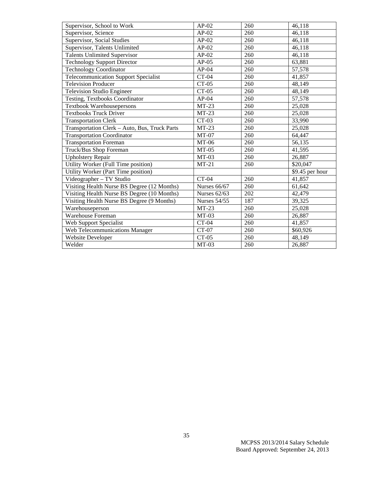| Supervisor, School to Work                    | $AP-02$                                  | 260 | 46,118          |
|-----------------------------------------------|------------------------------------------|-----|-----------------|
| Supervisor, Science                           | $\overline{AP}$ -02                      | 260 | 46,118          |
| Supervisor, Social Studies                    | $AP-02$                                  | 260 | 46,118          |
| Supervisor, Talents Unlimited                 | $AP-02$                                  | 260 | 46,118          |
| <b>Talents Unlimited Supervisor</b>           | $AP-02$                                  | 260 | 46,118          |
| <b>Technology Support Director</b>            | $AP-05$                                  | 260 | 63,881          |
| <b>Technology Coordinator</b>                 | $AP-04$                                  | 260 | 57,578          |
| Telecommunication Support Specialist          | $CT-04$                                  | 260 | 41,857          |
| Television Producer                           | $CT-05$                                  | 260 | 48,149          |
| Television Studio Engineer                    | $CT-05$                                  | 260 | 48,149          |
| Testing, Textbooks Coordinator                | $AP-04$                                  | 260 | 57,578          |
| Textbook Warehousepersons                     | $MT-23$                                  | 260 | 25,028          |
| <b>Textbooks Truck Driver</b>                 | $MT-23$                                  | 260 | 25,028          |
| <b>Transportation Clerk</b>                   | $\overline{C}T-03$                       | 260 | 33,990          |
| Transportation Clerk - Auto, Bus, Truck Parts | $MT-23$                                  | 260 | 25,028          |
| <b>Transportation Coordinator</b>             | $MT-07$                                  | 260 | 64,447          |
| Transportation Foreman                        | MT-06                                    | 260 | 56,135          |
| Truck/Bus Shop Foreman                        | $MT-05$                                  | 260 | 41,595          |
| <b>Upholstery Repair</b>                      | $MT-03$                                  | 260 | 26,887          |
| Utility Worker (Full Time position)           | $MT-21$                                  | 260 | \$20,047        |
| Utility Worker (Part Time position)           |                                          |     | \$9.45 per hour |
| Videographer - TV Studio                      | $CT-04$                                  | 260 | 41,857          |
| Visiting Health Nurse BS Degree (12 Months)   | <b>Nurses 66/67</b>                      | 260 | 61,642          |
| Visiting Health Nurse BS Degree (10 Months)   | <b>Nurses 62/63</b>                      | 202 | 42,479          |
| Visiting Health Nurse BS Degree (9 Months)    | $\overline{\text{N} \text{urses}}$ 54/55 | 187 | 39,325          |
| Warehouseperson                               | $MT-23$                                  | 260 | 25,028          |
| Warehouse Foreman                             | $MT-03$                                  | 260 | 26,887          |
| Web Support Specialist                        | $\overline{C}T-04$                       | 260 | 41,857          |
| Web Telecommunications Manager                | $CT-07$                                  | 260 | \$60,926        |
| <b>Website Developer</b>                      | $CT-05$                                  | 260 | 48,149          |
| Welder                                        | $MT-03$                                  | 260 | 26,887          |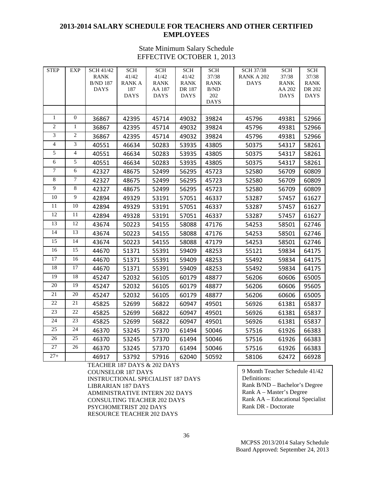## **2013-2014 SALARY SCHEDULE FOR TEACHERS AND OTHER CERTIFIED EMPLOYEES**

## State Minimum Salary Schedule EFFECTIVE OCTOBER 1, 2013

| <b>STEP</b>    | <b>EXP</b>       | SCH 41/42                      | <b>SCH</b>          | <b>SCH</b>            | <b>SCH</b>            | <b>SCH</b>                | <b>SCH 37/38</b> | <b>SCH</b>            | <b>SCH</b>            |
|----------------|------------------|--------------------------------|---------------------|-----------------------|-----------------------|---------------------------|------------------|-----------------------|-----------------------|
|                |                  | <b>RANK</b>                    | 41/42               | 41/42                 | 41/42                 | 37/38                     | RANK A 202       | 37/38                 | 37/38                 |
|                |                  | <b>B/ND 187</b><br><b>DAYS</b> | <b>RANKA</b><br>187 | <b>RANK</b><br>AA 187 | <b>RANK</b><br>DR 187 | <b>RANK</b><br>$\rm B/ND$ | <b>DAYS</b>      | <b>RANK</b><br>AA 202 | <b>RANK</b><br>DR 202 |
|                |                  |                                | <b>DAYS</b>         | <b>DAYS</b>           | <b>DAYS</b>           | 202                       |                  | <b>DAYS</b>           | <b>DAYS</b>           |
|                |                  |                                |                     |                       |                       | <b>DAYS</b>               |                  |                       |                       |
|                |                  |                                |                     |                       |                       |                           |                  |                       |                       |
| $\mathbf{1}$   | $\boldsymbol{0}$ | 36867                          | 42395               | 45714                 | 49032                 | 39824                     | 45796            | 49381                 | 52966                 |
| $\overline{2}$ | $\mathbf{1}$     | 36867                          | 42395               | 45714                 | 49032                 | 39824                     | 45796            | 49381                 | 52966                 |
| 3              | $\overline{2}$   | 36867                          | 42395               | 45714                 | 49032                 | 39824                     | 45796            | 49381                 | 52966                 |
| $\overline{4}$ | 3                | 40551                          | 46634               | 50283                 | 53935                 | 43805                     | 50375            | 54317                 | 58261                 |
| 5              | $\overline{4}$   | 40551                          | 46634               | 50283                 | 53935                 | 43805                     | 50375            | 54317                 | 58261                 |
| 6              | 5                | 40551                          | 46634               | 50283                 | 53935                 | 43805                     | 50375            | 54317                 | 58261                 |
| $\overline{7}$ | 6                | 42327                          | 48675               | 52499                 | 56295                 | 45723                     | 52580            | 56709                 | 60809                 |
| 8              | 7                | 42327                          | 48675               | 52499                 | 56295                 | 45723                     | 52580            | 56709                 | 60809                 |
| 9              | 8                | 42327                          | 48675               | 52499                 | 56295                 | 45723                     | 52580            | 56709                 | 60809                 |
| 10             | 9                | 42894                          | 49329               | 53191                 | 57051                 | 46337                     | 53287            | 57457                 | 61627                 |
| $11\,$         | $10\,$           | 42894                          | 49329               | 53191                 | 57051                 | 46337                     | 53287            | 57457                 | 61627                 |
| 12             | 11               | 42894                          | 49328               | 53191                 | 57051                 | 46337                     | 53287            | 57457                 | 61627                 |
| 13             | 12               | 43674                          | 50223               | 54155                 | 58088                 | 47176                     | 54253            | 58501                 | 62746                 |
| 14             | 13               | 43674                          | 50223               | 54155                 | 58088                 | 47176                     | 54253            | 58501                 | 62746                 |
| 15             | 14               | 43674                          | 50223               | 54155                 | 58088                 | 47179                     | 54253            | 58501                 | 62746                 |
| 16             | 15               | 44670                          | 51371               | 55391                 | 59409                 | 48253                     | 55121            | 59834                 | 64175                 |
| 17             | 16               | 44670                          | 51371               | 55391                 | 59409                 | 48253                     | 55492            | 59834                 | 64175                 |
| 18             | 17               | 44670                          | 51371               | 55391                 | 59409                 | 48253                     | 55492            | 59834                 | 64175                 |
| 19             | 18               | 45247                          | 52032               | 56105                 | 60179                 | 48877                     | 56206            | 60606                 | 65005                 |
| 20             | 19               | 45247                          | 52032               | 56105                 | 60179                 | 48877                     | 56206            | 60606                 | 95605                 |
| 21             | 20               | 45247                          | 52032               | 56105                 | 60179                 | 48877                     | 56206            | 60606                 | 65005                 |
| 22             | 21               | 45825                          | 52699               | 56822                 | 60947                 | 49501                     | 56926            | 61381                 | 65837                 |
| 23             | 22               | 45825                          | 52699               | 56822                 | 60947                 | 49501                     | 56926            | 61381                 | 65837                 |
| 24             | 23               | 45825                          | 52699               | 56822                 | 60947                 | 49501                     | 56926            | 61381                 | 65837                 |
| 25             | 24               | 46370                          | 53245               | 57370                 | 61494                 | 50046                     | 57516            | 61926                 | 66383                 |
| 26             | $\overline{25}$  | 46370                          | 53245               | 57370                 | 61494                 | 50046                     | 57516            | 61926                 | 66383                 |
| 27             | 26               | 46370                          | 53245               | 57370                 | 61494                 | 50046                     | 57516            | 61926                 | 66383                 |
| $27 +$         |                  | 46917                          | 53792               | 57916                 | 62040                 | 50592                     | 58106            | 62472                 | 66928                 |

TEACHER 187 DAYS & 202 DAYS COUNSELOR 187 DAYS INSTRUCTIONAL SPECIALIST 187 DAYS LIBRARIAN 187 DAYS ADMINISTRATIVE INTERN 202 DAYS CONSULTING TEACHER 202 DAYS PSYCHOMETRIST 202 DAYS RESOURCE TEACHER 202 DAYS

9 Month Teacher Schedule 41/42 Definitions: Rank B/ND – Bachelor's Degree Rank A – Master's Degree Rank AA – Educational Specialist Rank DR - Doctorate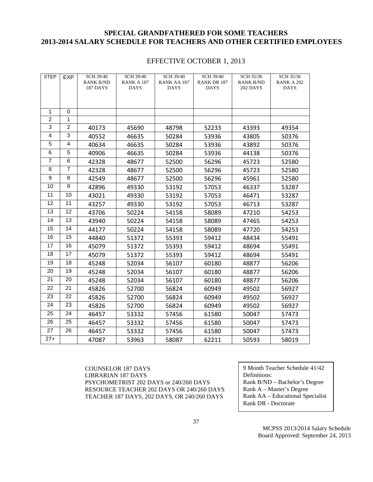## **SPECIAL GRANDFATHERED FOR SOME TEACHERS 2013-2014 SALARY SCHEDULE FOR TEACHERS AND OTHER CERTIFIED EMPLOYEES**

## EFFECTIVE OCTOBER 1, 2013

| <b>STEP</b>     | <b>EXP</b>      | <b>SCH 39/40</b>             | <b>SCH 39/40</b>          | <b>SCH 39/40</b>           | <b>SCH 39/40</b>                  | <b>SCH 35/36</b>                    | SCH 35/36                 |
|-----------------|-----------------|------------------------------|---------------------------|----------------------------|-----------------------------------|-------------------------------------|---------------------------|
|                 |                 | <b>RANK B/ND</b><br>187 DAYS | RANK A 187<br><b>DAYS</b> | RANK AA 187<br><b>DAYS</b> | <b>RANK DR 187</b><br><b>DAYS</b> | <b>RANK B/ND</b><br><b>202 DAYS</b> | RANK A 202<br><b>DAYS</b> |
|                 |                 |                              |                           |                            |                                   |                                     |                           |
|                 |                 |                              |                           |                            |                                   |                                     |                           |
| $\mathbf{1}$    | $\mathbf 0$     |                              |                           |                            |                                   |                                     |                           |
| $\overline{2}$  | 1               |                              |                           |                            |                                   |                                     |                           |
| 3               | $\overline{c}$  | 40173                        | 45690                     | 48798                      | 52233                             | 43393                               | 49354                     |
| 4               | 3               | 40552                        | 46635                     | 50284                      | 53936                             | 43805                               | 50376                     |
| 5               | 4               | 40634                        | 46635                     | 50284                      | 53936                             | 43892                               | 50376                     |
| 6               | 5               | 40906                        | 46635                     | 50284                      | 53936                             | 44138                               | 50376                     |
| $\overline{7}$  | 6               | 42328                        | 48677                     | 52500                      | 56296                             | 45723                               | 52580                     |
| 8               | $\overline{7}$  | 42328                        | 48677                     | 52500                      | 56296                             | 45723                               | 52580                     |
| 9               | 8               | 42549                        | 48677                     | 52500                      | 56296                             | 45961                               | 52580                     |
| 10              | 9               | 42896                        | 49330                     | 53192                      | 57053                             | 46337                               | 53287                     |
| $\overline{11}$ | 10              | 43021                        | 49330                     | 53192                      | 57053                             | 46471                               | 53287                     |
| 12              | 11              | 43257                        | 49330                     | 53192                      | 57053                             | 46713                               | 53287                     |
| 13              | 12              | 43706                        | 50224                     | 54158                      | 58089                             | 47210                               | 54253                     |
| 14              | $\overline{13}$ | 43940                        | 50224                     | 54158                      | 58089                             | 47465                               | 54253                     |
| 15              | 14              | 44177                        | 50224                     | 54158                      | 58089                             | 47720                               | 54253                     |
| 16              | 15              | 44840                        | 51372                     | 55393                      | 59412                             | 48434                               | 55491                     |
| 17              | 16              | 45079                        | 51372                     | 55393                      | 59412                             | 48694                               | 55491                     |
| 18              | 17              | 45079                        | 51372                     | 55393                      | 59412                             | 48694                               | 55491                     |
| 19              | 18              | 45248                        | 52034                     | 56107                      | 60180                             | 48877                               | 56206                     |
| 20              | $\overline{19}$ | 45248                        | 52034                     | 56107                      | 60180                             | 48877                               | 56206                     |
| 21              | 20              | 45248                        | 52034                     | 56107                      | 60180                             | 48877                               | 56206                     |
| 22              | 21              | 45826                        | 52700                     | 56824                      | 60949                             | 49502                               | 56927                     |
| 23              | 22              | 45826                        | 52700                     | 56824                      | 60949                             | 49502                               | 56927                     |
| 24              | 23              | 45826                        | 52700                     | 56824                      | 60949                             | 49502                               | 56927                     |
| 25              | 24              | 46457                        | 53332                     | 57456                      | 61580                             | 50047                               | 57473                     |
| 26              | 25              | 46457                        | 53332                     | 57456                      | 61580                             | 50047                               | 57473                     |
| 27              | 26              | 46457                        | 53332                     | 57456                      | 61580                             | 50047                               | 57473                     |
| $27+$           |                 | 47087                        | 53963                     | 58087                      | 62211                             | 50593                               | 58019                     |

COUNSELOR 187 DAYS LIBRARIAN 187 DAYS PSYCHOMETRIST 202 DAYS or 240/260 DAYS RESOURCE TEACHER 202 DAYS OR 240/260 DAYS TEACHER 187 DAYS, 202 DAYS, OR 240/260 DAYS

9 Month Teacher Schedule 41/42 Definitions: Rank B/ND – Bachelor's Degree Rank A – Master's Degree Rank AA – Educational Specialist Rank DR - Doctorate

> MCPSS 2013/2014 Salary Schedule Board Approved: September 24, 2013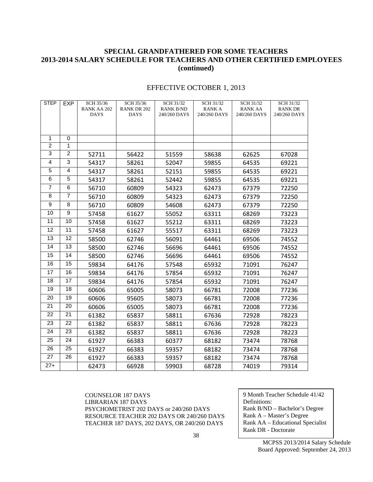## **SPECIAL GRANDFATHERED FOR SOME TEACHERS 2013-2014 SALARY SCHEDULE FOR TEACHERS AND OTHER CERTIFIED EMPLOYEES (continued)**

| <b>STEP</b>    | EXP            | SCH 35/36<br>RANK AA 202 | SCH 35/36<br><b>RANK DR 202</b> | SCH 31/32<br><b>RANK B/ND</b> | SCH 31/32<br><b>RANKA</b> | SCH 31/32<br><b>RANK AA</b> | SCH 31/32<br><b>RANK DR</b> |
|----------------|----------------|--------------------------|---------------------------------|-------------------------------|---------------------------|-----------------------------|-----------------------------|
|                |                | <b>DAYS</b>              | <b>DAYS</b>                     | 240/260 DAYS                  | 240/260 DAYS              | 240/260 DAYS                | 240/260 DAYS                |
|                |                |                          |                                 |                               |                           |                             |                             |
|                |                |                          |                                 |                               |                           |                             |                             |
| $\mathbf{1}$   | $\mathbf 0$    |                          |                                 |                               |                           |                             |                             |
| $\overline{c}$ | 1              |                          |                                 |                               |                           |                             |                             |
| 3              | $\overline{2}$ | 52711                    | 56422                           | 51559                         | 58638                     | 62625                       | 67028                       |
| $\overline{4}$ | $\overline{3}$ | 54317                    | 58261                           | 52047                         | 59855                     | 64535                       | 69221                       |
| 5              | 4              | 54317                    | 58261                           | 52151                         | 59855                     | 64535                       | 69221                       |
| 6              | 5              | 54317                    | 58261                           | 52442                         | 59855                     | 64535                       | 69221                       |
| $\overline{7}$ | 6              | 56710                    | 60809                           | 54323                         | 62473                     | 67379                       | 72250                       |
| 8              | 7              | 56710                    | 60809                           | 54323                         | 62473                     | 67379                       | 72250                       |
| 9              | 8              | 56710                    | 60809                           | 54608                         | 62473                     | 67379                       | 72250                       |
| 10             | 9              | 57458                    | 61627                           | 55052                         | 63311                     | 68269                       | 73223                       |
| 11             | 10             | 57458                    | 61627                           | 55212                         | 63311                     | 68269                       | 73223                       |
| 12             | 11             | 57458                    | 61627                           | 55517                         | 63311                     | 68269                       | 73223                       |
| 13             | 12             | 58500                    | 62746                           | 56091                         | 64461                     | 69506                       | 74552                       |
| 14             | 13             | 58500                    | 62746                           | 56696                         | 64461                     | 69506                       | 74552                       |
| 15             | 14             | 58500                    | 62746                           | 56696                         | 64461                     | 69506                       | 74552                       |
| 16             | 15             | 59834                    | 64176                           | 57548                         | 65932                     | 71091                       | 76247                       |
| 17             | 16             | 59834                    | 64176                           | 57854                         | 65932                     | 71091                       | 76247                       |
| 18             | 17             | 59834                    | 64176                           | 57854                         | 65932                     | 71091                       | 76247                       |
| 19             | 18             | 60606                    | 65005                           | 58073                         | 66781                     | 72008                       | 77236                       |
| 20             | 19             | 60606                    | 95605                           | 58073                         | 66781                     | 72008                       | 77236                       |
| 21             | 20             | 60606                    | 65005                           | 58073                         | 66781                     | 72008                       | 77236                       |
| 22             | 21             | 61382                    | 65837                           | 58811                         | 67636                     | 72928                       | 78223                       |
| 23             | 22             | 61382                    | 65837                           | 58811                         | 67636                     | 72928                       | 78223                       |
| 24             | 23             | 61382                    | 65837                           | 58811                         | 67636                     | 72928                       | 78223                       |
| 25             | 24             | 61927                    | 66383                           | 60377                         | 68182                     | 73474                       | 78768                       |
| 26             | 25             | 61927                    | 66383                           | 59357                         | 68182                     | 73474                       | 78768                       |
| 27             | 26             | 61927                    | 66383                           | 59357                         | 68182                     | 73474                       | 78768                       |
| $27+$          |                | 62473                    | 66928                           | 59903                         | 68728                     | 74019                       | 79314                       |

COUNSELOR 187 DAYS LIBRARIAN 187 DAYS PSYCHOMETRIST 202 DAYS or 240/260 DAYS RESOURCE TEACHER 202 DAYS OR 240/260 DAYS TEACHER 187 DAYS, 202 DAYS, OR 240/260 DAYS

9 Month Teacher Schedule 41/42 Definitions: Rank B/ND – Bachelor's Degree Rank A – Master's Degree Rank AA – Educational Specialist Rank DR - Doctorate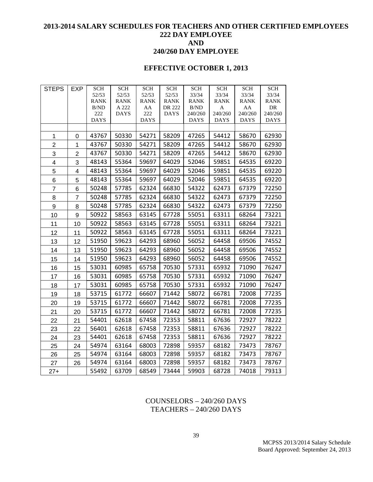## **2013-2014 SALARY SCHEDULES FOR TEACHERS AND OTHER CERTIFIED EMPLOYEES 222 DAY EMPLOYEE AND 240/260 DAY EMPLOYEE**

## **EFFECTIVE OCTOBER 1, 2013**

| <b>STEPS</b>   | <b>EXP</b>              | <b>SCH</b>  | <b>SCH</b>           | <b>SCH</b>  | <b>SCH</b>            | <b>SCH</b>      | <b>SCH</b>   | <b>SCH</b>    | <b>SCH</b>    |
|----------------|-------------------------|-------------|----------------------|-------------|-----------------------|-----------------|--------------|---------------|---------------|
|                |                         | 52/53       | 52/53                | 52/53       | 52/53                 | 33/34           | 33/34        | 33/34         | 33/34         |
|                |                         | <b>RANK</b> | <b>RANK</b>          | <b>RANK</b> | <b>RANK</b>           | <b>RANK</b>     | <b>RANK</b>  | <b>RANK</b>   | <b>RANK</b>   |
|                |                         | B/ND<br>222 | A 222<br><b>DAYS</b> | AA<br>222   | DR 222<br><b>DAYS</b> | B/ND<br>240/260 | A<br>240/260 | AA<br>240/260 | DR<br>240/260 |
|                |                         | <b>DAYS</b> |                      | <b>DAYS</b> |                       | <b>DAYS</b>     | <b>DAYS</b>  | <b>DAYS</b>   | <b>DAYS</b>   |
|                |                         |             |                      |             |                       |                 |              |               |               |
| 1              | 0                       | 43767       | 50330                | 54271       | 58209                 | 47265           | 54412        | 58670         | 62930         |
| $\overline{2}$ | $\mathbf 1$             | 43767       | 50330                | 54271       | 58209                 | 47265           | 54412        | 58670         | 62930         |
| 3              | $\overline{2}$          | 43767       | 50330                | 54271       | 58209                 | 47265           | 54412        | 58670         | 62930         |
| 4              | 3                       | 48143       | 55364                | 59697       | 64029                 | 52046           | 59851        | 64535         | 69220         |
| 5              | $\overline{\mathbf{4}}$ | 48143       | 55364                | 59697       | 64029                 | 52046           | 59851        | 64535         | 69220         |
| 6              | 5                       | 48143       | 55364                | 59697       | 64029                 | 52046           | 59851        | 64535         | 69220         |
| $\overline{7}$ | 6                       | 50248       | 57785                | 62324       | 66830                 | 54322           | 62473        | 67379         | 72250         |
| 8              | $\overline{7}$          | 50248       | 57785                | 62324       | 66830                 | 54322           | 62473        | 67379         | 72250         |
| 9              | 8                       | 50248       | 57785                | 62324       | 66830                 | 54322           | 62473        | 67379         | 72250         |
| 10             | 9                       | 50922       | 58563                | 63145       | 67728                 | 55051           | 63311        | 68264         | 73221         |
| 11             | 10                      | 50922       | 58563                | 63145       | 67728                 | 55051           | 63311        | 68264         | 73221         |
| 12             | 11                      | 50922       | 58563                | 63145       | 67728                 | 55051           | 63311        | 68264         | 73221         |
| 13             | 12                      | 51950       | 59623                | 64293       | 68960                 | 56052           | 64458        | 69506         | 74552         |
| 14             | 13                      | 51950       | 59623                | 64293       | 68960                 | 56052           | 64458        | 69506         | 74552         |
| 15             | 14                      | 51950       | 59623                | 64293       | 68960                 | 56052           | 64458        | 69506         | 74552         |
| 16             | 15                      | 53031       | 60985                | 65758       | 70530                 | 57331           | 65932        | 71090         | 76247         |
| 17             | 16                      | 53031       | 60985                | 65758       | 70530                 | 57331           | 65932        | 71090         | 76247         |
| 18             | 17                      | 53031       | 60985                | 65758       | 70530                 | 57331           | 65932        | 71090         | 76247         |
| 19             | 18                      | 53715       | 61772                | 66607       | 71442                 | 58072           | 66781        | 72008         | 77235         |
| 20             | 19                      | 53715       | 61772                | 66607       | 71442                 | 58072           | 66781        | 72008         | 77235         |
| 21             | 20                      | 53715       | 61772                | 66607       | 71442                 | 58072           | 66781        | 72008         | 77235         |
| 22             | 21                      | 54401       | 62618                | 67458       | 72353                 | 58811           | 67636        | 72927         | 78222         |
| 23             | 22                      | 56401       | 62618                | 67458       | 72353                 | 58811           | 67636        | 72927         | 78222         |
| 24             | 23                      | 54401       | 62618                | 67458       | 72353                 | 58811           | 67636        | 72927         | 78222         |
| 25             | 24                      | 54974       | 63164                | 68003       | 72898                 | 59357           | 68182        | 73473         | 78767         |
| 26             | 25                      | 54974       | 63164                | 68003       | 72898                 | 59357           | 68182        | 73473         | 78767         |
| 27             | 26                      | 54974       | 63164                | 68003       | 72898                 | 59357           | 68182        | 73473         | 78767         |
| $27+$          |                         | 55492       | 63709                | 68549       | 73444                 | 59903           | 68728        | 74018         | 79313         |

## COUNSELORS – 240/260 DAYS TEACHERS – 240/260 DAYS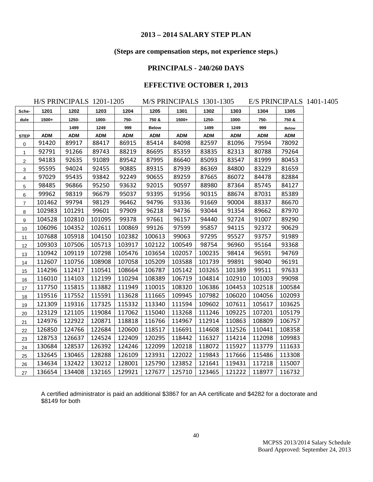## **(Steps are compensation steps, not experience steps.)**

## **PRINCIPALS - 240/260 DAYS**

## **EFFECTIVE OCTOBER 1, 2013**

|                     | H/S PRINCIPALS 1201-1205 |            |            |            |              | M/S PRINCIPALS 1301-1305 |            |            |            |            | E/S PRINCIPALS 1401-1405 |
|---------------------|--------------------------|------------|------------|------------|--------------|--------------------------|------------|------------|------------|------------|--------------------------|
| Sche-               | 1201                     | 1202       | 1203       | 1204       | 1205         | 1301                     | 1302       | 1303       | 1304       | 1305       |                          |
| dule                | $1500+$                  | 1250-      | 1000-      | 750-       | 750 &        | 1500+                    | 1250-      | 1000-      | 750-       | 750 &      |                          |
|                     |                          | 1499       | 1249       | 999        | <b>Below</b> |                          | 1499       | 1249       | 999        | Below      |                          |
| <b>STEP</b>         | <b>ADM</b>               | <b>ADM</b> | <b>ADM</b> | <b>ADM</b> | <b>ADM</b>   | <b>ADM</b>               | <b>ADM</b> | <b>ADM</b> | <b>ADM</b> | <b>ADM</b> |                          |
| $\mathsf{O}\xspace$ | 91420                    | 89917      | 88417      | 86915      | 85414        | 84098                    | 82597      | 81096      | 79594      | 78092      |                          |
| $\mathbf{1}$        | 92791                    | 91266      | 89743      | 88219      | 86695        | 85359                    | 83835      | 82313      | 80788      | 79264      |                          |
| $\overline{2}$      | 94183                    | 92635      | 91089      | 89542      | 87995        | 86640                    | 85093      | 83547      | 81999      | 80453      |                          |
| 3                   | 95595                    | 94024      | 92455      | 90885      | 89315        | 87939                    | 86369      | 84800      | 83229      | 81659      |                          |
| 4                   | 97029                    | 95435      | 93842      | 92249      | 90655        | 89259                    | 87665      | 86072      | 84478      | 82884      |                          |
| 5                   | 98485                    | 96866      | 95250      | 93632      | 92015        | 90597                    | 88980      | 87364      | 85745      | 84127      |                          |
| 6                   | 99962                    | 98319      | 96679      | 95037      | 93395        | 91956                    | 90315      | 88674      | 87031      | 85389      |                          |
| $\overline{7}$      | 101462                   | 99794      | 98129      | 96462      | 94796        | 93336                    | 91669      | 90004      | 88337      | 86670      |                          |
| 8                   | 102983                   | 101291     | 99601      | 97909      | 96218        | 94736                    | 93044      | 91354      | 89662      | 87970      |                          |
| 9                   | 104528                   | 102810     | 101095     | 99378      | 97661        | 96157                    | 94440      | 92724      | 91007      | 89290      |                          |
| 10                  | 106096                   | 104352     | 102611     | 100869     | 99126        | 97599                    | 95857      | 94115      | 92372      | 90629      |                          |
| 11                  | 107688                   | 105918     | 104150     | 102382     | 100613       | 99063                    | 97295      | 95527      | 93757      | 91989      |                          |
| 12                  | 109303                   | 107506     | 105713     | 103917     | 102122       | 100549                   | 98754      | 96960      | 95164      | 93368      |                          |
| 13                  | 110942                   | 109119     | 107298     | 105476     | 103654       | 102057                   | 100235     | 98414      | 96591      | 94769      |                          |
| 14                  | 112607                   | 110756     | 108908     | 107058     | 105209       | 103588                   | 101739     | 99891      | 98040      | 96191      |                          |
| 15                  | 114296                   | 112417     | 110541     | 108664     | 106787       | 105142                   | 103265     | 101389     | 99511      | 97633      |                          |
| 16                  | 116010                   | 114103     | 112199     | 110294     | 108389       | 106719                   | 104814     | 102910     | 101003     | 99098      |                          |
| 17                  | 117750                   | 115815     | 113882     | 111949     | 110015       | 108320                   | 106386     | 104453     | 102518     | 100584     |                          |
| 18                  | 119516                   | 117552     | 115591     | 113628     | 111665       | 109945                   | 107982     | 106020     | 104056     | 102093     |                          |
| 19                  | 121309                   | 119316     | 117325     | 115332     | 113340       | 111594                   | 109602     | 107611     | 105617     | 103625     |                          |
| 20                  | 123129                   | 121105     | 119084     | 117062     | 115040       | 113268                   | 111246     | 109225     | 107201     | 105179     |                          |
| 21                  | 124976                   | 122922     | 120871     | 118818     | 116766       | 114967                   | 112914     | 110863     | 108809     | 106757     |                          |
| 22                  | 126850                   | 124766     | 122684     | 120600     | 118517       | 116691                   | 114608     | 112526     | 110441     | 108358     |                          |
| 23                  | 128753                   | 126637     | 124524     | 122409     | 120295       | 118442                   | 116327     | 114214     | 112098     | 109983     |                          |
| 24                  | 130684                   | 128537     | 126392     | 124246     | 122099       | 120218                   | 118072     | 115927     | 113779     | 111633     |                          |
| 25                  | 132645                   | 130465     | 128288     | 126109     | 123931       | 122022                   | 119843     | 117666     | 115486     | 113308     |                          |
| 26                  | 134634                   | 132422     | 130212     | 128001     | 125790       | 123852                   | 121641     | 119431     | 117218     | 115007     |                          |
| 27                  | 136654                   | 134408     | 132165     | 129921     | 127677       | 125710                   | 123465     | 121222     | 118977     | 116732     |                          |

A certified administrator is paid an additional \$3867 for an AA certificate and \$4282 for a doctorate and \$8149 for both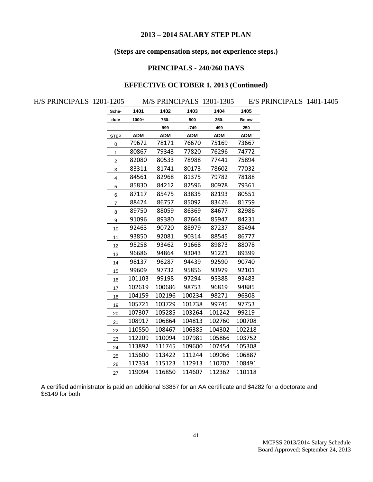## **(Steps are compensation steps, not experience steps.)**

## **PRINCIPALS - 240/260 DAYS**

## **EFFECTIVE OCTOBER 1, 2013 (Continued)**

| H/S PRINCIPALS 1201-1205 |                |            |            |            | M/S PRINCIPALS 1301-1305 |              | E/S PRINCIPALS 1401-1405 |  |
|--------------------------|----------------|------------|------------|------------|--------------------------|--------------|--------------------------|--|
|                          | Sche-          | 1401       | 1402       | 1403       | 1404                     | 1405         |                          |  |
|                          | dule           | $1000+$    | 750-       | 500        | $250 -$                  | <b>Below</b> |                          |  |
|                          |                |            | 999        | $-749$     | 499                      | 250          |                          |  |
|                          | <b>STEP</b>    | <b>ADM</b> | <b>ADM</b> | <b>ADM</b> | <b>ADM</b>               | <b>ADM</b>   |                          |  |
|                          | $\pmb{0}$      | 79672      | 78171      | 76670      | 75169                    | 73667        |                          |  |
|                          | 1              | 80867      | 79343      | 77820      | 76296                    | 74772        |                          |  |
|                          | $\overline{2}$ | 82080      | 80533      | 78988      | 77441                    | 75894        |                          |  |
|                          | 3              | 83311      | 81741      | 80173      | 78602                    | 77032        |                          |  |
|                          | 4              | 84561      | 82968      | 81375      | 79782                    | 78188        |                          |  |
|                          | 5              | 85830      | 84212      | 82596      | 80978                    | 79361        |                          |  |
|                          | 6              | 87117      | 85475      | 83835      | 82193                    | 80551        |                          |  |
|                          | $\overline{7}$ | 88424      | 86757      | 85092      | 83426                    | 81759        |                          |  |
|                          | 8              | 89750      | 88059      | 86369      | 84677                    | 82986        |                          |  |
|                          | 9              | 91096      | 89380      | 87664      | 85947                    | 84231        |                          |  |
|                          | 10             | 92463      | 90720      | 88979      | 87237                    | 85494        |                          |  |
|                          | 11             | 93850      | 92081      | 90314      | 88545                    | 86777        |                          |  |
|                          | 12             | 95258      | 93462      | 91668      | 89873                    | 88078        |                          |  |
|                          | 13             | 96686      | 94864      | 93043      | 91221                    | 89399        |                          |  |
|                          | 14             | 98137      | 96287      | 94439      | 92590                    | 90740        |                          |  |
|                          | 15             | 99609      | 97732      | 95856      | 93979                    | 92101        |                          |  |
|                          | 16             | 101103     | 99198      | 97294      | 95388                    | 93483        |                          |  |
|                          | 17             | 102619     | 100686     | 98753      | 96819                    | 94885        |                          |  |
|                          | 18             | 104159     | 102196     | 100234     | 98271                    | 96308        |                          |  |
|                          | 19             | 105721     | 103729     | 101738     | 99745                    | 97753        |                          |  |
|                          | 20             | 107307     | 105285     | 103264     | 101242                   | 99219        |                          |  |
|                          | 21             | 108917     | 106864     | 104813     | 102760                   | 100708       |                          |  |
|                          | 22             | 110550     | 108467     | 106385     | 104302                   | 102218       |                          |  |
|                          | 23             | 112209     | 110094     | 107981     | 105866                   | 103752       |                          |  |
|                          | 24             | 113892     | 111745     | 109600     | 107454                   | 105308       |                          |  |
|                          | 25             | 115600     | 113422     | 111244     | 109066                   | 106887       |                          |  |
|                          | 26             | 117334     | 115123     | 112913     | 110702                   | 108491       |                          |  |
|                          | 27             | 119094     | 116850     | 114607     | 112362                   | 110118       |                          |  |
|                          |                |            |            |            |                          |              |                          |  |

A certified administrator is paid an additional \$3867 for an AA certificate and \$4282 for a doctorate and \$8149 for both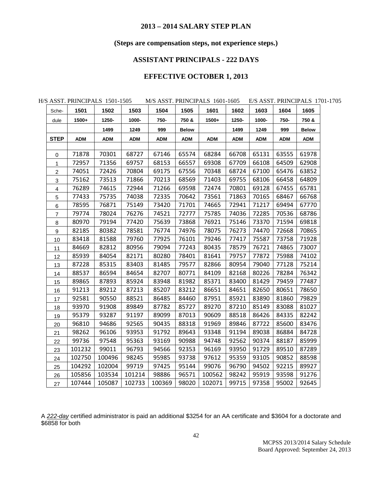## **(Steps are compensation steps, not experience steps.)**

## **ASSISTANT PRINCIPALS - 222 DAYS**

## **EFFECTIVE OCTOBER 1, 2013**

|                           |            | H/S ASST. PRINCIPALS 1501-1505 |            |            |              | M/S ASST. PRINCIPALS 1601-1605 |            |            | E/S ASST. PRINCIPALS 1701-1 |              |
|---------------------------|------------|--------------------------------|------------|------------|--------------|--------------------------------|------------|------------|-----------------------------|--------------|
| Sche-                     | 1501       | 1502                           | 1503       | 1504       | 1505         | 1601                           | 1602       | 1603       | 1604                        | 1605         |
| dule                      | 1500+      | 1250-                          | 1000-      | 750-       | 750 &        | 1500+                          | 1250-      | 1000-      | 750-                        | 750 &        |
|                           |            | 1499                           | 1249       | 999        | <b>Below</b> |                                | 1499       | 1249       | 999                         | <b>Below</b> |
| <b>STEP</b>               | <b>ADM</b> | <b>ADM</b>                     | <b>ADM</b> | <b>ADM</b> | <b>ADM</b>   | <b>ADM</b>                     | <b>ADM</b> | <b>ADM</b> | <b>ADM</b>                  | <b>ADM</b>   |
|                           |            |                                |            |            |              |                                |            |            |                             |              |
| 0                         | 71878      | 70301                          | 68727      | 67146      | 65574        | 68284                          | 66708      | 65131      | 63555                       | 61978        |
| $\mathbf{1}$              | 72957      | 71356                          | 69757      | 68153      | 66557        | 69308                          | 67709      | 66108      | 64509                       | 62908        |
| $\overline{c}$            | 74051      | 72426                          | 70804      | 69175      | 67556        | 70348                          | 68724      | 67100      | 65476                       | 63852        |
| $\ensuremath{\mathsf{3}}$ | 75162      | 73513                          | 71866      | 70213      | 68569        | 71403                          | 69755      | 68106      | 66458                       | 64809        |
| $\overline{\mathbf{4}}$   | 76289      | 74615                          | 72944      | 71266      | 69598        | 72474                          | 70801      | 69128      | 67455                       | 65781        |
| $\mathbf 5$               | 77433      | 75735                          | 74038      | 72335      | 70642        | 73561                          | 71863      | 70165      | 68467                       | 66768        |
| 6                         | 78595      | 76871                          | 75149      | 73420      | 71701        | 74665                          | 72941      | 71217      | 69494                       | 67770        |
| $\overline{7}$            | 79774      | 78024                          | 76276      | 74521      | 72777        | 75785                          | 74036      | 72285      | 70536                       | 68786        |
| 8                         | 80970      | 79194                          | 77420      | 75639      | 73868        | 76921                          | 75146      | 73370      | 71594                       | 69818        |
| 9                         | 82185      | 80382                          | 78581      | 76774      | 74976        | 78075                          | 76273      | 74470      | 72668                       | 70865        |
| 10                        | 83418      | 81588                          | 79760      | 77925      | 76101        | 79246                          | 77417      | 75587      | 73758                       | 71928        |
| 11                        | 84669      | 82812                          | 80956      | 79094      | 77243        | 80435                          | 78579      | 76721      | 74865                       | 73007        |
| 12                        | 85939      | 84054                          | 82171      | 80280      | 78401        | 81641                          | 79757      | 77872      | 75988                       | 74102        |
| 13                        | 87228      | 85315                          | 83403      | 81485      | 79577        | 82866                          | 80954      | 79040      | 77128                       | 75214        |
| 14                        | 88537      | 86594                          | 84654      | 82707      | 80771        | 84109                          | 82168      | 80226      | 78284                       | 76342        |
| 15                        | 89865      | 87893                          | 85924      | 83948      | 81982        | 85371                          | 83400      | 81429      | 79459                       | 77487        |
| 16                        | 91213      | 89212                          | 87213      | 85207      | 83212        | 86651                          | 84651      | 82650      | 80651                       | 78650        |
| 17                        | 92581      | 90550                          | 88521      | 86485      | 84460        | 87951                          | 85921      | 83890      | 81860                       | 79829        |
| 18                        | 93970      | 91908                          | 89849      | 87782      | 85727        | 89270                          | 87210      | 85149      | 83088                       | 81027        |
| 19                        | 95379      | 93287                          | 91197      | 89099      | 87013        | 90609                          | 88518      | 86426      | 84335                       | 82242        |
| 20                        | 96810      | 94686                          | 92565      | 90435      | 88318        | 91969                          | 89846      | 87722      | 85600                       | 83476        |
| 21                        | 98262      | 96106                          | 93953      | 91792      | 89643        | 93348                          | 91194      | 89038      | 86884                       | 84728        |
| 22                        | 99736      | 97548                          | 95363      | 93169      | 90988        | 94748                          | 92562      | 90374      | 88187                       | 85999        |
| 23                        | 101232     | 99011                          | 96793      | 94566      | 92353        | 96169                          | 93950      | 91729      | 89510                       | 87289        |
| 24                        | 102750     | 100496                         | 98245      | 95985      | 93738        | 97612                          | 95359      | 93105      | 90852                       | 88598        |
| 25                        | 104292     | 102004                         | 99719      | 97425      | 95144        | 99076                          | 96790      | 94502      | 92215                       | 89927        |
| 26                        | 105856     | 103534                         | 101214     | 98886      | 96571        | 100562                         | 98242      | 95919      | 93598                       | 91276        |
| 27                        | 107444     | 105087                         | 102733     | 100369     | 98020        | 102071                         | 99715      | 97358      | 95002                       | 92645        |

H/S ASST. PRINCIPALS 1501-1505 M/S ASST. PRINCIPALS 1601-1605 E/S ASST. PRINCIPALS 1701-1705

A *222-day* certified administrator is paid an additional \$3254 for an AA certificate and \$3604 for a doctorate and \$6858 for both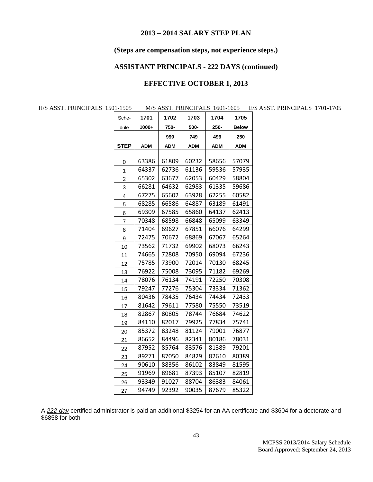## **(Steps are compensation steps, not experience steps.)**

## **ASSISTANT PRINCIPALS - 222 DAYS (continued)**

## **EFFECTIVE OCTOBER 1, 2013**

H/S ASST. PRINCIPALS 1501-1505 M/S ASST. PRINCIPALS 1601-1605 E/S ASST. PRINCIPALS 1701-1705

| Sche-          | 1701       | 1702       | 1703       | 1704       | 1705         |
|----------------|------------|------------|------------|------------|--------------|
| dule           | 1000+      | 750-       | 500-       | 250-       | <b>Below</b> |
|                |            | 999        | 749        | 499        | 250          |
| <b>STEP</b>    | <b>ADM</b> | <b>ADM</b> | <b>ADM</b> | <b>ADM</b> | ADM          |
|                |            |            |            |            |              |
| 0              | 63386      | 61809      | 60232      | 58656      | 57079        |
| 1              | 64337      | 62736      | 61136      | 59536      | 57935        |
| $\overline{c}$ | 65302      | 63677      | 62053      | 60429      | 58804        |
| 3              | 66281      | 64632      | 62983      | 61335      | 59686        |
| 4              | 67275      | 65602      | 63928      | 62255      | 60582        |
| 5              | 68285      | 66586      | 64887      | 63189      | 61491        |
| 6              | 69309      | 67585      | 65860      | 64137      | 62413        |
| 7              | 70348      | 68598      | 66848      | 65099      | 63349        |
| 8              | 71404      | 69627      | 67851      | 66076      | 64299        |
| 9              | 72475      | 70672      | 68869      | 67067      | 65264        |
| 10             | 73562      | 71732      | 69902      | 68073      | 66243        |
| 11             | 74665      | 72808      | 70950      | 69094      | 67236        |
| 12             | 75785      | 73900      | 72014      | 70130      | 68245        |
| 13             | 76922      | 75008      | 73095      | 71182      | 69269        |
| 14             | 78076      | 76134      | 74191      | 72250      | 70308        |
| 15             | 79247      | 77276      | 75304      | 73334      | 71362        |
| 16             | 80436      | 78435      | 76434      | 74434      | 72433        |
| 17             | 81642      | 79611      | 77580      | 75550      | 73519        |
| 18             | 82867      | 80805      | 78744      | 76684      | 74622        |
| 19             | 84110      | 82017      | 79925      | 77834      | 75741        |
| 20             | 85372      | 83248      | 81124      | 79001      | 76877        |
| 21             | 86652      | 84496      | 82341      | 80186      | 78031        |
| 22             | 87952      | 85764      | 83576      | 81389      | 79201        |
| 23             | 89271      | 87050      | 84829      | 82610      | 80389        |
| 24             | 90610      | 88356      | 86102      | 83849      | 81595        |
| 25             | 91969      | 89681      | 87393      | 85107      | 82819        |
| 26             | 93349      | 91027      | 88704      | 86383      | 84061        |
| 27             | 94749      | 92392      | 90035      | 87679      | 85322        |

A *222-day* certified administrator is paid an additional \$3254 for an AA certificate and \$3604 for a doctorate and \$6858 for both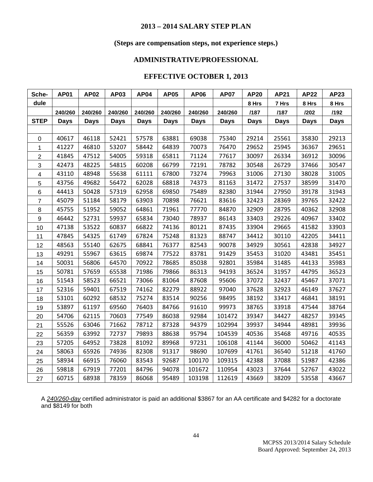## **(Steps are compensation steps, not experience steps.)**

## **ADMINISTRATIVE/PROFESSIONAL**

## **EFFECTIVE OCTOBER 1***,* **2013**

| Sche-            | <b>AP01</b> | <b>AP02</b> | <b>AP03</b> | <b>AP04</b> | <b>AP05</b> | <b>AP06</b> | <b>AP07</b> | <b>AP20</b> | <b>AP21</b> | <b>AP22</b> | <b>AP23</b> |
|------------------|-------------|-------------|-------------|-------------|-------------|-------------|-------------|-------------|-------------|-------------|-------------|
| dule             |             |             |             |             |             |             |             | 8 Hrs       | 7 Hrs       | 8 Hrs       | 8 Hrs       |
|                  | 240/260     | 240/260     | 240/260     | 240/260     | 240/260     | 240/260     | 240/260     | /187        | /187        | 1202        | /192        |
| <b>STEP</b>      | <b>Days</b> | <b>Days</b> | <b>Days</b> | <b>Days</b> | <b>Days</b> | <b>Days</b> | <b>Days</b> | Days        | <b>Days</b> | <b>Days</b> | <b>Days</b> |
|                  |             |             |             |             |             |             |             |             |             |             |             |
| $\mathbf 0$      | 40617       | 46118       | 52421       | 57578       | 63881       | 69038       | 75340       | 29214       | 25561       | 35830       | 29213       |
| $\mathbf{1}$     | 41227       | 46810       | 53207       | 58442       | 64839       | 70073       | 76470       | 29652       | 25945       | 36367       | 29651       |
| $\overline{c}$   | 41845       | 47512       | 54005       | 59318       | 65811       | 71124       | 77617       | 30097       | 26334       | 36912       | 30096       |
| $\sqrt{3}$       | 42473       | 48225       | 54815       | 60208       | 66799       | 72191       | 78782       | 30548       | 26729       | 37466       | 30547       |
| $\overline{4}$   | 43110       | 48948       | 55638       | 61111       | 67800       | 73274       | 79963       | 31006       | 27130       | 38028       | 31005       |
| $\sqrt{5}$       | 43756       | 49682       | 56472       | 62028       | 68818       | 74373       | 81163       | 31472       | 27537       | 38599       | 31470       |
| 6                | 44413       | 50428       | 57319       | 62958       | 69850       | 75489       | 82380       | 31944       | 27950       | 39178       | 31943       |
| $\overline{7}$   | 45079       | 51184       | 58179       | 63903       | 70898       | 76621       | 83616       | 32423       | 28369       | 39765       | 32422       |
| $\,8\,$          | 45755       | 51952       | 59052       | 64861       | 71961       | 77770       | 84870       | 32909       | 28795       | 40362       | 32908       |
| $\boldsymbol{9}$ | 46442       | 52731       | 59937       | 65834       | 73040       | 78937       | 86143       | 33403       | 29226       | 40967       | 33402       |
| 10               | 47138       | 53522       | 60837       | 66822       | 74136       | 80121       | 87435       | 33904       | 29665       | 41582       | 33903       |
| 11               | 47845       | 54325       | 61749       | 67824       | 75248       | 81323       | 88747       | 34412       | 30110       | 42205       | 34411       |
| 12               | 48563       | 55140       | 62675       | 68841       | 76377       | 82543       | 90078       | 34929       | 30561       | 42838       | 34927       |
| 13               | 49291       | 55967       | 63615       | 69874       | 77522       | 83781       | 91429       | 35453       | 31020       | 43481       | 35451       |
| 14               | 50031       | 56806       | 64570       | 70922       | 78685       | 85038       | 92801       | 35984       | 31485       | 44133       | 35983       |
| 15               | 50781       | 57659       | 65538       | 71986       | 79866       | 86313       | 94193       | 36524       | 31957       | 44795       | 36523       |
| 16               | 51543       | 58523       | 66521       | 73066       | 81064       | 87608       | 95606       | 37072       | 32437       | 45467       | 37071       |
| 17               | 52316       | 59401       | 67519       | 74162       | 82279       | 88922       | 97040       | 37628       | 32923       | 46149       | 37627       |
| 18               | 53101       | 60292       | 68532       | 75274       | 83514       | 90256       | 98495       | 38192       | 33417       | 46841       | 38191       |
| 19               | 53897       | 61197       | 69560       | 76403       | 84766       | 91610       | 99973       | 38765       | 33918       | 47544       | 38764       |
| 20               | 54706       | 62115       | 70603       | 77549       | 86038       | 92984       | 101472      | 39347       | 34427       | 48257       | 39345       |
| 21               | 55526       | 63046       | 71662       | 78712       | 87328       | 94379       | 102994      | 39937       | 34944       | 48981       | 39936       |
| 22               | 56359       | 63992       | 72737       | 79893       | 88638       | 95794       | 104539      | 40536       | 35468       | 49716       | 40535       |
| 23               | 57205       | 64952       | 73828       | 81092       | 89968       | 97231       | 106108      | 41144       | 36000       | 50462       | 41143       |
| 24               | 58063       | 65926       | 74936       | 82308       | 91317       | 98690       | 107699      | 41761       | 36540       | 51218       | 41760       |
| 25               | 58934       | 66915       | 76060       | 83543       | 92687       | 100170      | 109315      | 42388       | 37088       | 51987       | 42386       |
| 26               | 59818       | 67919       | 77201       | 84796       | 94078       | 101672      | 110954      | 43023       | 37644       | 52767       | 43022       |
| 27               | 60715       | 68938       | 78359       | 86068       | 95489       | 103198      | 112619      | 43669       | 38209       | 53558       | 43667       |

A *240/260-day* certified administrator is paid an additional \$3867 for an AA certificate and \$4282 for a doctorate and \$8149 for both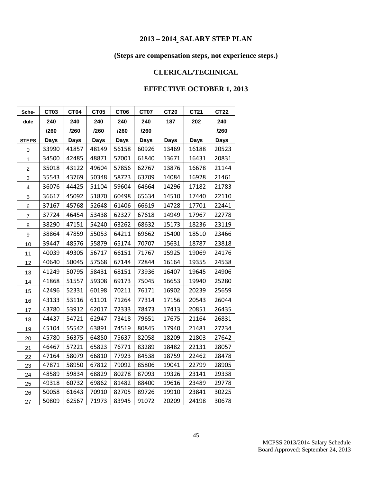## **(Steps are compensation steps, not experience steps.)**

## **CLERICAL/TECHNICAL**

| Sche-          | <b>CT03</b> | <b>CT04</b> | <b>CT05</b> | <b>CT06</b> | <b>CT07</b> | <b>CT20</b> | CT21        | <b>CT22</b> |
|----------------|-------------|-------------|-------------|-------------|-------------|-------------|-------------|-------------|
| dule           | 240         | 240         | 240         | 240         | 240         | 187         | 202         | 240         |
|                | /260        | /260        | /260        | /260        | /260        |             |             | /260        |
| <b>STEPS</b>   | <b>Days</b> | <b>Days</b> | <b>Days</b> | <b>Days</b> | <b>Days</b> | <b>Days</b> | <b>Days</b> | <b>Days</b> |
| 0              | 33990       | 41857       | 48149       | 56158       | 60926       | 13469       | 16188       | 20523       |
| 1              | 34500       | 42485       | 48871       | 57001       | 61840       | 13671       | 16431       | 20831       |
| $\overline{c}$ | 35018       | 43122       | 49604       | 57856       | 62767       | 13876       | 16678       | 21144       |
| 3              | 35543       | 43769       | 50348       | 58723       | 63709       | 14084       | 16928       | 21461       |
| 4              | 36076       | 44425       | 51104       | 59604       | 64664       | 14296       | 17182       | 21783       |
| 5              | 36617       | 45092       | 51870       | 60498       | 65634       | 14510       | 17440       | 22110       |
| 6              | 37167       | 45768       | 52648       | 61406       | 66619       | 14728       | 17701       | 22441       |
| $\overline{7}$ | 37724       | 46454       | 53438       | 62327       | 67618       | 14949       | 17967       | 22778       |
| 8              | 38290       | 47151       | 54240       | 63262       | 68632       | 15173       | 18236       | 23119       |
| 9              | 38864       | 47859       | 55053       | 64211       | 69662       | 15400       | 18510       | 23466       |
| 10             | 39447       | 48576       | 55879       | 65174       | 70707       | 15631       | 18787       | 23818       |
| 11             | 40039       | 49305       | 56717       | 66151       | 71767       | 15925       | 19069       | 24176       |
| 12             | 40640       | 50045       | 57568       | 67144       | 72844       | 16164       | 19355       | 24538       |
| 13             | 41249       | 50795       | 58431       | 68151       | 73936       | 16407       | 19645       | 24906       |
| 14             | 41868       | 51557       | 59308       | 69173       | 75045       | 16653       | 19940       | 25280       |
| 15             | 42496       | 52331       | 60198       | 70211       | 76171       | 16902       | 20239       | 25659       |
| 16             | 43133       | 53116       | 61101       | 71264       | 77314       | 17156       | 20543       | 26044       |
| 17             | 43780       | 53912       | 62017       | 72333       | 78473       | 17413       | 20851       | 26435       |
| 18             | 44437       | 54721       | 62947       | 73418       | 79651       | 17675       | 21164       | 26831       |
| 19             | 45104       | 55542       | 63891       | 74519       | 80845       | 17940       | 21481       | 27234       |
| 20             | 45780       | 56375       | 64850       | 75637       | 82058       | 18209       | 21803       | 27642       |
| 21             | 46467       | 57221       | 65823       | 76771       | 83289       | 18482       | 22131       | 28057       |
| 22             | 47164       | 58079       | 66810       | 77923       | 84538       | 18759       | 22462       | 28478       |
| 23             | 47871       | 58950       | 67812       | 79092       | 85806       | 19041       | 22799       | 28905       |
| 24             | 48589       | 59834       | 68829       | 80278       | 87093       | 19326       | 23141       | 29338       |
| 25             | 49318       | 60732       | 69862       | 81482       | 88400       | 19616       | 23489       | 29778       |
| 26             | 50058       | 61643       | 70910       | 82705       | 89726       | 19910       | 23841       | 30225       |
| 27             | 50809       | 62567       | 71973       | 83945       | 91072       | 20209       | 24198       | 30678       |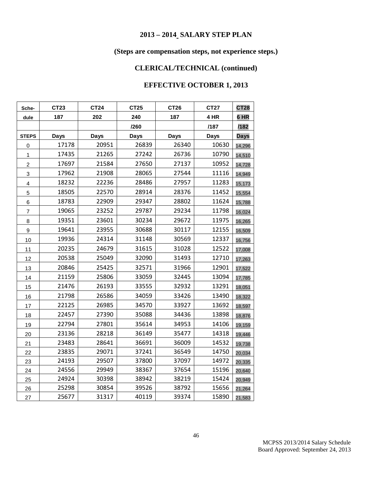## **(Steps are compensation steps, not experience steps.)**

## **CLERICAL/TECHNICAL (continued)**

| Sche-                   | CT23        | CT24        | CT25        | <b>CT26</b> | <b>CT27</b> | <b>CT28</b> |
|-------------------------|-------------|-------------|-------------|-------------|-------------|-------------|
| dule                    | 187         | 202         | 240         | 187         | 4 HR        | 6 HR        |
|                         |             |             | /260        |             | /187        | /182        |
| <b>STEPS</b>            | <b>Days</b> | <b>Days</b> | <b>Days</b> | <b>Days</b> | <b>Days</b> | <b>Days</b> |
| 0                       | 17178       | 20951       | 26839       | 26340       | 10630       | 14,296      |
| 1                       | 17435       | 21265       | 27242       | 26736       | 10790       | 14,510      |
| $\overline{c}$          | 17697       | 21584       | 27650       | 27137       | 10952       | 14,728      |
| 3                       | 17962       | 21908       | 28065       | 27544       | 11116       | 14,949      |
| $\overline{\mathbf{4}}$ | 18232       | 22236       | 28486       | 27957       | 11283       | 15,173      |
| 5                       | 18505       | 22570       | 28914       | 28376       | 11452       | 15,554      |
| 6                       | 18783       | 22909       | 29347       | 28802       | 11624       | 15,788      |
| $\overline{7}$          | 19065       | 23252       | 29787       | 29234       | 11798       | 16,024      |
| 8                       | 19351       | 23601       | 30234       | 29672       | 11975       | 16,265      |
| 9                       | 19641       | 23955       | 30688       | 30117       | 12155       | 16,509      |
| 10                      | 19936       | 24314       | 31148       | 30569       | 12337       | 16,756      |
| 11                      | 20235       | 24679       | 31615       | 31028       | 12522       | 17,008      |
| 12                      | 20538       | 25049       | 32090       | 31493       | 12710       | 17,263      |
| 13                      | 20846       | 25425       | 32571       | 31966       | 12901       | 17,522      |
| 14                      | 21159       | 25806       | 33059       | 32445       | 13094       | 17,785      |
| 15                      | 21476       | 26193       | 33555       | 32932       | 13291       | 18,051      |
| 16                      | 21798       | 26586       | 34059       | 33426       | 13490       | 18,322      |
| 17                      | 22125       | 26985       | 34570       | 33927       | 13692       | 18,597      |
| 18                      | 22457       | 27390       | 35088       | 34436       | 13898       | 18,876      |
| 19                      | 22794       | 27801       | 35614       | 34953       | 14106       | 19,159      |
| 20                      | 23136       | 28218       | 36149       | 35477       | 14318       | 19,446      |
| 21                      | 23483       | 28641       | 36691       | 36009       | 14532       | 19,738      |
| 22                      | 23835       | 29071       | 37241       | 36549       | 14750       | 20,034      |
| 23                      | 24193       | 29507       | 37800       | 37097       | 14972       | 20,335      |
| 24                      | 24556       | 29949       | 38367       | 37654       | 15196       | 20,640      |
| 25                      | 24924       | 30398       | 38942       | 38219       | 15424       | 20,949      |
| 26                      | 25298       | 30854       | 39526       | 38792       | 15656       | 21,264      |
| 27                      | 25677       | 31317       | 40119       | 39374       | 15890       | 21,583      |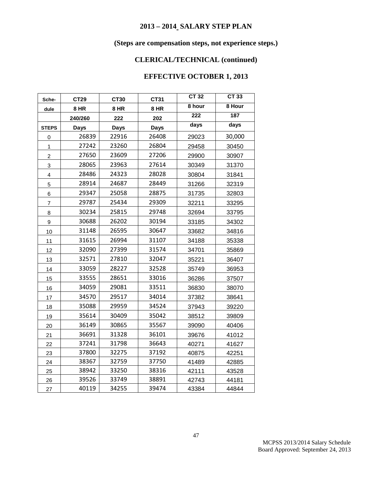## **(Steps are compensation steps, not experience steps.)**

## **CLERICAL/TECHNICAL (continued)**

| Sche-                   | <b>CT29</b> | CT30        | CT31        | <b>CT 32</b>     | <b>CT 33</b> |
|-------------------------|-------------|-------------|-------------|------------------|--------------|
| dule                    | 8 HR        | 8 HR        | 8 HR        | 8 hour           | 8 Hour       |
|                         | 240/260     | 222         | 202         | $\overline{222}$ | 187          |
| <b>STEPS</b>            | <b>Days</b> | <b>Days</b> | <b>Days</b> | days             | days         |
| 0                       | 26839       | 22916       | 26408       | 29023            | 30,000       |
| 1                       | 27242       | 23260       | 26804       | 29458            | 30450        |
| $\overline{c}$          | 27650       | 23609       | 27206       | 29900            | 30907        |
| 3                       | 28065       | 23963       | 27614       | 30349            | 31370        |
| $\overline{\mathbf{4}}$ | 28486       | 24323       | 28028       | 30804            | 31841        |
| 5                       | 28914       | 24687       | 28449       | 31266            | 32319        |
| 6                       | 29347       | 25058       | 28875       | 31735            | 32803        |
| $\overline{7}$          | 29787       | 25434       | 29309       | 32211            | 33295        |
| 8                       | 30234       | 25815       | 29748       | 32694            | 33795        |
| 9                       | 30688       | 26202       | 30194       | 33185            | 34302        |
| 10                      | 31148       | 26595       | 30647       | 33682            | 34816        |
| 11                      | 31615       | 26994       | 31107       | 34188            | 35338        |
| 12                      | 32090       | 27399       | 31574       | 34701            | 35869        |
| 13                      | 32571       | 27810       | 32047       | 35221            | 36407        |
| 14                      | 33059       | 28227       | 32528       | 35749            | 36953        |
| 15                      | 33555       | 28651       | 33016       | 36286            | 37507        |
| 16                      | 34059       | 29081       | 33511       | 36830            | 38070        |
| 17                      | 34570       | 29517       | 34014       | 37382            | 38641        |
| 18                      | 35088       | 29959       | 34524       | 37943            | 39220        |
| 19                      | 35614       | 30409       | 35042       | 38512            | 39809        |
| 20                      | 36149       | 30865       | 35567       | 39090            | 40406        |
| 21                      | 36691       | 31328       | 36101       | 39676            | 41012        |
| 22                      | 37241       | 31798       | 36643       | 40271            | 41627        |
| 23                      | 37800       | 32275       | 37192       | 40875            | 42251        |
| 24                      | 38367       | 32759       | 37750       | 41489            | 42885        |
| 25                      | 38942       | 33250       | 38316       | 42111            | 43528        |
| 26                      | 39526       | 33749       | 38891       | 42743            | 44181        |
| 27                      | 40119       | 34255       | 39474       | 43384            | 44844        |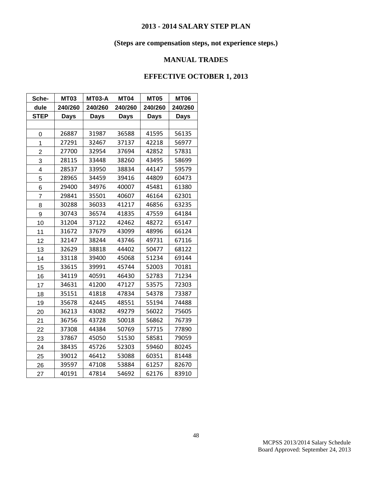## **(Steps are compensation steps, not experience steps.)**

## **MANUAL TRADES**

| Sche-                   | <b>MT03</b> | <b>MT03-A</b> | <b>MT04</b> | <b>MT05</b> | <b>MT06</b> |
|-------------------------|-------------|---------------|-------------|-------------|-------------|
| dule                    | 240/260     | 240/260       | 240/260     | 240/260     | 240/260     |
| <b>STEP</b>             | <b>Days</b> | <b>Days</b>   | <b>Days</b> | <b>Days</b> | <b>Days</b> |
|                         |             |               |             |             |             |
| 0                       | 26887       | 31987         | 36588       | 41595       | 56135       |
| $\mathbf{1}$            | 27291       | 32467         | 37137       | 42218       | 56977       |
| $\overline{2}$          | 27700       | 32954         | 37694       | 42852       | 57831       |
| 3                       | 28115       | 33448         | 38260       | 43495       | 58699       |
| $\overline{\mathbf{4}}$ | 28537       | 33950         | 38834       | 44147       | 59579       |
| 5                       | 28965       | 34459         | 39416       | 44809       | 60473       |
| 6                       | 29400       | 34976         | 40007       | 45481       | 61380       |
| $\overline{7}$          | 29841       | 35501         | 40607       | 46164       | 62301       |
| 8                       | 30288       | 36033         | 41217       | 46856       | 63235       |
| 9                       | 30743       | 36574         | 41835       | 47559       | 64184       |
| 10                      | 31204       | 37122         | 42462       | 48272       | 65147       |
| 11                      | 31672       | 37679         | 43099       | 48996       | 66124       |
| 12                      | 32147       | 38244         | 43746       | 49731       | 67116       |
| 13                      | 32629       | 38818         | 44402       | 50477       | 68122       |
| 14                      | 33118       | 39400         | 45068       | 51234       | 69144       |
| 15                      | 33615       | 39991         | 45744       | 52003       | 70181       |
| 16                      | 34119       | 40591         | 46430       | 52783       | 71234       |
| 17                      | 34631       | 41200         | 47127       | 53575       | 72303       |
| 18                      | 35151       | 41818         | 47834       | 54378       | 73387       |
| 19                      | 35678       | 42445         | 48551       | 55194       | 74488       |
| 20                      | 36213       | 43082         | 49279       | 56022       | 75605       |
| 21                      | 36756       | 43728         | 50018       | 56862       | 76739       |
| 22                      | 37308       | 44384         | 50769       | 57715       | 77890       |
| 23                      | 37867       | 45050         | 51530       | 58581       | 79059       |
| 24                      | 38435       | 45726         | 52303       | 59460       | 80245       |
| 25                      | 39012       | 46412         | 53088       | 60351       | 81448       |
| 26                      | 39597       | 47108         | 53884       | 61257       | 82670       |
| 27                      | 40191       | 47814         | 54692       | 62176       | 83910       |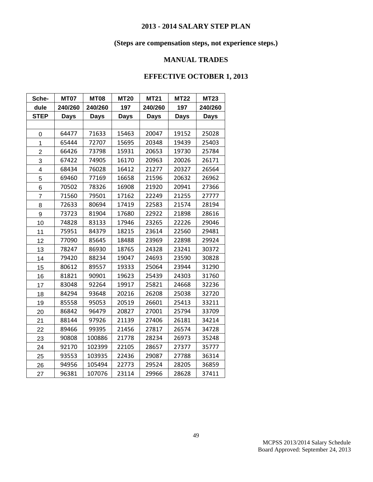## **(Steps are compensation steps, not experience steps.)**

## **MANUAL TRADES**

| Sche-                   | <b>MT07</b> | <b>MT08</b> | <b>MT20</b> | <b>MT21</b> | <b>MT22</b> | <b>MT23</b> |
|-------------------------|-------------|-------------|-------------|-------------|-------------|-------------|
| dule                    | 240/260     | 240/260     | 197         | 240/260     | 197         | 240/260     |
| <b>STEP</b>             | <b>Days</b> | <b>Days</b> | <b>Days</b> | <b>Days</b> | <b>Days</b> | <b>Days</b> |
|                         |             |             |             |             |             |             |
| 0                       | 64477       | 71633       | 15463       | 20047       | 19152       | 25028       |
| $\mathbf 1$             | 65444       | 72707       | 15695       | 20348       | 19439       | 25403       |
| $\overline{2}$          | 66426       | 73798       | 15931       | 20653       | 19730       | 25784       |
| 3                       | 67422       | 74905       | 16170       | 20963       | 20026       | 26171       |
| $\overline{\mathbf{4}}$ | 68434       | 76028       | 16412       | 21277       | 20327       | 26564       |
| 5                       | 69460       | 77169       | 16658       | 21596       | 20632       | 26962       |
| 6                       | 70502       | 78326       | 16908       | 21920       | 20941       | 27366       |
| 7                       | 71560       | 79501       | 17162       | 22249       | 21255       | 27777       |
| 8                       | 72633       | 80694       | 17419       | 22583       | 21574       | 28194       |
| 9                       | 73723       | 81904       | 17680       | 22922       | 21898       | 28616       |
| 10                      | 74828       | 83133       | 17946       | 23265       | 22226       | 29046       |
| 11                      | 75951       | 84379       | 18215       | 23614       | 22560       | 29481       |
| 12                      | 77090       | 85645       | 18488       | 23969       | 22898       | 29924       |
| 13                      | 78247       | 86930       | 18765       | 24328       | 23241       | 30372       |
| 14                      | 79420       | 88234       | 19047       | 24693       | 23590       | 30828       |
| 15                      | 80612       | 89557       | 19333       | 25064       | 23944       | 31290       |
| 16                      | 81821       | 90901       | 19623       | 25439       | 24303       | 31760       |
| 17                      | 83048       | 92264       | 19917       | 25821       | 24668       | 32236       |
| 18                      | 84294       | 93648       | 20216       | 26208       | 25038       | 32720       |
| 19                      | 85558       | 95053       | 20519       | 26601       | 25413       | 33211       |
| 20                      | 86842       | 96479       | 20827       | 27001       | 25794       | 33709       |
| 21                      | 88144       | 97926       | 21139       | 27406       | 26181       | 34214       |
| 22                      | 89466       | 99395       | 21456       | 27817       | 26574       | 34728       |
| 23                      | 90808       | 100886      | 21778       | 28234       | 26973       | 35248       |
| 24                      | 92170       | 102399      | 22105       | 28657       | 27377       | 35777       |
| 25                      | 93553       | 103935      | 22436       | 29087       | 27788       | 36314       |
| 26                      | 94956       | 105494      | 22773       | 29524       | 28205       | 36859       |
| 27                      | 96381       | 107076      | 23114       | 29966       | 28628       | 37411       |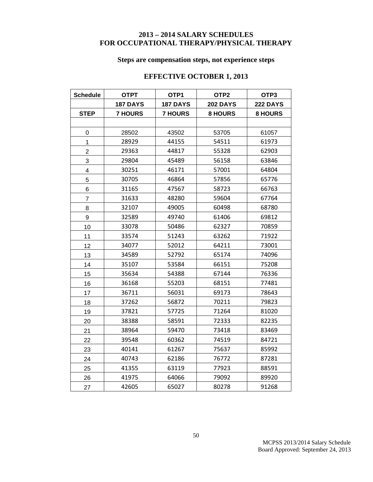## **– 2014 SALARY SCHEDULES FOR OCCUPATIONAL THERAPY/PHYSICAL THERAPY**

## **Steps are compensation steps, not experience steps**

| <b>Schedule</b> | <b>OTPT</b>     | OTP1            | OTP <sub>2</sub> | OTP3            |
|-----------------|-----------------|-----------------|------------------|-----------------|
|                 | <b>187 DAYS</b> | <b>187 DAYS</b> | <b>202 DAYS</b>  | <b>222 DAYS</b> |
| <b>STEP</b>     | <b>7 HOURS</b>  | <b>7 HOURS</b>  | <b>8 HOURS</b>   | <b>8 HOURS</b>  |
|                 |                 |                 |                  |                 |
| 0               | 28502           | 43502           | 53705            | 61057           |
| 1               | 28929           | 44155           | 54511            | 61973           |
| $\overline{2}$  | 29363           | 44817           | 55328            | 62903           |
| 3               | 29804           | 45489           | 56158            | 63846           |
| 4               | 30251           | 46171           | 57001            | 64804           |
| 5               | 30705           | 46864           | 57856            | 65776           |
| 6               | 31165           | 47567           | 58723            | 66763           |
| $\overline{7}$  | 31633           | 48280           | 59604            | 67764           |
| 8               | 32107           | 49005           | 60498            | 68780           |
| 9               | 32589           | 49740           | 61406            | 69812           |
| 10              | 33078           | 50486           | 62327            | 70859           |
| 11              | 33574           | 51243           | 63262            | 71922           |
| 12              | 34077           | 52012           | 64211            | 73001           |
| 13              | 34589           | 52792           | 65174            | 74096           |
| 14              | 35107           | 53584           | 66151            | 75208           |
| 15              | 35634           | 54388           | 67144            | 76336           |
| 16              | 36168           | 55203           | 68151            | 77481           |
| 17              | 36711           | 56031           | 69173            | 78643           |
| 18              | 37262           | 56872           | 70211            | 79823           |
| 19              | 37821           | 57725           | 71264            | 81020           |
| 20              | 38388           | 58591           | 72333            | 82235           |
| 21              | 38964           | 59470           | 73418            | 83469           |
| 22              | 39548           | 60362           | 74519            | 84721           |
| 23              | 40141           | 61267           | 75637            | 85992           |
| 24              | 40743           | 62186           | 76772            | 87281           |
| 25              | 41355           | 63119           | 77923            | 88591           |
| 26              | 41975           | 64066           | 79092            | 89920           |
| 27              | 42605           | 65027           | 80278            | 91268           |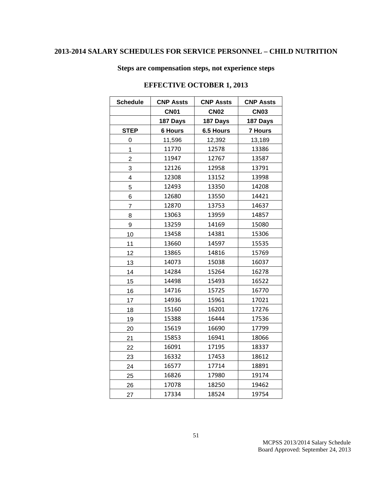## **2013-2014 SALARY SCHEDULES FOR SERVICE PERSONNEL – CHILD NUTRITION**

**Steps are compensation steps, not experience steps**

| <b>Schedule</b> | <b>CNP Assts</b> | <b>CNP Assts</b> | <b>CNP Assts</b> |  |
|-----------------|------------------|------------------|------------------|--|
|                 | <b>CN01</b>      | <b>CN02</b>      | <b>CN03</b>      |  |
|                 | 187 Days         | 187 Days         | 187 Days         |  |
| <b>STEP</b>     | <b>6 Hours</b>   | 6.5 Hours        | <b>7 Hours</b>   |  |
| 0               | 11,596           | 12,392           | 13,189           |  |
| 1               | 11770            | 12578            | 13386            |  |
| $\overline{2}$  | 11947            | 12767            | 13587            |  |
| 3               | 12126            | 12958            | 13791            |  |
| 4               | 12308            | 13152            | 13998            |  |
| 5               | 12493            | 13350            | 14208            |  |
| 6               | 12680            | 13550            | 14421            |  |
| 7               | 12870            | 13753            | 14637            |  |
| 8               | 13063            | 13959            | 14857            |  |
| 9               | 13259            | 14169            | 15080            |  |
| 10              | 13458            | 14381            | 15306            |  |
| 11              | 13660            | 14597            | 15535            |  |
| 12              | 13865            | 14816            | 15769            |  |
| 13              | 14073            | 15038            | 16037            |  |
| 14              | 14284            | 15264            | 16278            |  |
| 15              | 14498            | 15493            | 16522            |  |
| 16              | 14716            | 15725            | 16770            |  |
| 17              | 14936            | 15961            | 17021            |  |
| 18              | 15160            | 16201            | 17276            |  |
| 19              | 15388            | 16444            | 17536            |  |
| 20              | 15619            | 16690            | 17799            |  |
| 21              | 15853            | 16941            | 18066            |  |
| 22              | 16091            | 17195            | 18337            |  |
| 23              | 16332            | 17453            | 18612            |  |
| 24              | 16577            | 17714            | 18891            |  |
| 25              | 16826            | 17980            | 19174            |  |
| 26              | 17078            | 18250            | 19462            |  |
| 27              | 17334            | 18524            | 19754            |  |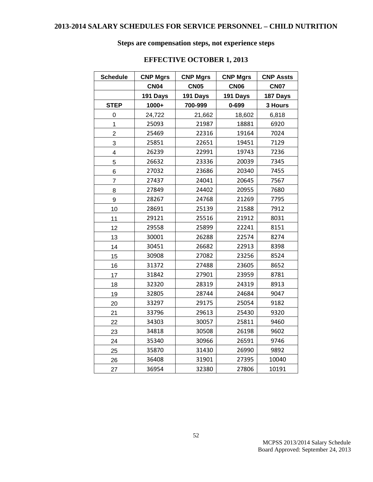## **Steps are compensation steps, not experience steps**

| <b>Schedule</b> | <b>CNP Mgrs</b> | <b>CNP Mgrs</b> | <b>CNP Mgrs</b> | <b>CNP Assts</b> |
|-----------------|-----------------|-----------------|-----------------|------------------|
|                 | <b>CN04</b>     | <b>CN05</b>     | <b>CN06</b>     | <b>CN07</b>      |
|                 | 191 Days        | 191 Days        | 191 Days        | 187 Days         |
| <b>STEP</b>     | 1000+           | 700-999         | $0 - 699$       | 3 Hours          |
| 0               | 24,722          | 21,662          | 18,602          | 6,818            |
| 1               | 25093           | 21987           | 18881           | 6920             |
| $\overline{2}$  | 25469           | 22316           | 19164           | 7024             |
| 3               | 25851           | 22651           | 19451           | 7129             |
| 4               | 26239           | 22991           | 19743           | 7236             |
| 5               | 26632           | 23336           | 20039           | 7345             |
| 6               | 27032           | 23686           | 20340           | 7455             |
| 7               | 27437           | 24041           | 20645           | 7567             |
| 8               | 27849           | 24402           | 20955           | 7680             |
| 9               | 28267           | 24768           | 21269           | 7795             |
| 10              | 28691           | 25139           | 21588           | 7912             |
| 11              | 29121           | 25516           | 21912           | 8031             |
| 12              | 29558           | 25899           | 22241           | 8151             |
| 13              | 30001           | 26288           | 22574           | 8274             |
| 14              | 30451           | 26682           | 22913           | 8398             |
| 15              | 30908           | 27082           | 23256           | 8524             |
| 16              | 31372           | 27488           | 23605           | 8652             |
| 17              | 31842           | 27901           | 23959           | 8781             |
| 18              | 32320           | 28319           | 24319           | 8913             |
| 19              | 32805           | 28744           | 24684           | 9047             |
| 20              | 33297           | 29175           | 25054           | 9182             |
| 21              | 33796           | 29613           | 25430           | 9320             |
| 22              | 34303           | 30057           | 25811           | 9460             |
| 23              | 34818           | 30508           | 26198           | 9602             |
| 24              | 35340           | 30966           | 26591           | 9746             |
| 25              | 35870           | 31430           | 26990           | 9892             |
| 26              | 36408           | 31901           | 27395           | 10040            |
| 27              | 36954           | 32380           | 27806           | 10191            |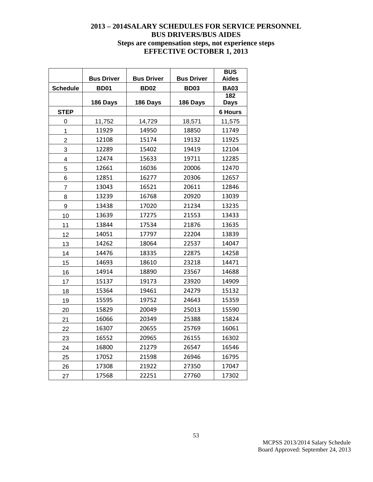## **– 2014SALARY SCHEDULES FOR SERVICE PERSONNEL BUS DRIVERS/BUS AIDES Steps are compensation steps, not experience steps EFFECTIVE OCTOBER 1, 2013**

|                 | <b>Bus Driver</b> | <b>Bus Driver</b> | <b>Bus Driver</b> | <b>BUS</b><br><b>Aides</b> |
|-----------------|-------------------|-------------------|-------------------|----------------------------|
| <b>Schedule</b> | <b>BD01</b>       | <b>BD02</b>       | <b>BD03</b>       | <b>BA03</b>                |
|                 |                   |                   |                   | 182                        |
|                 | 186 Days          | 186 Days          | 186 Days          | <b>Days</b>                |
| <b>STEP</b>     |                   |                   |                   | <b>6 Hours</b>             |
| 0               | 11,752            | 14,729            | 18,571            | 11,575                     |
| $\overline{1}$  | 11929             | 14950             | 18850             | 11749                      |
| $\overline{c}$  | 12108             | 15174             | 19132             | 11925                      |
| 3               | 12289             | 15402             | 19419             | 12104                      |
| 4               | 12474             | 15633             | 19711             | 12285                      |
| 5               | 12661             | 16036             | 20006             | 12470                      |
| 6               | 12851             | 16277             | 20306             | 12657                      |
| $\overline{7}$  | 13043             | 16521             | 20611             | 12846                      |
| 8               | 13239             | 16768             | 20920             | 13039                      |
| 9               | 13438             | 17020             | 21234             | 13235                      |
| 10              | 13639             | 17275             | 21553             | 13433                      |
| 11              | 13844             | 17534             | 21876             | 13635                      |
| 12              | 14051             | 17797             | 22204             | 13839                      |
| 13              | 14262             | 18064             | 22537             | 14047                      |
| 14              | 14476             | 18335             | 22875             | 14258                      |
| 15              | 14693             | 18610             | 23218             | 14471                      |
| 16              | 14914             | 18890             | 23567             | 14688                      |
| 17              | 15137             | 19173             | 23920             | 14909                      |
| 18              | 15364             | 19461             | 24279             | 15132                      |
| 19              | 15595             | 19752             | 24643             | 15359                      |
| 20              | 15829             | 20049             | 25013             | 15590                      |
| 21              | 16066             | 20349             | 25388             | 15824                      |
| 22              | 16307             | 20655             | 25769             | 16061                      |
| 23              | 16552             | 20965             | 26155             | 16302                      |
| 24              | 16800             | 21279             | 26547             | 16546                      |
| 25              | 17052             | 21598             | 26946             | 16795                      |
| 26              | 17308             | 21922             | 27350             | 17047                      |
| 27              | 17568             | 22251             | 27760             | 17302                      |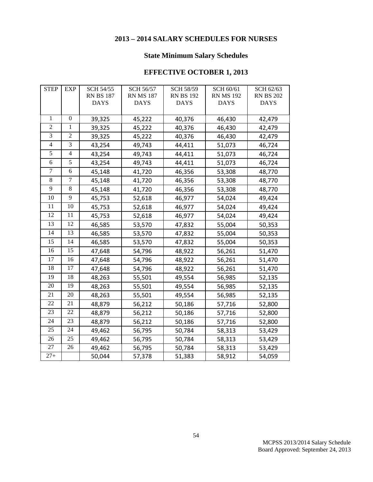## **2013 – 2014 SALARY SCHEDULES FOR NURSES**

## **State Minimum Salary Schedules**

| <b>STEP</b>    | EXP            | SCH 54/55        | SCH 56/57        | <b>SCH 58/59</b> | SCH 60/61        | SCH 62/63        |
|----------------|----------------|------------------|------------------|------------------|------------------|------------------|
|                |                | <b>RN BS 187</b> | <b>RN MS 187</b> | <b>RN BS 192</b> | <b>RN MS 192</b> | <b>RN BS 202</b> |
|                |                | <b>DAYS</b>      | <b>DAYS</b>      | <b>DAYS</b>      | <b>DAYS</b>      | <b>DAYS</b>      |
|                |                |                  |                  |                  |                  |                  |
| 1              | $\theta$       | 39,325           | 45,222           | 40,376           | 46,430           | 42,479           |
| $\mathfrak{2}$ | 1              | 39,325           | 45,222           | 40,376           | 46,430           | 42,479           |
| $\overline{3}$ | $\overline{2}$ | 39,325           | 45,222           | 40,376           | 46,430           | 42,479           |
| $\overline{4}$ | 3              | 43,254           | 49,743           | 44,411           | 51,073           | 46,724           |
| 5              | $\overline{4}$ | 43,254           | 49,743           | 44,411           | 51,073           | 46,724           |
| 6              | 5              | 43,254           | 49,743           | 44,411           | 51,073           | 46,724           |
| 7              | 6              | 45,148           | 41,720           | 46,356           | 53,308           | 48,770           |
| 8              | $\tau$         | 45,148           | 41,720           | 46,356           | 53,308           | 48,770           |
| 9              | 8              | 45,148           | 41,720           | 46,356           | 53,308           | 48,770           |
| 10             | 9              | 45,753           | 52,618           | 46,977           | 54,024           | 49,424           |
| 11             | 10             | 45,753           | 52,618           | 46,977           | 54,024           | 49,424           |
| 12             | 11             | 45,753           | 52,618           | 46,977           | 54,024           | 49,424           |
| 13             | 12             | 46,585           | 53,570           | 47,832           | 55,004           | 50,353           |
| 14             | 13             | 46,585           | 53,570           | 47,832           | 55,004           | 50,353           |
| 15             | 14             | 46,585           | 53,570           | 47,832           | 55,004           | 50,353           |
| 16             | 15             | 47,648           | 54,796           | 48,922           | 56,261           | 51,470           |
| 17             | 16             | 47,648           | 54,796           | 48,922           | 56,261           | 51,470           |
| 18             | 17             | 47,648           | 54,796           | 48,922           | 56,261           | 51,470           |
| 19             | 18             | 48,263           | 55,501           | 49,554           | 56,985           | 52,135           |
| 20             | 19             | 48,263           | 55,501           | 49,554           | 56,985           | 52,135           |
| 21             | 20             | 48,263           | 55,501           | 49,554           | 56,985           | 52,135           |
| 22             | 21             | 48,879           | 56,212           | 50,186           | 57,716           | 52,800           |
| 23             | 22             | 48,879           | 56,212           | 50,186           | 57,716           | 52,800           |
| 24             | 23             | 48,879           | 56,212           | 50,186           | 57,716           | 52,800           |
| 25             | 24             | 49,462           | 56,795           | 50,784           | 58,313           | 53,429           |
| 26             | 25             | 49,462           | 56,795           | 50,784           | 58,313           | 53,429           |
| 27             | 26             | 49,462           | 56,795           | 50,784           | 58,313           | 53,429           |
| $27 +$         |                | 50,044           | 57,378           | 51,383           | 58,912           | 54,059           |